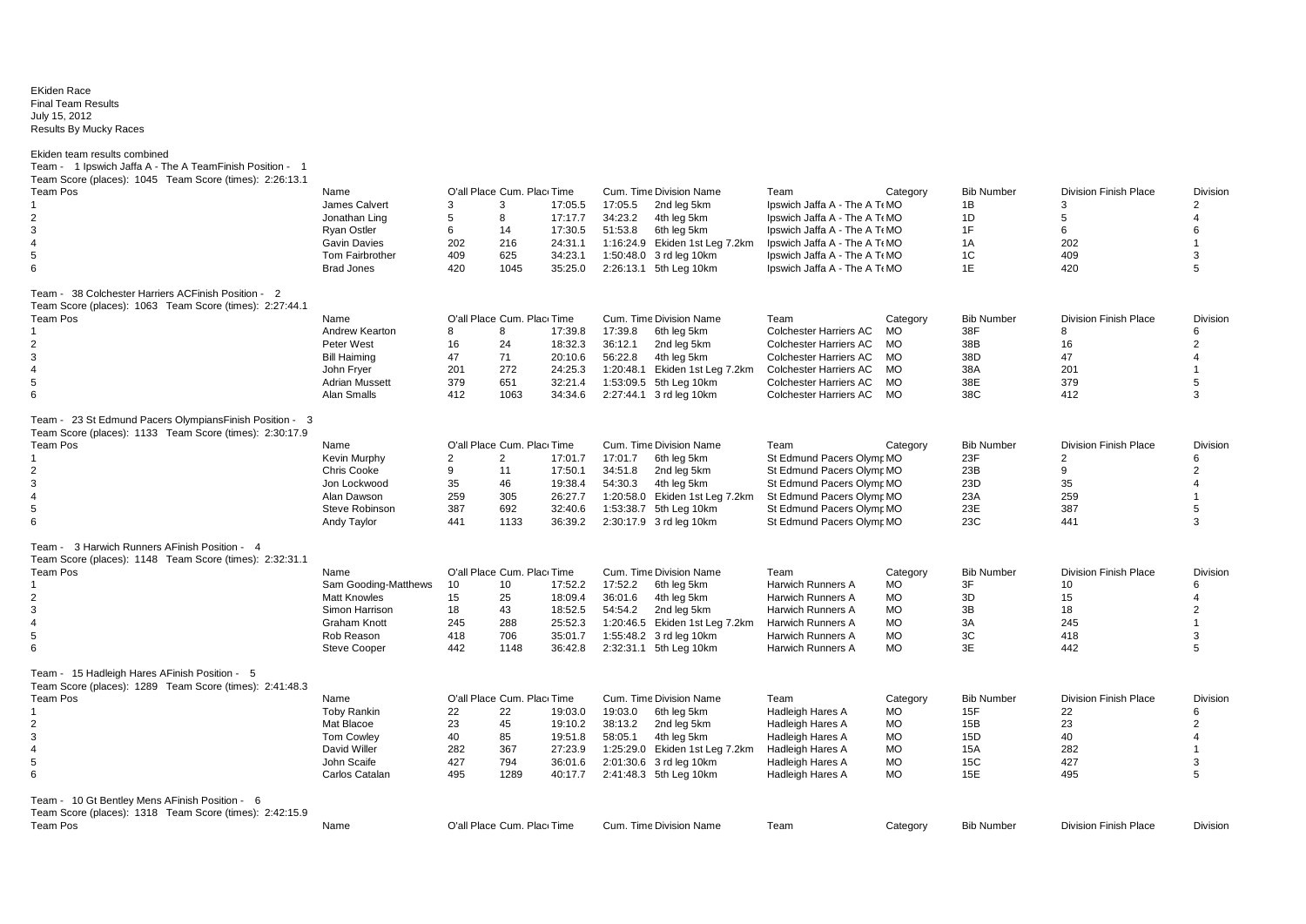## EKiden Race Enflation ridge<br>Final Team Results July 15, 2012 Results By Mucky Races

Ekiden team results combined

| Team -  1 Ipswich Jaffa A - The A TeamFinish Position -  1<br>Team Score (places): 1045 Team Score (times): 2:26:13.1 |                              |     |                            |         |           |                                |                               |           |                   |                              |                         |
|-----------------------------------------------------------------------------------------------------------------------|------------------------------|-----|----------------------------|---------|-----------|--------------------------------|-------------------------------|-----------|-------------------|------------------------------|-------------------------|
| <b>Team Pos</b>                                                                                                       | Name                         |     | O'all Place Cum. Plac Time |         |           | Cum. Time Division Name        | Team                          | Category  | <b>Bib Number</b> | <b>Division Finish Place</b> | <b>Division</b>         |
|                                                                                                                       | James Calvert                | 3   | 3                          | 17:05.5 | 17:05.5   | 2nd leg 5km                    | Ipswich Jaffa A - The A T MO  |           | 1B                | 3                            | 2                       |
| 2                                                                                                                     | Jonathan Ling                | 5   | 8                          | 17:17.7 | 34:23.2   | 4th leg 5km                    | Ipswich Jaffa A - The A T MO  |           | 1D                | 5                            | 4                       |
| 3                                                                                                                     | <b>Ryan Ostler</b>           | 6   | 14                         | 17:30.5 | 51:53.8   | 6th leg 5km                    | Ipswich Jaffa A - The A T MO  |           | 1F                | 6                            | 6                       |
| $\overline{4}$                                                                                                        | <b>Gavin Davies</b>          | 202 | 216                        | 24:31.1 |           | 1:16:24.9 Ekiden 1st Leg 7.2km | Ipswich Jaffa A - The A T MO  |           | 1A                | 202                          | $\overline{\mathbf{1}}$ |
| 5                                                                                                                     | <b>Tom Fairbrother</b>       | 409 | 625                        | 34:23.1 |           | 1:50:48.0 3 rd leg 10km        | Ipswich Jaffa A - The A T MO  |           | 1C                | 409                          | 3                       |
| 6                                                                                                                     | <b>Brad Jones</b>            | 420 | 1045                       | 35:25.0 |           | 2:26:13.1 5th Leg 10km         | Ipswich Jaffa A - The A T MO  |           | 1E                | 420                          | 5                       |
| Team - 38 Colchester Harriers ACFinish Position - 2<br>Team Score (places): 1063 Team Score (times): 2:27:44.1        |                              |     |                            |         |           |                                |                               |           |                   |                              |                         |
| Team Pos                                                                                                              | Name                         |     | O'all Place Cum. Plac Time |         |           | Cum. Time Division Name        | Team                          | Category  | <b>Bib Number</b> | <b>Division Finish Place</b> | <b>Division</b>         |
|                                                                                                                       | Andrew Kearton               | 8   | 8                          | 17:39.8 | 17:39.8   | 6th leg 5km                    | <b>Colchester Harriers AC</b> | MO        | 38F               | 8                            | 6                       |
| 2                                                                                                                     | Peter West                   | 16  | 24                         | 18:32.3 | 36:12.1   | 2nd leg 5km                    | <b>Colchester Harriers AC</b> | <b>MO</b> | 38B               | 16                           | $\overline{2}$          |
| 3                                                                                                                     | <b>Bill Haiming</b>          | 47  | 71                         | 20:10.6 | 56:22.8   | 4th leg 5km                    | Colchester Harriers AC        | <b>MO</b> | 38D               | 47                           | Δ                       |
| $\overline{4}$                                                                                                        | John Fryer                   | 201 | 272                        | 24:25.3 | 1:20:48.1 | Ekiden 1st Leg 7.2km           | <b>Colchester Harriers AC</b> | MO        | 38A               | 201                          |                         |
| 5                                                                                                                     | <b>Adrian Mussett</b>        | 379 | 651                        | 32:21.4 |           | 1:53:09.5 5th Leg 10km         | <b>Colchester Harriers AC</b> | MO        | 38E               | 379                          | 5                       |
| 6                                                                                                                     | Alan Smalls                  | 412 | 1063                       | 34:34.6 |           | 2:27:44.1 3 rd leg 10km        | Colchester Harriers AC        | MO        | 38C               | 412                          | 3                       |
|                                                                                                                       |                              |     |                            |         |           |                                |                               |           |                   |                              |                         |
| Team - 23 St Edmund Pacers OlympiansFinish Position - 3<br>Team Score (places): 1133 Team Score (times): 2:30:17.9    |                              |     |                            |         |           |                                |                               |           |                   |                              |                         |
| Team Pos                                                                                                              | Name                         |     | O'all Place Cum. Plac Time |         |           | Cum. Time Division Name        | Team                          | Category  | <b>Bib Number</b> | <b>Division Finish Place</b> | <b>Division</b>         |
|                                                                                                                       | Kevin Murphy                 | 2   | $\overline{2}$             | 17:01.7 | 17:01.7   | 6th leg 5km                    | St Edmund Pacers Olymr MO     |           | 23F               | $\overline{2}$               | 6                       |
| 2                                                                                                                     | Chris Cooke                  | 9   | 11                         | 17:50.1 | 34:51.8   | 2nd leg 5km                    | St Edmund Pacers Olymr MO     |           | 23B               | 9                            | $\overline{2}$          |
| 3                                                                                                                     | Jon Lockwood                 | 35  | 46                         | 19:38.4 | 54:30.3   | 4th leg 5km                    | St Edmund Pacers Olymr MO     |           | 23D               | 35                           | Δ                       |
| $\overline{4}$                                                                                                        | Alan Dawson                  | 259 | 305                        | 26:27.7 |           | 1:20:58.0 Ekiden 1st Leg 7.2km | St Edmund Pacers Olymr MO     |           | 23A               | 259                          |                         |
|                                                                                                                       |                              |     |                            |         |           |                                |                               |           |                   |                              |                         |
| 5                                                                                                                     | Steve Robinson               | 387 | 692                        | 32:40.6 |           | 1:53:38.7 5th Leg 10km         | St Edmund Pacers Olymr MO     |           | 23E               | 387                          | 5<br>3                  |
| 6                                                                                                                     | Andy Taylor                  | 441 | 1133                       | 36:39.2 |           | 2:30:17.9 3 rd leg 10km        | St Edmund Pacers Olymr MO     |           | 23C               | 441                          |                         |
| 3 Harwich Runners AFinish Position - 4<br>Team -<br>Team Score (places): 1148 Team Score (times): 2:32:31.1           |                              |     |                            |         |           |                                |                               |           |                   |                              |                         |
| Team Pos                                                                                                              |                              |     | O'all Place Cum. Plac Time |         |           |                                | Team                          |           | <b>Bib Number</b> | <b>Division Finish Place</b> | <b>Division</b>         |
|                                                                                                                       | Name<br>Sam Gooding-Matthews |     |                            | 17:52.2 | 17:52.2   | Cum. Time Division Name        | <b>Harwich Runners A</b>      | Category  | 3F                | 10                           | 6                       |
|                                                                                                                       |                              | 10  | 10                         |         |           | 6th leg 5km                    |                               | <b>MO</b> |                   |                              | $\overline{4}$          |
| 2                                                                                                                     | <b>Matt Knowles</b>          | 15  | 25                         | 18:09.4 | 36:01.6   | 4th leg 5km                    | Harwich Runners A             | <b>MO</b> | 3D                | 15                           | $\overline{2}$          |
| 3                                                                                                                     | Simon Harrison               | 18  | 43                         | 18:52.5 | 54:54.2   | 2nd leg 5km                    | Harwich Runners A             | <b>MO</b> | 3B                | 18                           |                         |
| $\overline{4}$                                                                                                        | Graham Knott                 | 245 | 288                        | 25:52.3 |           | 1:20:46.5 Ekiden 1st Leg 7.2km | Harwich Runners A             | <b>MO</b> | 3A                | 245                          | $\overline{1}$          |
| 5                                                                                                                     | Rob Reason                   | 418 | 706                        | 35:01.7 |           | 1:55:48.2 3 rd leg 10km        | Harwich Runners A             | <b>MO</b> | 3C                | 418                          | 3                       |
| 6                                                                                                                     | <b>Steve Cooper</b>          | 442 | 1148                       | 36:42.8 |           | 2:32:31.1 5th Leg 10km         | <b>Harwich Runners A</b>      | <b>MO</b> | 3E                | 442                          | 5                       |
| Team - 15 Hadleigh Hares AFinish Position - 5                                                                         |                              |     |                            |         |           |                                |                               |           |                   |                              |                         |
| Team Score (places): 1289 Team Score (times): 2:41:48.3                                                               |                              |     |                            |         |           |                                |                               |           |                   |                              |                         |
| <b>Team Pos</b>                                                                                                       | Name                         |     | O'all Place Cum. Plac Time |         |           | Cum. Time Division Name        | Team                          | Category  | <b>Bib Number</b> | <b>Division Finish Place</b> | Division                |
|                                                                                                                       | <b>Toby Rankin</b>           | 22  | 22                         | 19:03.0 | 19:03.0   | 6th leg 5km                    | Hadleigh Hares A              | <b>MO</b> | 15F               | 22                           | 6                       |
| 2                                                                                                                     | Mat Blacoe                   | 23  | 45                         | 19:10.2 | 38:13.2   | 2nd leg 5km                    | <b>Hadleigh Hares A</b>       | <b>MO</b> | 15B               | 23                           | 2                       |
| 3                                                                                                                     | Tom Cowley                   | 40  | 85                         | 19:51.8 | 58:05.1   | 4th leg 5km                    | Hadleigh Hares A              | <b>MO</b> | 15D               | 40                           |                         |
| $\overline{4}$                                                                                                        | David Willer                 | 282 | 367                        | 27:23.9 |           | 1:25:29.0 Ekiden 1st Leg 7.2km | <b>Hadleigh Hares A</b>       | <b>MO</b> | <b>15A</b>        | 282                          |                         |
| 5                                                                                                                     | John Scaife                  | 427 | 794                        | 36:01.6 |           | 2:01:30.6 3 rd leg 10km        | Hadleigh Hares A              | <b>MO</b> | 15C               | 427                          | 3                       |
| 6                                                                                                                     | Carlos Catalan               | 495 | 1289                       | 40:17.7 |           | 2:41:48.3 5th Leg 10km         | Hadleigh Hares A              | <b>MO</b> | 15E               | 495                          | 5                       |
| Team - 10 Gt Bentley Mens AFinish Position - 6                                                                        |                              |     |                            |         |           |                                |                               |           |                   |                              |                         |
| Team Score (places): 1318 Team Score (times): 2:42:15.9                                                               |                              |     |                            |         |           |                                |                               |           |                   |                              |                         |
| <b>Team Pos</b>                                                                                                       | Name                         |     | O'all Place Cum. Plac Time |         |           | Cum. Time Division Name        | Team                          | Category  | <b>Bib Number</b> | <b>Division Finish Place</b> | Division                |
|                                                                                                                       |                              |     |                            |         |           |                                |                               |           |                   |                              |                         |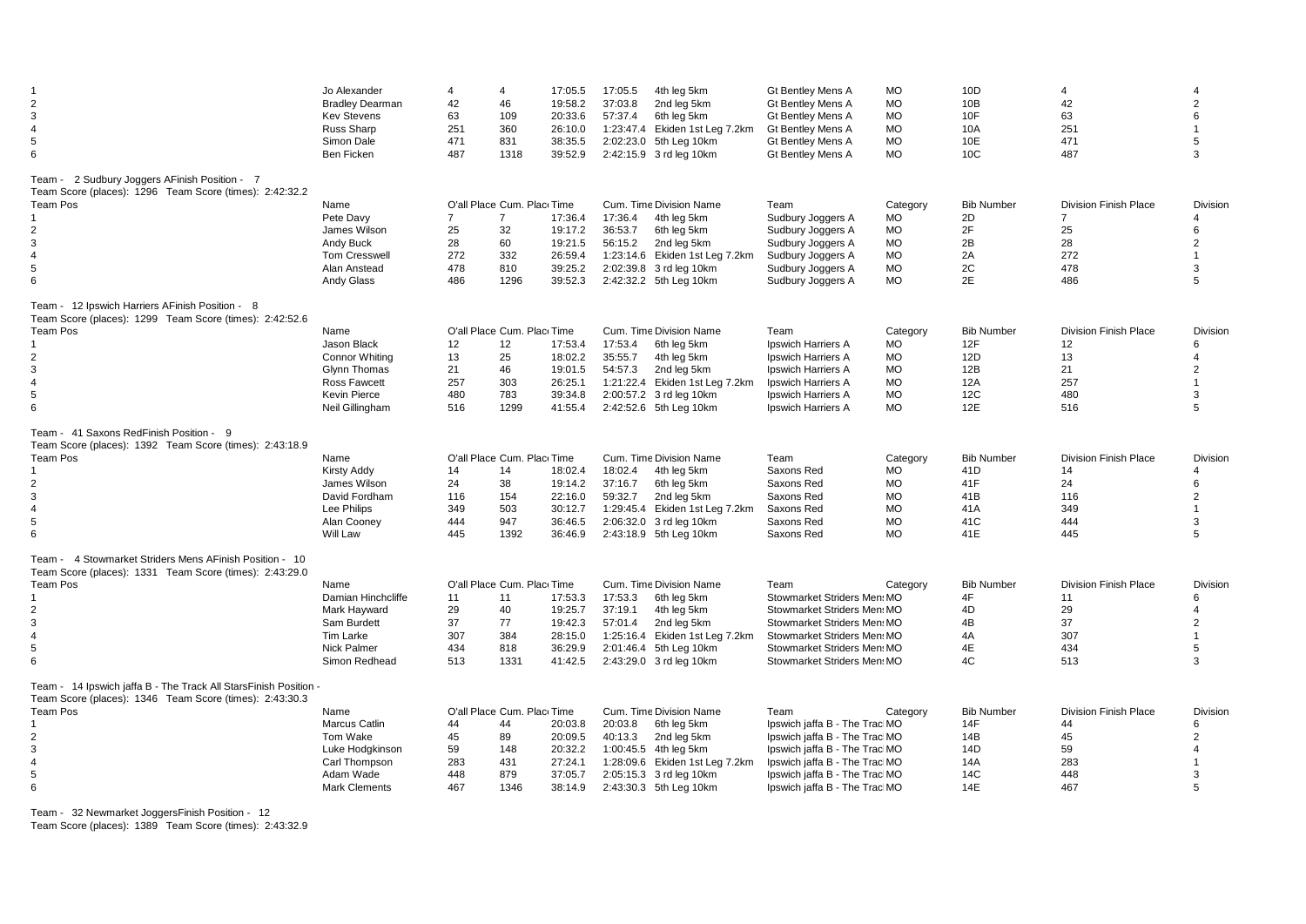| $\overline{2}$<br>$\mathbf{3}$<br>$\overline{4}$<br>5<br>6                                                                                                                    | Jo Alexander<br><b>Bradley Dearman</b><br><b>Kev Stevens</b><br>Russ Sharp<br>Simon Dale<br>Ben Ficken                        | 4<br>42<br>63<br>251<br>471<br>487              | 4<br>46<br>109<br>360<br>831<br>1318                                           | 17:05.5<br>19:58.2<br>20:33.6<br>26:10.0<br>38:35.5<br>39:52.9 | 17:05.5<br>37:03.8<br>57:37.4 | 4th leg 5km<br>2nd leg 5km<br>6th leg 5km<br>1:23:47.4 Ekiden 1st Leg 7.2km<br>2:02:23.0 5th Leg 10km<br>2:42:15.9 3 rd leg 10km                                      | Gt Bentley Mens A<br><b>Gt Bentley Mens A</b><br><b>Gt Bentley Mens A</b><br><b>Gt Bentley Mens A</b><br><b>Gt Bentley Mens A</b><br><b>Gt Bentley Mens A</b>                                              | <b>MO</b><br><b>MO</b><br><b>MO</b><br><b>MO</b><br><b>MO</b><br><b>MO</b>             | 10D<br>10B<br>10F<br>10A<br>10E<br>10 <sub>C</sub>                 | Δ<br>42<br>63<br>251<br>471<br>487                                              | 2<br>6<br>5<br>3                                                                     |
|-------------------------------------------------------------------------------------------------------------------------------------------------------------------------------|-------------------------------------------------------------------------------------------------------------------------------|-------------------------------------------------|--------------------------------------------------------------------------------|----------------------------------------------------------------|-------------------------------|-----------------------------------------------------------------------------------------------------------------------------------------------------------------------|------------------------------------------------------------------------------------------------------------------------------------------------------------------------------------------------------------|----------------------------------------------------------------------------------------|--------------------------------------------------------------------|---------------------------------------------------------------------------------|--------------------------------------------------------------------------------------|
| 2 Sudbury Joggers AFinish Position - 7<br>Team -<br>Team Score (places): 1296 Team Score (times): 2:42:32.2<br>Team Pos<br>$\overline{2}$<br>3<br>$\overline{4}$<br>5<br>6    | Name<br>Pete Davy<br>James Wilson<br>Andy Buck<br><b>Tom Cresswell</b><br>Alan Anstead<br>Andy Glass                          | $\overline{7}$<br>25<br>28<br>272<br>478<br>486 | O'all Place Cum. Plac Time<br>$\overline{7}$<br>32<br>60<br>332<br>810<br>1296 | 17:36.4<br>19:17.2<br>19:21.5<br>26:59.4<br>39:25.2<br>39:52.3 | 17:36.4<br>36:53.7<br>56:15.2 | Cum. Time Division Name<br>4th leg 5km<br>6th leg 5km<br>2nd leg 5km<br>1:23:14.6 Ekiden 1st Leg 7.2km<br>2:02:39.8 3 rd leg 10km<br>2:42:32.2 5th Leg 10km           | Team<br>Sudbury Joggers A<br>Sudbury Joggers A<br>Sudbury Joggers A<br>Sudbury Joggers A<br>Sudbury Joggers A<br>Sudbury Joggers A                                                                         | Category<br>МO<br><b>MO</b><br><b>MO</b><br><b>MO</b><br><b>MO</b><br><b>MO</b>        | <b>Bib Number</b><br>2D<br>2F<br>2B<br>2A<br>2C<br>2E              | <b>Division Finish Place</b><br>$\overline{7}$<br>25<br>28<br>272<br>478<br>486 | Division<br>4<br>6<br>$\overline{2}$<br>$\overline{1}$<br>3<br>5                     |
| Team - 12 Ipswich Harriers AFinish Position - 8<br>Team Score (places): 1299 Team Score (times): 2:42:52.6<br><b>Team Pos</b><br>2<br>3<br>4<br>5<br>6                        | Name<br>Jason Black<br><b>Connor Whiting</b><br><b>Glynn Thomas</b><br><b>Ross Fawcett</b><br>Kevin Pierce<br>Neil Gillingham | 12<br>13<br>21<br>257<br>480<br>516             | O'all Place Cum. Plac Time<br>12<br>25<br>46<br>303<br>783<br>1299             | 17:53.4<br>18:02.2<br>19:01.5<br>26:25.1<br>39:34.8<br>41:55.4 | 17:53.4<br>35:55.7<br>54:57.3 | Cum. Time Division Name<br>6th leg 5km<br>4th leg 5km<br>2nd leg 5km<br>1:21:22.4 Ekiden 1st Leg 7.2km<br>2:00:57.2 3 rd leg 10km<br>2:42:52.6 5th Leg 10km           | Team<br>Ipswich Harriers A<br>Ipswich Harriers A<br>Ipswich Harriers A<br>Ipswich Harriers A<br>Ipswich Harriers A<br>Ipswich Harriers A                                                                   | Category<br><b>MO</b><br><b>MO</b><br><b>MO</b><br><b>MO</b><br><b>MO</b><br><b>MO</b> | <b>Bib Number</b><br>12F<br>12D<br>12B<br>12A<br><b>12C</b><br>12E | <b>Division Finish Place</b><br>12<br>13<br>21<br>257<br>480<br>516             | <b>Division</b><br>6<br>$\overline{4}$<br>$\overline{2}$<br>$\overline{1}$<br>3<br>5 |
| Team - 41 Saxons RedFinish Position - 9<br>Team Score (places): 1392 Team Score (times): 2:43:18.9<br><b>Team Pos</b><br>2<br>3<br>$\overline{4}$<br>5<br>6                   | Name<br>Kirsty Addy<br>James Wilson<br>David Fordham<br>Lee Philips<br>Alan Cooney<br>Will Law                                | 14<br>24<br>116<br>349<br>444<br>445            | O'all Place Cum. Place Time<br>14<br>38<br>154<br>503<br>947<br>1392           | 18:02.4<br>19:14.2<br>22:16.0<br>30:12.7<br>36:46.5<br>36:46.9 | 18:02.4<br>37:16.7<br>59:32.7 | Cum. Time Division Name<br>4th leg 5km<br>6th leg 5km<br>2nd leg 5km<br>1:29:45.4 Ekiden 1st Leg 7.2km<br>2:06:32.0 3 rd leg 10km<br>2:43:18.9 5th Leg 10km           | Team<br>Saxons Red<br>Saxons Red<br>Saxons Red<br>Saxons Red<br>Saxons Red<br>Saxons Red                                                                                                                   | Category<br><b>MO</b><br><b>MO</b><br><b>MO</b><br><b>MO</b><br><b>MO</b><br><b>MO</b> | <b>Bib Number</b><br>41D<br>41F<br>41B<br>41A<br>41C<br>41E        | <b>Division Finish Place</b><br>14<br>24<br>116<br>349<br>444<br>445            | Division<br>4<br>6<br>$\overline{2}$<br>$\overline{1}$<br>3<br>5                     |
| Team - 4 Stowmarket Striders Mens AFinish Position - 10<br>Team Score (places): 1331 Team Score (times): 2:43:29.0<br>Team Pos<br>2<br>3<br>4<br>5<br>6                       | Name<br>Damian Hinchcliffe<br>Mark Hayward<br>Sam Burdett<br>Tim Larke<br>Nick Palmer<br>Simon Redhead                        | 11<br>29<br>37<br>307<br>434<br>513             | O'all Place Cum. Plac Time<br>11<br>40<br>77<br>384<br>818<br>1331             | 17:53.3<br>19:25.7<br>19:42.3<br>28:15.0<br>36:29.9<br>41:42.5 | 17:53.3<br>37:19.1<br>57:01.4 | Cum. Time Division Name<br>6th lea 5km<br>4th leg 5km<br>2nd leg 5km<br>1:25:16.4 Ekiden 1st Leg 7.2km<br>2:01:46.4 5th Leg 10km<br>2:43:29.0 3 rd leg 10km           | Team<br>Stowmarket Striders Men MO<br>Stowmarket Striders Men: MO<br>Stowmarket Striders Men: MO<br>Stowmarket Striders Men MO<br>Stowmarket Striders Men: MO<br>Stowmarket Striders Men: MO               | Category                                                                               | <b>Bib Number</b><br>4F<br>4D<br>4B<br>4A<br>4E<br>4C              | <b>Division Finish Place</b><br>11<br>29<br>37<br>307<br>434<br>513             | Division<br>6<br>4<br>$\overline{2}$<br>$\overline{1}$<br>5<br>3                     |
| Team - 14 Ipswich jaffa B - The Track All StarsFinish Position -<br>Team Score (places): 1346 Team Score (times): 2:43:30.3<br>Team Pos<br>2<br>3<br>$\overline{4}$<br>5<br>6 | Name<br>Marcus Catlin<br>Tom Wake<br>Luke Hodgkinson<br>Carl Thompson<br>Adam Wade<br><b>Mark Clements</b>                    | 44<br>45<br>59<br>283<br>448<br>467             | O'all Place Cum. Plac Time<br>44<br>89<br>148<br>431<br>879<br>1346            | 20:03.8<br>20:09.5<br>20:32.2<br>27:24.1<br>37:05.7<br>38:14.9 | 20:03.8<br>40:13.3            | Cum. Time Division Name<br>6th leg 5km<br>2nd leg 5km<br>1:00:45.5 4th leg 5km<br>1:28:09.6 Ekiden 1st Leg 7.2km<br>2:05:15.3 3 rd leg 10km<br>2:43:30.3 5th Leg 10km | Team<br>Ipswich jaffa B - The Trac MO<br>Ipswich jaffa B - The Trac MO<br>Ipswich jaffa B - The Trac MO<br>Ipswich jaffa B - The Trac MO<br>Ipswich jaffa B - The Trac MO<br>Ipswich jaffa B - The Trac MO | Category                                                                               | <b>Bib Number</b><br>14F<br>14B<br>14D<br>14A<br>14C<br>14E        | <b>Division Finish Place</b><br>44<br>45<br>59<br>283<br>448<br>467             | Division<br>6<br>$\overline{2}$<br>4<br>3<br>5                                       |

Team - 32 Newmarket JoggersFinish Position - 12

Team Score (places): 1389 Team Score (times): 2:43:32.9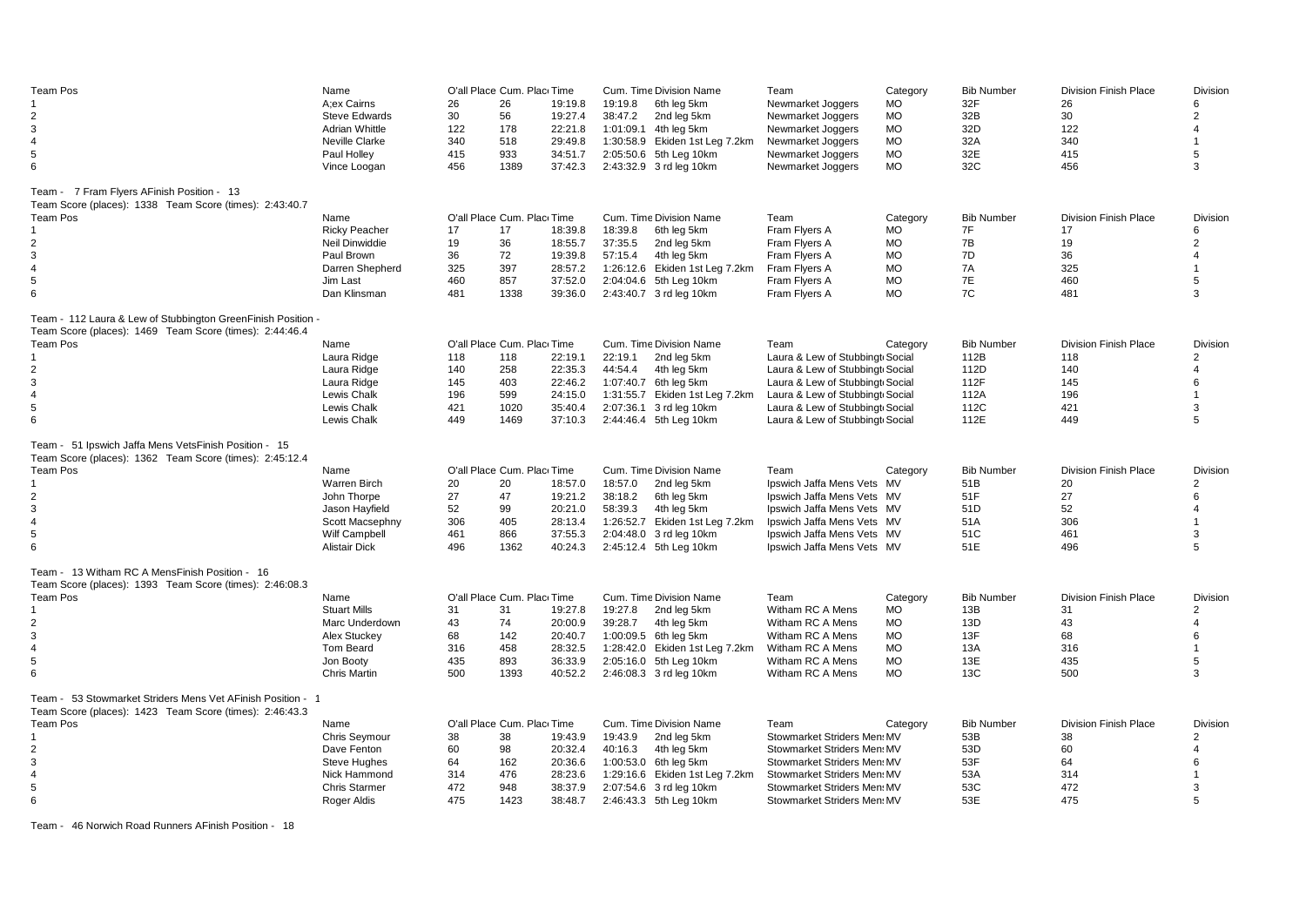| Team Pos                                                                                                  | Name                  |     | O'all Place Cum. Plac Time  |         |         | Cum. Time Division Name        | Team                            | Category  | <b>Bib Number</b> | <b>Division Finish Place</b> | Division        |
|-----------------------------------------------------------------------------------------------------------|-----------------------|-----|-----------------------------|---------|---------|--------------------------------|---------------------------------|-----------|-------------------|------------------------------|-----------------|
|                                                                                                           | A;ex Cairns           | 26  | 26                          | 19:19.8 | 19:19.8 | 6th leg 5km                    | Newmarket Joggers               | <b>MO</b> | 32F               | 26                           | 6               |
| $\overline{2}$                                                                                            | <b>Steve Edwards</b>  | 30  | 56                          | 19:27.4 | 38:47.2 | 2nd leg 5km                    | Newmarket Joggers               | <b>MO</b> | 32B               | 30                           | 2               |
| 3                                                                                                         | <b>Adrian Whittle</b> | 122 | 178                         | 22:21.8 |         | 1:01:09.1 4th leg 5km          | Newmarket Joggers               | <b>MO</b> | 32D               | 122                          | $\overline{4}$  |
| 4                                                                                                         | Neville Clarke        | 340 | 518                         | 29:49.8 |         | 1:30:58.9 Ekiden 1st Leg 7.2km | Newmarket Joggers               | <b>MO</b> | 32A               | 340                          | $\overline{1}$  |
| 5                                                                                                         | Paul Holley           | 415 | 933                         | 34:51.7 |         | 2:05:50.6 5th Leg 10km         | Newmarket Joggers               | <b>MO</b> | 32E               | 415                          | 5               |
| 6                                                                                                         | Vince Loogan          | 456 | 1389                        | 37:42.3 |         | 2:43:32.9 3 rd leg 10km        | Newmarket Joggers               | <b>MO</b> | 32C               | 456                          | 3               |
|                                                                                                           |                       |     |                             |         |         |                                |                                 |           |                   |                              |                 |
| Team - 7 Fram Flyers AFinish Position - 13                                                                |                       |     |                             |         |         |                                |                                 |           |                   |                              |                 |
| Team Score (places): 1338 Team Score (times): 2:43:40.7                                                   |                       |     |                             |         |         |                                |                                 |           |                   |                              |                 |
| <b>Team Pos</b>                                                                                           | Name                  |     | O'all Place Cum. Place Time |         |         | Cum. Time Division Name        | Team                            | Category  | <b>Bib Number</b> | <b>Division Finish Place</b> | <b>Division</b> |
|                                                                                                           | <b>Ricky Peacher</b>  | 17  | 17                          | 18:39.8 | 18:39.8 | 6th leg 5km                    | Fram Flyers A                   | МO        | 7F                | 17                           | 6               |
| $\overline{2}$                                                                                            | Neil Dinwiddie        | 19  | 36                          | 18:55.7 | 37:35.5 | 2nd leg 5km                    | Fram Flyers A                   | <b>MO</b> | 7B                | 19                           | $\overline{2}$  |
| 3                                                                                                         | Paul Brown            | 36  | 72                          | 19:39.8 | 57:15.4 | 4th leg 5km                    | Fram Flyers A                   | MO        | 7D                | 36                           | $\overline{4}$  |
| 4                                                                                                         | Darren Shepherd       | 325 | 397                         | 28:57.2 |         | 1:26:12.6 Ekiden 1st Leg 7.2km | Fram Flyers A                   | <b>MO</b> | 7A                | 325                          |                 |
| 5                                                                                                         | Jim Last              | 460 | 857                         | 37:52.0 |         | 2:04:04.6 5th Leg 10km         | Fram Flyers A                   | <b>MO</b> | 7E                | 460                          | 5               |
| 6                                                                                                         | Dan Klinsman          | 481 | 1338                        | 39:36.0 |         | 2:43:40.7 3 rd leg 10km        | Fram Flyers A                   | <b>MO</b> | 7C                | 481                          | 3               |
| Team - 112 Laura & Lew of Stubbington GreenFinish Position                                                |                       |     |                             |         |         |                                |                                 |           |                   |                              |                 |
| Team Score (places): 1469 Team Score (times): 2:44:46.4                                                   |                       |     |                             |         |         |                                |                                 |           |                   |                              |                 |
| Team Pos                                                                                                  | Name                  |     | O'all Place Cum. Plac Time  |         |         | Cum. Time Division Name        | Team                            | Category  | <b>Bib Number</b> | <b>Division Finish Place</b> | Division        |
|                                                                                                           | Laura Ridge           | 118 | 118                         | 22:19.1 | 22:19.1 | 2nd leg 5km                    | Laura & Lew of Stubbingt Social |           | 112B              | 118                          | $\overline{2}$  |
| 2                                                                                                         | Laura Ridge           | 140 | 258                         | 22:35.3 | 44:54.4 | 4th leg 5km                    | Laura & Lew of Stubbingt Social |           | 112D              | 140                          | 4               |
| 3                                                                                                         | Laura Ridge           | 145 | 403                         | 22:46.2 |         | 1:07:40.7 6th leg 5km          | Laura & Lew of Stubbingt Social |           | 112F              | 145                          | 6               |
| $\overline{4}$                                                                                            | Lewis Chalk           | 196 | 599                         | 24:15.0 |         | 1:31:55.7 Ekiden 1st Leg 7.2km | Laura & Lew of Stubbingt Social |           | 112A              | 196                          | $\overline{1}$  |
| 5                                                                                                         | Lewis Chalk           | 421 | 1020                        | 35:40.4 |         | 2:07:36.1 3 rd leg 10km        | Laura & Lew of Stubbingt Social |           | 112C              | 421                          | 3               |
| 6                                                                                                         | Lewis Chalk           | 449 | 1469                        | 37:10.3 |         | 2:44:46.4 5th Leg 10km         | Laura & Lew of Stubbingt Social |           | 112E              | 449                          | 5               |
|                                                                                                           |                       |     |                             |         |         |                                |                                 |           |                   |                              |                 |
| Team - 51 Ipswich Jaffa Mens VetsFinish Position - 15                                                     |                       |     |                             |         |         |                                |                                 |           |                   |                              |                 |
| Team Score (places): 1362 Team Score (times): 2:45:12.4                                                   |                       |     |                             |         |         |                                |                                 |           |                   |                              |                 |
| Team Pos                                                                                                  | Name                  |     | O'all Place Cum. Plac Time  |         |         | Cum. Time Division Name        | Team                            | Category  | <b>Bib Number</b> | <b>Division Finish Place</b> | Division        |
| 1                                                                                                         | <b>Warren Birch</b>   | 20  | 20                          | 18:57.0 | 18:57.0 | 2nd leg 5km                    | Ipswich Jaffa Mens Vets MV      |           | 51B               | 20                           | $\overline{2}$  |
| 2                                                                                                         | John Thorpe           | 27  | 47                          | 19:21.2 | 38:18.2 | 6th leg 5km                    | Ipswich Jaffa Mens Vets MV      |           | 51F               | 27                           | 6               |
| 3                                                                                                         | Jason Hayfield        | 52  | 99                          | 20:21.0 | 58:39.3 | 4th leg 5km                    | Ipswich Jaffa Mens Vets MV      |           | 51D               | 52                           | 4               |
| 4                                                                                                         | Scott Macsephny       | 306 | 405                         | 28:13.4 |         | 1:26:52.7 Ekiden 1st Leg 7.2km | Ipswich Jaffa Mens Vets MV      |           | 51A               | 306                          | $\mathbf 1$     |
| 5                                                                                                         | Wilf Campbell         | 461 | 866                         | 37:55.3 |         | 2:04:48.0 3 rd leg 10km        | Ipswich Jaffa Mens Vets MV      |           | 51C               | 461                          | 3               |
| 6                                                                                                         | <b>Alistair Dick</b>  | 496 | 1362                        | 40:24.3 |         | 2:45:12.4 5th Leg 10km         | Ipswich Jaffa Mens Vets MV      |           | 51E               | 496                          | 5               |
|                                                                                                           |                       |     |                             |         |         |                                |                                 |           |                   |                              |                 |
| Team - 13 Witham RC A MensFinish Position - 16<br>Team Score (places): 1393 Team Score (times): 2:46:08.3 |                       |     |                             |         |         |                                |                                 |           |                   |                              |                 |
| <b>Team Pos</b>                                                                                           | Name                  |     | O'all Place Cum. Plac Time  |         |         | Cum. Time Division Name        | Team                            | Category  | <b>Bib Number</b> | <b>Division Finish Place</b> | Division        |
|                                                                                                           | <b>Stuart Mills</b>   | 31  | 31                          | 19:27.8 | 19:27.8 | 2nd leg 5km                    | Witham RC A Mens                | МO        | 13B               | 31                           | $\overline{2}$  |
| $\overline{2}$                                                                                            | Marc Underdown        | 43  | 74                          | 20:00.9 | 39:28.7 | 4th leg 5km                    | Witham RC A Mens                | <b>MO</b> | 13D               | 43                           | 4               |
|                                                                                                           |                       |     |                             |         |         |                                |                                 |           |                   |                              | 6               |
| 3                                                                                                         | Alex Stuckey          | 68  | 142                         | 20:40.7 |         | 1:00:09.5 6th leg 5km          | Witham RC A Mens                | <b>MO</b> | 13F               | 68                           |                 |
| $\overline{4}$                                                                                            | Tom Beard             | 316 | 458                         | 28:32.5 |         | 1:28:42.0 Ekiden 1st Leg 7.2km | Witham RC A Mens                | <b>MO</b> | 13A               | 316                          | $\overline{1}$  |
| 5                                                                                                         | Jon Booty             | 435 | 893                         | 36:33.9 |         | 2:05:16.0 5th Leg 10km         | Witham RC A Mens                | <b>MO</b> | 13E               | 435                          | 5               |
| 6                                                                                                         | Chris Martin          | 500 | 1393                        | 40:52.2 |         | 2:46:08.3 3 rd leg 10km        | Witham RC A Mens                | <b>MO</b> | 13C               | 500                          | 3               |
| Team - 53 Stowmarket Striders Mens Vet AFinish Position -                                                 |                       |     |                             |         |         |                                |                                 |           |                   |                              |                 |
| Team Score (places): 1423 Team Score (times): 2:46:43.3                                                   |                       |     |                             |         |         |                                |                                 |           |                   |                              |                 |
| <b>Team Pos</b>                                                                                           | Name                  |     | O'all Place Cum. Plac Time  |         |         | Cum. Time Division Name        | Team                            | Category  | <b>Bib Number</b> | <b>Division Finish Place</b> | Division        |
| 1                                                                                                         | Chris Seymour         | 38  | 38                          | 19:43.9 | 19:43.9 | 2nd leg 5km                    | Stowmarket Striders Men: MV     |           | 53B               | 38                           | $\overline{2}$  |
| $\overline{2}$                                                                                            | Dave Fenton           | 60  | 98                          | 20:32.4 | 40:16.3 | 4th leg 5km                    | Stowmarket Striders Men: MV     |           | 53D               | 60                           | $\overline{4}$  |
| 3                                                                                                         | <b>Steve Hughes</b>   | 64  | 162                         | 20:36.6 |         | 1:00:53.0 6th leg 5km          | Stowmarket Striders Men: MV     |           | 53F               | 64                           | 6               |
| 4                                                                                                         | Nick Hammond          | 314 | 476                         | 28:23.6 |         | 1:29:16.6 Ekiden 1st Leg 7.2km | Stowmarket Striders Men: MV     |           | 53A               | 314                          |                 |
| 5                                                                                                         | <b>Chris Starmer</b>  | 472 | 948                         | 38:37.9 |         | 2:07:54.6 3 rd leg 10km        | Stowmarket Striders Men: MV     |           | 53C               | 472                          | 3               |
| 6                                                                                                         | Roger Aldis           | 475 | 1423                        | 38:48.7 |         | 2:46:43.3 5th Leg 10km         | Stowmarket Striders Men: MV     |           | 53E               | 475                          | 5               |
|                                                                                                           |                       |     |                             |         |         |                                |                                 |           |                   |                              |                 |

Team - 46 Norwich Road Runners AFinish Position - 18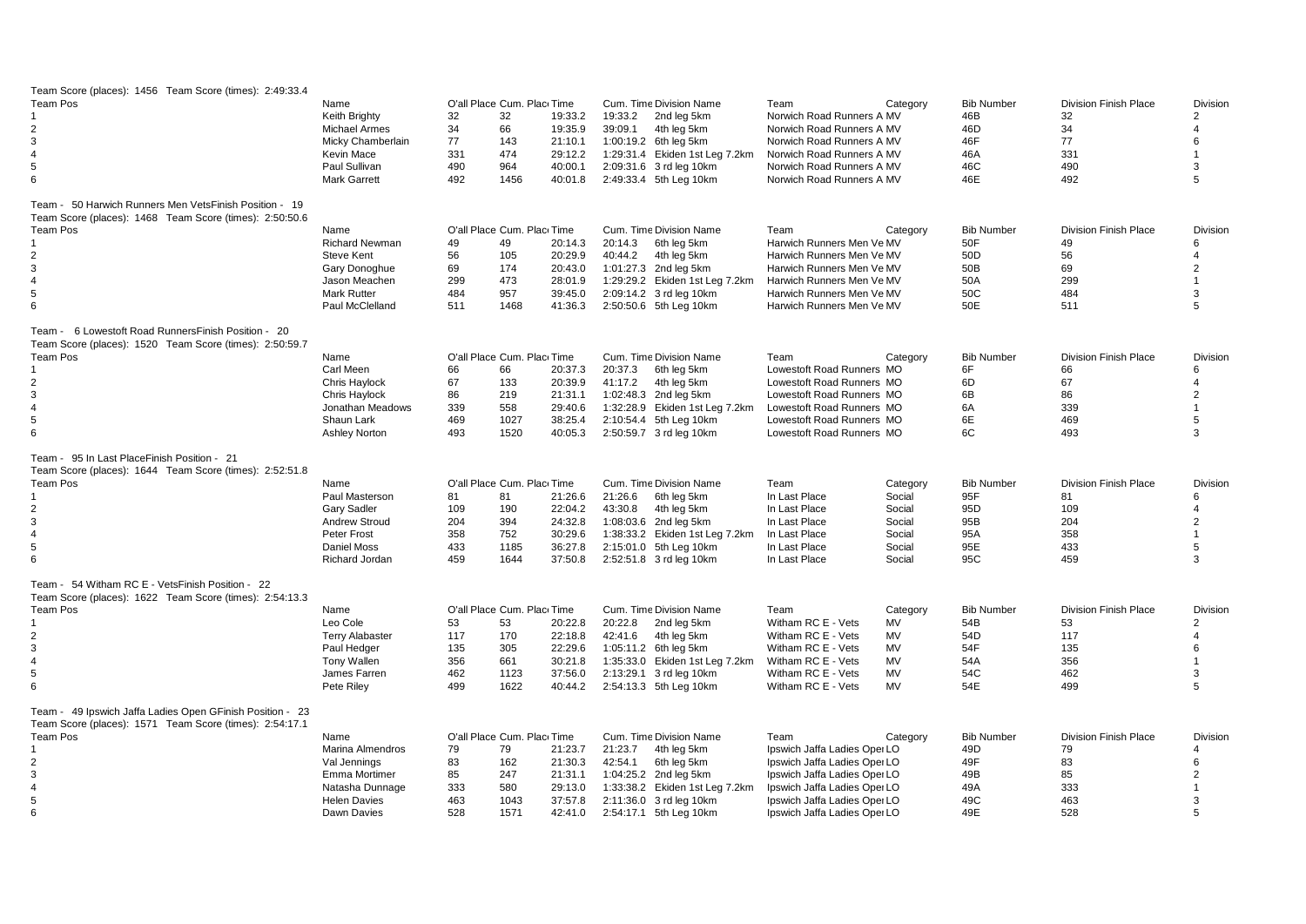| Team Score (places): 1456 Team Score (times): 2:49:33.4<br>Team Pos                                                  | Name                   |     | O'all Place Cum. Plac Time |         |         | Cum. Time Division Name        | Team                         | Category  | <b>Bib Number</b> | <b>Division Finish Place</b> | Division        |
|----------------------------------------------------------------------------------------------------------------------|------------------------|-----|----------------------------|---------|---------|--------------------------------|------------------------------|-----------|-------------------|------------------------------|-----------------|
|                                                                                                                      | Keith Brighty          | 32  | 32                         | 19:33.2 | 19:33.2 | 2nd leg 5km                    | Norwich Road Runners A MV    |           | 46B               | 32                           | $\overline{2}$  |
| 2                                                                                                                    | Michael Armes          | 34  | 66                         | 19:35.9 | 39:09.1 | 4th leg 5km                    | Norwich Road Runners A MV    |           | 46D               | 34                           | 4               |
| 3                                                                                                                    | Micky Chamberlain      | 77  | 143                        | 21:10.1 |         | 1:00:19.2 6th leg 5km          | Norwich Road Runners A MV    |           | 46F               | 77                           | 6               |
| $\overline{4}$                                                                                                       | Kevin Mace             | 331 | 474                        | 29:12.2 |         | 1:29:31.4 Ekiden 1st Leg 7.2km | Norwich Road Runners A MV    |           | 46A               | 331                          |                 |
| 5                                                                                                                    | Paul Sullivan          | 490 | 964                        | 40:00.1 |         | 2:09:31.6 3 rd leg 10km        | Norwich Road Runners A MV    |           | 46C               | 490                          | 3               |
| 6                                                                                                                    | <b>Mark Garrett</b>    | 492 | 1456                       | 40:01.8 |         | 2:49:33.4 5th Leg 10km         | Norwich Road Runners A MV    |           | 46E               | 492                          | 5               |
| Team - 50 Harwich Runners Men VetsFinish Position - 19                                                               |                        |     |                            |         |         |                                |                              |           |                   |                              |                 |
| Team Score (places): 1468 Team Score (times): 2:50:50.6                                                              |                        |     |                            |         |         |                                |                              |           |                   |                              |                 |
| <b>Team Pos</b>                                                                                                      | Name                   |     | O'all Place Cum. Plac Time |         |         | Cum. Time Division Name        | Team                         | Category  | <b>Bib Number</b> | <b>Division Finish Place</b> | <b>Division</b> |
|                                                                                                                      | <b>Richard Newman</b>  | 49  | 49                         | 20:14.3 | 20:14.3 | 6th leg 5km                    | Harwich Runners Men Ve MV    |           | 50F               | 49                           | 6               |
| $\overline{2}$                                                                                                       | Steve Kent             | 56  | 105                        | 20:29.9 | 40:44.2 | 4th leg 5km                    | Harwich Runners Men Ve MV    |           | 50 <sub>D</sub>   | 56                           | $\overline{4}$  |
| 3                                                                                                                    | Gary Donoghue          | 69  | 174                        | 20:43.0 |         | 1:01:27.3 2nd leg 5km          | Harwich Runners Men Ve MV    |           | 50B               | 69                           | $\overline{2}$  |
| $\overline{4}$                                                                                                       | Jason Meachen          | 299 | 473                        | 28:01.9 |         | 1:29:29.2 Ekiden 1st Leg 7.2km | Harwich Runners Men Ve MV    |           | 50A               | 299                          | $\overline{1}$  |
| 5                                                                                                                    | <b>Mark Rutter</b>     | 484 | 957                        | 39:45.0 |         | 2:09:14.2 3 rd leg 10km        | Harwich Runners Men Ve MV    |           | 50C               | 484                          | 3               |
| 6                                                                                                                    | Paul McClelland        | 511 | 1468                       | 41:36.3 |         | 2:50:50.6 5th Leg 10km         | Harwich Runners Men Ve MV    |           | 50E               | 511                          | 5               |
|                                                                                                                      |                        |     |                            |         |         |                                |                              |           |                   |                              |                 |
| Team - 6 Lowestoft Road Runners Finish Position - 20<br>Team Score (places): 1520 Team Score (times): 2:50:59.7      |                        |     |                            |         |         |                                |                              |           |                   |                              |                 |
| <b>Team Pos</b>                                                                                                      | Name                   |     | O'all Place Cum. Plac Time |         |         | Cum. Time Division Name        | Team                         | Category  | <b>Bib Number</b> | <b>Division Finish Place</b> | Division        |
|                                                                                                                      | Carl Meen              | 66  | 66                         | 20:37.3 | 20:37.3 | 6th leg 5km                    | Lowestoft Road Runners MO    |           | 6F                | 66                           | 6               |
| $\overline{2}$                                                                                                       | Chris Haylock          | 67  | 133                        | 20:39.9 | 41:17.2 | 4th leg 5km                    | Lowestoft Road Runners MO    |           | 6D                | 67                           | 4               |
| 3                                                                                                                    | Chris Haylock          | 86  | 219                        | 21:31.1 |         | 1:02:48.3 2nd leg 5km          | Lowestoft Road Runners MO    |           | 6B                | 86                           | $\overline{2}$  |
| $\overline{4}$                                                                                                       | Jonathan Meadows       | 339 | 558                        | 29:40.6 |         | 1:32:28.9 Ekiden 1st Leg 7.2km | Lowestoft Road Runners MO    |           | 6A                | 339                          | $\mathbf 1$     |
| 5                                                                                                                    | Shaun Lark             | 469 | 1027                       | 38:25.4 |         | 2:10:54.4 5th Leg 10km         | Lowestoft Road Runners MO    |           | 6E                | 469                          | 5               |
| 6                                                                                                                    | Ashley Norton          | 493 | 1520                       | 40:05.3 |         | 2:50:59.7 3 rd leg 10km        | Lowestoft Road Runners MO    |           | 6C                | 493                          | 3               |
|                                                                                                                      |                        |     |                            |         |         |                                |                              |           |                   |                              |                 |
| Team - 95 In Last Place Finish Position - 21<br>Team Score (places): 1644 Team Score (times): 2:52:51.8              |                        |     |                            |         |         |                                |                              |           |                   |                              |                 |
| <b>Team Pos</b>                                                                                                      | Name                   |     | O'all Place Cum. Plac Time |         |         | Cum. Time Division Name        | Team                         | Category  | <b>Bib Number</b> | <b>Division Finish Place</b> | Division        |
|                                                                                                                      | Paul Masterson         | 81  | 81                         | 21:26.6 | 21:26.6 | 6th leg 5km                    | In Last Place                | Social    | 95F               | 81                           | 6               |
| $\overline{2}$                                                                                                       | <b>Gary Sadler</b>     | 109 | 190                        | 22:04.2 | 43:30.8 | 4th leg 5km                    | In Last Place                | Social    | 95 <sub>D</sub>   | 109                          | 4               |
| 3                                                                                                                    | Andrew Stroud          | 204 | 394                        | 24:32.8 |         | 1:08:03.6 2nd leg 5km          | In Last Place                | Social    | 95B               | 204                          | $\overline{2}$  |
| $\overline{4}$                                                                                                       | Peter Frost            | 358 | 752                        | 30:29.6 |         | 1:38:33.2 Ekiden 1st Leg 7.2km | In Last Place                | Social    | 95A               | 358                          | $\mathbf{1}$    |
| 5                                                                                                                    | Daniel Moss            | 433 | 1185                       | 36:27.8 |         | 2:15:01.0 5th Leg 10km         | In Last Place                | Social    | 95E               | 433                          | 5               |
| 6                                                                                                                    | Richard Jordan         | 459 | 1644                       | 37:50.8 |         | 2:52:51.8 3 rd leg 10km        | In Last Place                | Social    | 95C               | 459                          | 3               |
| Team - 54 Witham RC E - VetsFinish Position - 22                                                                     |                        |     |                            |         |         |                                |                              |           |                   |                              |                 |
| Team Score (places): 1622 Team Score (times): 2:54:13.3                                                              |                        |     |                            |         |         |                                |                              |           |                   |                              |                 |
| <b>Team Pos</b>                                                                                                      | Name                   |     | O'all Place Cum. Plac Time |         |         | Cum. Time Division Name        | Team                         | Category  | <b>Bib Number</b> | <b>Division Finish Place</b> | <b>Division</b> |
|                                                                                                                      | Leo Cole               | 53  | 53                         | 20:22.8 | 20:22.8 | 2nd leg 5km                    | Witham RC E - Vets           | MV        | 54B               | 53                           | $\overline{2}$  |
| $\overline{2}$                                                                                                       | <b>Terry Alabaster</b> | 117 | 170                        | 22:18.8 | 42:41.6 | 4th leg 5km                    | Witham RC E - Vets           | MV        | 54D               | 117                          | $\overline{4}$  |
| 3                                                                                                                    | Paul Hedger            | 135 | 305                        | 22:29.6 |         | 1:05:11.2 6th leg 5km          | Witham RC E - Vets           | <b>MV</b> | 54F               | 135                          | 6               |
| $\overline{4}$                                                                                                       | <b>Tony Wallen</b>     | 356 | 661                        | 30:21.8 |         | 1:35:33.0 Ekiden 1st Leg 7.2km | Witham RC E - Vets           | <b>MV</b> | 54A               | 356                          |                 |
| 5                                                                                                                    | James Farren           | 462 | 1123                       | 37:56.0 |         | 2:13:29.1 3 rd leg 10km        | Witham RC E - Vets           | <b>MV</b> | 54C               | 462                          | 3               |
| 6                                                                                                                    | Pete Riley             | 499 | 1622                       | 40:44.2 |         | 2:54:13.3 5th Leg 10km         | Witham RC E - Vets           | MV        | 54E               | 499                          | 5               |
| Team - 49 Ipswich Jaffa Ladies Open GFinish Position - 23<br>Team Score (places): 1571 Team Score (times): 2:54:17.1 |                        |     |                            |         |         |                                |                              |           |                   |                              |                 |
| <b>Team Pos</b>                                                                                                      | Name                   |     | O'all Place Cum. Plac Time |         |         | Cum. Time Division Name        | Team                         | Category  | <b>Bib Number</b> | <b>Division Finish Place</b> | Division        |
| -1                                                                                                                   | Marina Almendros       | 79  | 79                         | 21:23.7 | 21:23.7 | 4th leg 5km                    | Ipswich Jaffa Ladies Oper LO |           | 49D               | 79                           | 4               |
| $\overline{2}$                                                                                                       | Val Jennings           | 83  | 162                        | 21:30.3 | 42:54.1 | 6th leg 5km                    | Ipswich Jaffa Ladies Oper LO |           | 49F               | 83                           | 6               |
| 3                                                                                                                    | Emma Mortimer          | 85  | 247                        | 21:31.1 |         | 1:04:25.2 2nd leg 5km          | Ipswich Jaffa Ladies Oper LO |           | 49B               | 85                           | $\overline{2}$  |
| 4                                                                                                                    | Natasha Dunnage        | 333 | 580                        | 29:13.0 |         | 1:33:38.2 Ekiden 1st Leg 7.2km | Ipswich Jaffa Ladies Oper LO |           | 49A               | 333                          |                 |
| 5                                                                                                                    | <b>Helen Davies</b>    | 463 | 1043                       | 37:57.8 |         | 2:11:36.0 3 rd leg 10km        | Ipswich Jaffa Ladies Oper LO |           | 49C               | 463                          | 3               |
| 6                                                                                                                    | Dawn Davies            | 528 | 1571                       | 42:41.0 |         | 2:54:17.1 5th Leg 10km         | Ipswich Jaffa Ladies Oper LO |           | 49E               | 528                          | 5               |
|                                                                                                                      |                        |     |                            |         |         |                                |                              |           |                   |                              |                 |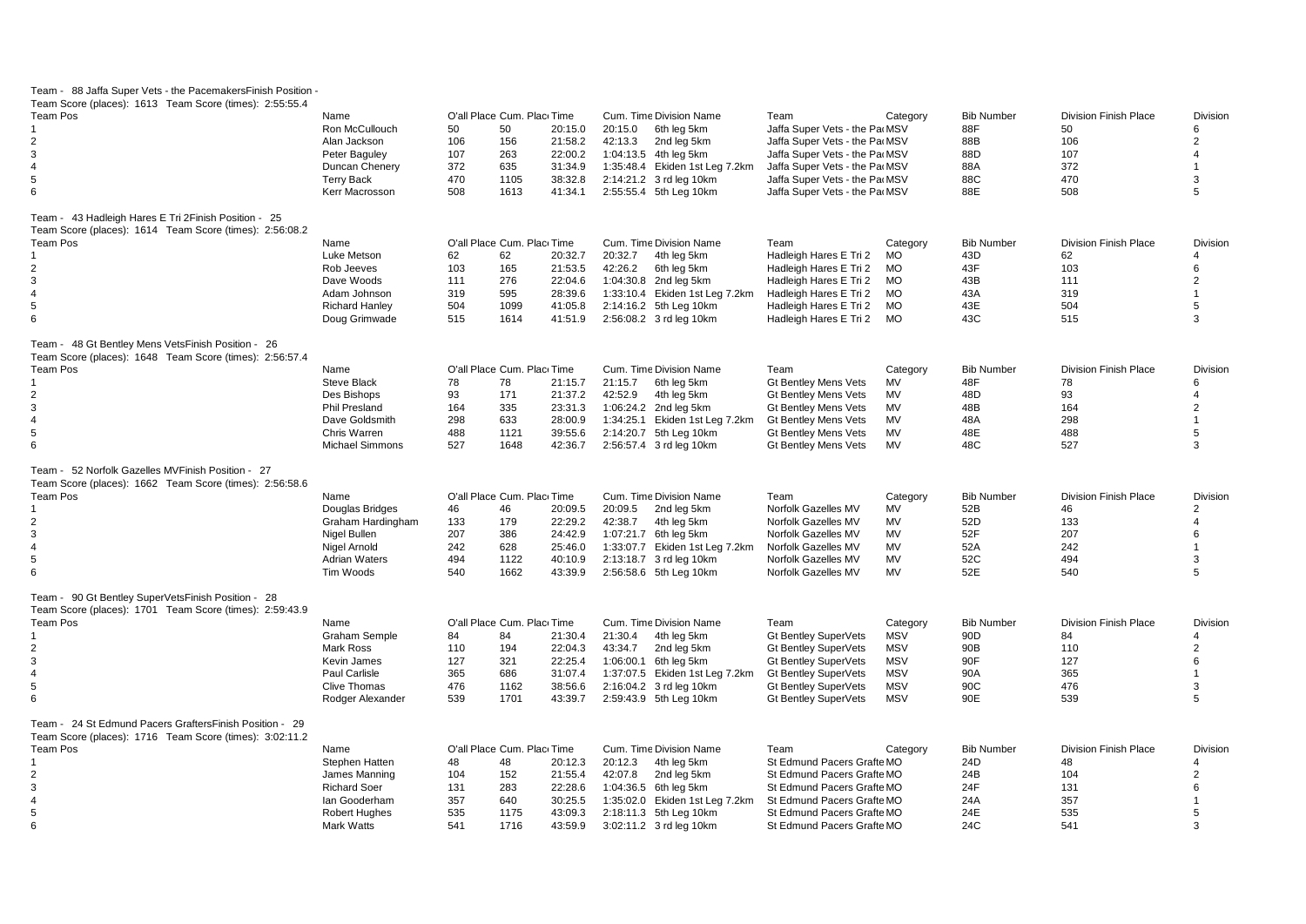| Team - 88 Jaffa Super Vets - the Pacemakers Finish Position |                        |     |                            |         |                                |                               |            |                   |                              |                   |
|-------------------------------------------------------------|------------------------|-----|----------------------------|---------|--------------------------------|-------------------------------|------------|-------------------|------------------------------|-------------------|
| Team Score (places): 1613 Team Score (times): 2:55:55.4     |                        |     |                            |         |                                |                               |            |                   |                              |                   |
| Team Pos                                                    | Name                   |     | O'all Place Cum. Plac Time |         | Cum. Time Division Name        | Team                          | Category   | <b>Bib Number</b> | <b>Division Finish Place</b> | Division          |
|                                                             | Ron McCullouch         | 50  | 50                         | 20:15.0 | 20:15.0<br>6th leg 5km         | Jaffa Super Vets - the Pa MSV |            | 88F               | 50                           | 6                 |
| 2                                                           | Alan Jackson           | 106 | 156                        | 21:58.2 | 42:13.3<br>2nd leg 5km         | Jaffa Super Vets - the Pa MSV |            | 88B               | 106                          | $\overline{2}$    |
| 3                                                           | Peter Baguley          | 107 | 263                        | 22:00.2 | 1:04:13.5 4th leg 5km          | Jaffa Super Vets - the Pa MSV |            | 88D               | 107                          | $\overline{4}$    |
| $\overline{\mathbf{A}}$                                     | Duncan Chenery         | 372 | 635                        | 31:34.9 | 1:35:48.4 Ekiden 1st Leg 7.2km | Jaffa Super Vets - the Pa MSV |            | 88A               | 372                          |                   |
| 5                                                           | <b>Terry Back</b>      | 470 | 1105                       | 38:32.8 | 2:14:21.2 3 rd leg 10km        | Jaffa Super Vets - the Pa MSV |            | 88C               | 470                          | 3                 |
| 6                                                           | Kerr Macrosson         | 508 | 1613                       | 41:34.1 | 2:55:55.4 5th Leg 10km         | Jaffa Super Vets - the Pa MSV |            | 88E               | 508                          | 5                 |
|                                                             |                        |     |                            |         |                                |                               |            |                   |                              |                   |
| Team - 43 Hadleigh Hares E Tri 2Finish Position - 25        |                        |     |                            |         |                                |                               |            |                   |                              |                   |
| Team Score (places): 1614 Team Score (times): 2:56:08.2     |                        |     |                            |         |                                |                               |            |                   |                              |                   |
| <b>Team Pos</b>                                             | Name                   |     | O'all Place Cum. Plac Time |         | Cum. Time Division Name        | Team                          | Category   | <b>Bib Number</b> | <b>Division Finish Place</b> | Division          |
|                                                             | Luke Metson            | 62  | 62                         | 20:32.7 | 20:32.7<br>4th leg 5km         | Hadleigh Hares E Tri 2        | MO         | 43D               | 62                           | Δ                 |
| 2                                                           | Rob Jeeves             | 103 | 165                        | 21:53.5 | 42:26.2<br>6th leg 5km         | Hadleigh Hares E Tri 2        | <b>MO</b>  | 43F               | 103                          | 6                 |
| 3                                                           | Dave Woods             | 111 | 276                        | 22:04.6 | 1:04:30.8 2nd leg 5km          | Hadleigh Hares E Tri 2        | <b>MO</b>  | 43B               | 111                          | $\overline{2}$    |
| $\overline{4}$                                              | Adam Johnson           | 319 | 595                        | 28:39.6 | 1:33:10.4 Ekiden 1st Leg 7.2km | Hadleigh Hares E Tri 2        | MO         | 43A               | 319                          | $\mathbf{1}$      |
| 5                                                           | <b>Richard Hanley</b>  | 504 | 1099                       | 41:05.8 | 2:14:16.2 5th Leg 10km         | Hadleigh Hares E Tri 2        | <b>MO</b>  | 43E               | 504                          | 5                 |
| 6                                                           | Doug Grimwade          | 515 | 1614                       | 41:51.9 | 2:56:08.2 3 rd leg 10km        | Hadleigh Hares E Tri 2        | MO         | 43C               | 515                          | 3                 |
|                                                             |                        |     |                            |         |                                |                               |            |                   |                              |                   |
| Team - 48 Gt Bentley Mens VetsFinish Position - 26          |                        |     |                            |         |                                |                               |            |                   |                              |                   |
| Team Score (places): 1648 Team Score (times): 2:56:57.4     |                        |     |                            |         |                                |                               |            |                   |                              |                   |
| <b>Team Pos</b>                                             | Name                   |     | O'all Place Cum. Plac Time |         | Cum. Time Division Name        | Team                          | Category   | <b>Bib Number</b> | <b>Division Finish Place</b> | <b>Division</b>   |
|                                                             | <b>Steve Black</b>     | 78  | 78                         | 21:15.7 | 21:15.7<br>6th leg 5km         | <b>Gt Bentley Mens Vets</b>   | MV         | 48F               | 78                           | 6                 |
| 2                                                           | Des Bishops            | 93  | 171                        | 21:37.2 | 42:52.9<br>4th leg 5km         | <b>Gt Bentley Mens Vets</b>   | MV         | 48D               | 93                           | $\overline{4}$    |
| 3                                                           | Phil Presland          | 164 | 335                        | 23:31.3 | 1:06:24.2 2nd leg 5km          | <b>Gt Bentley Mens Vets</b>   | MV         | 48B               | 164                          | $\overline{2}$    |
| $\overline{4}$                                              | Dave Goldsmith         | 298 | 633                        | 28:00.9 | 1:34:25.1 Ekiden 1st Leg 7.2km | <b>Gt Bentley Mens Vets</b>   | <b>MV</b>  | 48A               | 298                          | $\mathbf{1}$      |
|                                                             |                        |     |                            |         |                                |                               |            |                   |                              |                   |
| 5                                                           | Chris Warren           | 488 | 1121                       | 39:55.6 | 2:14:20.7 5th Leg 10km         | <b>Gt Bentley Mens Vets</b>   | <b>MV</b>  | 48E               | 488                          | 5                 |
| 6                                                           | <b>Michael Simmons</b> | 527 | 1648                       | 42:36.7 | 2:56:57.4 3 rd leg 10km        | <b>Gt Bentley Mens Vets</b>   | <b>MV</b>  | 48C               | 527                          | 3                 |
| 52 Norfolk Gazelles MVFinish Position - 27<br>Team -        |                        |     |                            |         |                                |                               |            |                   |                              |                   |
| Team Score (places): 1662 Team Score (times): 2:56:58.6     |                        |     |                            |         |                                |                               |            |                   |                              |                   |
| <b>Team Pos</b>                                             | Name                   |     | O'all Place Cum. Plac Time |         | Cum. Time Division Name        | Team                          | Category   | <b>Bib Number</b> | <b>Division Finish Place</b> | Division          |
|                                                             | Douglas Bridges        | 46  | 46                         | 20:09.5 | 20:09.5<br>2nd leg 5km         | Norfolk Gazelles MV           | <b>MV</b>  | 52B               | 46                           | $\overline{2}$    |
| $\overline{2}$                                              | Graham Hardingham      | 133 | 179                        | 22:29.2 | 42:38.7<br>4th leg 5km         | Norfolk Gazelles MV           | MV         | 52D               | 133                          | $\overline{4}$    |
| 3                                                           |                        | 207 | 386                        | 24:42.9 | 1:07:21.7 6th leg 5km          | Norfolk Gazelles MV           | <b>MV</b>  | 52F               | 207                          | 6                 |
|                                                             | Nigel Bullen           |     |                            |         |                                |                               |            |                   |                              |                   |
| 4                                                           | Nigel Arnold           | 242 | 628                        | 25:46.0 | 1:33:07.7 Ekiden 1st Leg 7.2km | Norfolk Gazelles MV           | MV         | 52A               | 242                          | $\mathbf 1$       |
| 5                                                           | <b>Adrian Waters</b>   | 494 | 1122                       | 40:10.9 | 2:13:18.7 3 rd leg 10km        | Norfolk Gazelles MV           | <b>MV</b>  | 52C               | 494                          | 3                 |
| 6                                                           | Tim Woods              | 540 | 1662                       | 43:39.9 | 2:56:58.6 5th Leg 10km         | Norfolk Gazelles MV           | <b>MV</b>  | 52E               | 540                          | 5                 |
| Team - 90 Gt Bentley SuperVetsFinish Position - 28          |                        |     |                            |         |                                |                               |            |                   |                              |                   |
| Team Score (places): 1701 Team Score (times): 2:59:43.9     |                        |     |                            |         |                                |                               |            |                   |                              |                   |
| <b>Team Pos</b>                                             | Name                   |     | O'all Place Cum. Plac Time |         | Cum. Time Division Name        | Team                          | Category   | <b>Bib Number</b> | <b>Division Finish Place</b> | Division          |
| -1                                                          | <b>Graham Semple</b>   | 84  | 84                         | 21:30.4 | 21:30.4<br>4th leg 5km         | <b>Gt Bentley SuperVets</b>   | <b>MSV</b> | 90 <sub>D</sub>   | 84                           | 4                 |
| $\overline{2}$                                              | Mark Ross              | 110 | 194                        | 22:04.3 | 43:34.7<br>2nd leg 5km         | <b>Gt Bentley SuperVets</b>   | <b>MSV</b> | 90B               | 110                          | $\overline{2}$    |
|                                                             |                        |     |                            |         |                                |                               |            |                   |                              |                   |
| 3                                                           | Kevin James            | 127 | 321                        | 22:25.4 | 1:06:00.1 6th leg 5km          | <b>Gt Bentley SuperVets</b>   | <b>MSV</b> | 90F               | 127                          | 6<br>$\mathbf{1}$ |
| $\overline{4}$                                              | Paul Carlisle          | 365 | 686                        | 31:07.4 | 1:37:07.5 Ekiden 1st Leg 7.2km | <b>Gt Bentley SuperVets</b>   | <b>MSV</b> | 90A               | 365                          |                   |
| 5                                                           | <b>Clive Thomas</b>    | 476 | 1162                       | 38:56.6 | 2:16:04.2 3 rd leg 10km        | <b>Gt Bentley SuperVets</b>   | <b>MSV</b> | 90C               | 476                          | 3                 |
| 6                                                           | Rodger Alexander       | 539 | 1701                       | 43:39.7 | 2:59:43.9 5th Leg 10km         | <b>Gt Bentley SuperVets</b>   | <b>MSV</b> | 90E               | 539                          | 5                 |
| Team - 24 St Edmund Pacers Grafters Finish Position - 29    |                        |     |                            |         |                                |                               |            |                   |                              |                   |
| Team Score (places): 1716 Team Score (times): 3:02:11.2     |                        |     |                            |         |                                |                               |            |                   |                              |                   |
| <b>Team Pos</b>                                             | Name                   |     | O'all Place Cum. Plac Time |         | Cum. Time Division Name        | Team                          | Category   | <b>Bib Number</b> | <b>Division Finish Place</b> | Division          |
| -1                                                          | Stephen Hatten         | 48  | 48                         | 20:12.3 | 20:12.3<br>4th leg 5km         | St Edmund Pacers Grafte MO    |            | 24D               | 48                           | 4                 |
|                                                             |                        |     |                            |         |                                |                               |            |                   |                              |                   |
| $\overline{2}$                                              | James Manning          | 104 | 152                        | 21:55.4 | 42:07.8<br>2nd leg 5km         | St Edmund Pacers Grafte MO    |            | 24B               | 104                          | 2                 |
| 3                                                           | <b>Richard Soer</b>    | 131 | 283                        | 22:28.6 | 1:04:36.5 6th leg 5km          | St Edmund Pacers Grafte MO    |            | 24F               | 131                          | 6                 |
| $\overline{4}$                                              | lan Gooderham          | 357 | 640                        | 30:25.5 | 1:35:02.0 Ekiden 1st Leg 7.2km | St Edmund Pacers Grafte MO    |            | 24A               | 357                          | 1                 |
| 5                                                           | <b>Robert Hughes</b>   | 535 | 1175                       | 43:09.3 | 2:18:11.3 5th Leg 10km         | St Edmund Pacers Grafte MO    |            | 24E               | 535                          | 5                 |
| 6                                                           | Mark Watts             | 541 | 1716                       | 43:59.9 | 3:02:11.2 3 rd leg 10km        | St Edmund Pacers Grafte MO    |            | 24C               | 541                          | 3                 |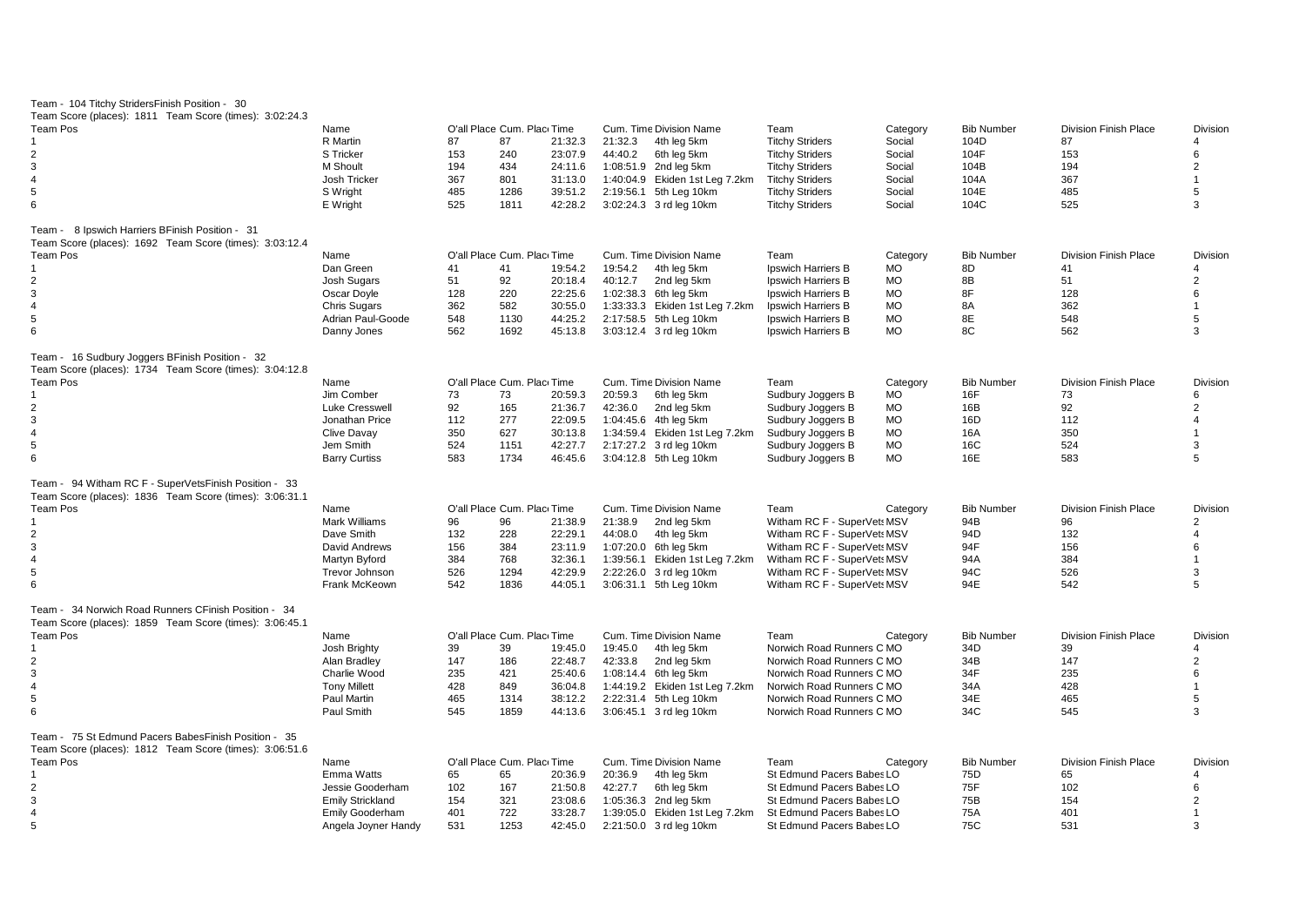| Team - 104 Titchy StridersFinish Position - 30          |                         |     |                            |         |                                |                             |           |                   |                              |                 |
|---------------------------------------------------------|-------------------------|-----|----------------------------|---------|--------------------------------|-----------------------------|-----------|-------------------|------------------------------|-----------------|
| Team Score (places): 1811 Team Score (times): 3:02:24.3 |                         |     |                            |         |                                |                             |           |                   |                              |                 |
| <b>Team Pos</b>                                         | Name                    |     | O'all Place Cum. Plac Time |         | Cum. Time Division Name        | Team                        | Category  | <b>Bib Number</b> | <b>Division Finish Place</b> | <b>Division</b> |
|                                                         | R Martin                | 87  | 87                         | 21:32.3 | 21:32.3<br>4th leg 5km         | <b>Titchy Striders</b>      | Social    | 104D              | 87                           | 4               |
| $\overline{2}$                                          | <b>S</b> Tricker        | 153 | 240                        | 23:07.9 | 44:40.2<br>6th leg 5km         | <b>Titchy Striders</b>      | Social    | 104F              | 153                          | 6               |
| 3                                                       | M Shoult                | 194 | 434                        | 24:11.6 | 1:08:51.9 2nd leg 5km          | <b>Titchy Striders</b>      | Social    | 104B              | 194                          | $\overline{2}$  |
| $\overline{4}$                                          | Josh Tricker            | 367 | 801                        | 31:13.0 | 1:40:04.9 Ekiden 1st Leg 7.2km | <b>Titchy Striders</b>      | Social    | 104A              | 367                          | $\mathbf{1}$    |
| 5                                                       | S Wright                | 485 | 1286                       | 39:51.2 | 2:19:56.1 5th Leg 10km         | <b>Titchy Striders</b>      | Social    | 104E              | 485                          | 5               |
| 6                                                       | E Wright                | 525 | 1811                       | 42:28.2 | 3:02:24.3 3 rd leg 10km        | <b>Titchy Striders</b>      | Social    | 104C              | 525                          | 3               |
| Team - 8 Ipswich Harriers BFinish Position - 31         |                         |     |                            |         |                                |                             |           |                   |                              |                 |
| Team Score (places): 1692 Team Score (times): 3:03:12.4 |                         |     |                            |         |                                |                             |           |                   |                              |                 |
| Team Pos                                                | Name                    |     | O'all Place Cum. Plac Time |         | Cum. Time Division Name        | Team                        | Category  | <b>Bib Number</b> | <b>Division Finish Place</b> | <b>Division</b> |
|                                                         | Dan Green               | 41  | 41                         | 19:54.2 | 19:54.2<br>4th leg 5km         | Ipswich Harriers B          | МO        | 8D                | 41                           | 4               |
| $\overline{2}$                                          | Josh Sugars             | 51  | 92                         | 20:18.4 | 40:12.7<br>2nd leg 5km         | Ipswich Harriers B          | <b>MO</b> | 8B                | 51                           | $\overline{2}$  |
| $\mathsf 3$                                             | Oscar Doyle             | 128 | 220                        | 22:25.6 | 1:02:38.3 6th leg 5km          | Ipswich Harriers B          | <b>MO</b> | 8F                | 128                          | 6               |
| $\overline{4}$                                          | <b>Chris Sugars</b>     | 362 | 582                        | 30:55.0 | 1:33:33.3 Ekiden 1st Leg 7.2km | Ipswich Harriers B          | <b>MO</b> | 8A                | 362                          | $\mathbf{1}$    |
| 5                                                       | Adrian Paul-Goode       | 548 | 1130                       | 44:25.2 | 2:17:58.5 5th Leg 10km         | <b>Ipswich Harriers B</b>   | <b>MO</b> | 8E                | 548                          | 5               |
| 6                                                       |                         | 562 | 1692                       | 45:13.8 |                                |                             | <b>MO</b> | 8C                | 562                          | 3               |
|                                                         | Danny Jones             |     |                            |         | 3:03:12.4 3 rd leg 10km        | Ipswich Harriers B          |           |                   |                              |                 |
| Team - 16 Sudbury Joggers BFinish Position - 32         |                         |     |                            |         |                                |                             |           |                   |                              |                 |
| Team Score (places): 1734 Team Score (times): 3:04:12.8 |                         |     |                            |         |                                |                             |           |                   |                              |                 |
| Team Pos                                                | Name                    |     | O'all Place Cum. Plac Time |         | Cum. Time Division Name        | Team                        | Category  | <b>Bib Number</b> | <b>Division Finish Place</b> | Division        |
|                                                         | Jim Comber              | 73  | 73                         | 20:59.3 | 20:59.3<br>6th leg 5km         | Sudbury Joggers B           | <b>MO</b> | 16F               | 73                           | 6               |
| $\overline{2}$                                          | Luke Cresswell          | 92  | 165                        | 21:36.7 | 2nd leg 5km<br>42:36.0         | Sudbury Joggers B           | МO        | 16B               | 92                           | $\overline{c}$  |
| 3                                                       | Jonathan Price          | 112 | 277                        | 22:09.5 | 1:04:45.6 4th leg 5km          | Sudbury Joggers B           | <b>MO</b> | 16D               | 112                          | 4               |
| $\overline{4}$                                          | Clive Davay             | 350 | 627                        | 30:13.8 | 1:34:59.4 Ekiden 1st Leg 7.2km | Sudbury Joggers B           | <b>MO</b> | 16A               | 350                          | $\mathbf{1}$    |
| 5                                                       | Jem Smith               | 524 | 1151                       | 42:27.7 | 2:17:27.2 3 rd leg 10km        | Sudbury Joggers B           | <b>MO</b> | 16C               | 524                          | 3               |
| 6                                                       | <b>Barry Curtiss</b>    | 583 | 1734                       | 46:45.6 | 3:04:12.8 5th Leg 10km         | Sudbury Joggers B           | <b>MO</b> | 16E               | 583                          | 5               |
| Team - 94 Witham RC F - SuperVetsFinish Position - 33   |                         |     |                            |         |                                |                             |           |                   |                              |                 |
| Team Score (places): 1836 Team Score (times): 3:06:31.1 |                         |     |                            |         |                                |                             |           |                   |                              |                 |
| <b>Team Pos</b>                                         | Name                    |     | O'all Place Cum. Plac Time |         | Cum. Time Division Name        | Team                        | Category  | <b>Bib Number</b> | <b>Division Finish Place</b> | Division        |
|                                                         | <b>Mark Williams</b>    | 96  | 96                         | 21:38.9 | 21:38.9<br>2nd leg 5km         | Witham RC F - SuperVet: MSV |           | 94B               | 96                           | 2               |
| $\overline{2}$                                          | Dave Smith              | 132 | 228                        | 22:29.1 | 44:08.0<br>4th leg 5km         | Witham RC F - SuperVet: MSV |           | 94D               | 132                          | 4               |
| 3                                                       | David Andrews           | 156 | 384                        | 23:11.9 | 1:07:20.0 6th leg 5km          | Witham RC F - SuperVet: MSV |           | 94F               | 156                          | 6               |
| $\overline{4}$                                          | Martyn Byford           | 384 | 768                        | 32:36.1 | 1:39:56.1 Ekiden 1st Leg 7.2km | Witham RC F - SuperVet: MSV |           | 94A               | 384                          | $\mathbf{1}$    |
| 5                                                       | Trevor Johnson          | 526 | 1294                       | 42:29.9 | 2:22:26.0 3 rd leg 10km        | Witham RC F - SuperVet: MSV |           | 94C               | 526                          | 3               |
| 6                                                       | Frank McKeown           | 542 | 1836                       | 44:05.1 | 3:06:31.1 5th Leg 10km         | Witham RC F - SuperVet: MSV |           | 94E               | 542                          | 5               |
|                                                         |                         |     |                            |         |                                |                             |           |                   |                              |                 |
| Team - 34 Norwich Road Runners CFinish Position - 34    |                         |     |                            |         |                                |                             |           |                   |                              |                 |
| Team Score (places): 1859 Team Score (times): 3:06:45.1 |                         |     |                            |         |                                |                             |           |                   |                              |                 |
| Team Pos                                                | Name                    |     | O'all Place Cum. Plac Time |         | Cum. Time Division Name        | Team                        | Category  | <b>Bib Number</b> | <b>Division Finish Place</b> | Division        |
| 1                                                       | Josh Brighty            | 39  | 39                         | 19:45.0 | 19:45.0<br>4th leg 5km         | Norwich Road Runners C MO   |           | 34D               | 39                           | 4               |
| $\overline{2}$                                          | Alan Bradlev            | 147 | 186                        | 22:48.7 | 42:33.8<br>2nd leg 5km         | Norwich Road Runners C MO   |           | 34B               | 147                          | $\overline{c}$  |
| 3                                                       | Charlie Wood            | 235 | 421                        | 25:40.6 | 1:08:14.4 6th leg 5km          | Norwich Road Runners C MO   |           | 34F               | 235                          | 6               |
| $\overline{4}$                                          | <b>Tony Millett</b>     | 428 | 849                        | 36:04.8 | 1:44:19.2 Ekiden 1st Leg 7.2km | Norwich Road Runners C MO   |           | 34A               | 428                          | $\mathbf{1}$    |
| 5                                                       | Paul Martin             | 465 | 1314                       | 38:12.2 | 2:22:31.4 5th Leg 10km         | Norwich Road Runners C MO   |           | 34E               | 465                          | 5               |
| 6                                                       | Paul Smith              | 545 | 1859                       | 44:13.6 | 3:06:45.1 3 rd leg 10km        | Norwich Road Runners C MO   |           | 34C               | 545                          | 3               |
| Team - 75 St Edmund Pacers Babes Finish Position - 35   |                         |     |                            |         |                                |                             |           |                   |                              |                 |
| Team Score (places): 1812 Team Score (times): 3:06:51.6 |                         |     |                            |         |                                |                             |           |                   |                              |                 |
| <b>Team Pos</b>                                         | Name                    |     | O'all Place Cum. Plac Time |         | Cum. Time Division Name        | Team                        | Category  | <b>Bib Number</b> | <b>Division Finish Place</b> | Division        |
| 1                                                       | <b>Emma Watts</b>       | 65  | 65                         | 20:36.9 | 20:36.9<br>4th leg 5km         | St Edmund Pacers Babes LO   |           | 75D               | 65                           | Δ               |
| $\overline{2}$                                          | Jessie Gooderham        | 102 | 167                        | 21:50.8 | 42:27.7<br>6th leg 5km         | St Edmund Pacers Babes LO   |           | 75F               | 102                          | 6               |
| 3                                                       | <b>Emily Strickland</b> | 154 | 321                        | 23:08.6 | 1:05:36.3 2nd leg 5km          | St Edmund Pacers Babes LO   |           | 75B               | 154                          | $\overline{c}$  |
| $\overline{4}$                                          | Emily Gooderham         | 401 | 722                        | 33:28.7 | 1:39:05.0 Ekiden 1st Leg 7.2km | St Edmund Pacers Babes LO   |           | 75A               | 401                          | $\mathbf{1}$    |
| 5                                                       |                         | 531 | 1253                       | 42:45.0 |                                |                             |           | 75C               | 531                          | 3               |
|                                                         | Angela Joyner Handy     |     |                            |         | 2:21:50.0 3 rd leg 10km        | St Edmund Pacers Babes LO   |           |                   |                              |                 |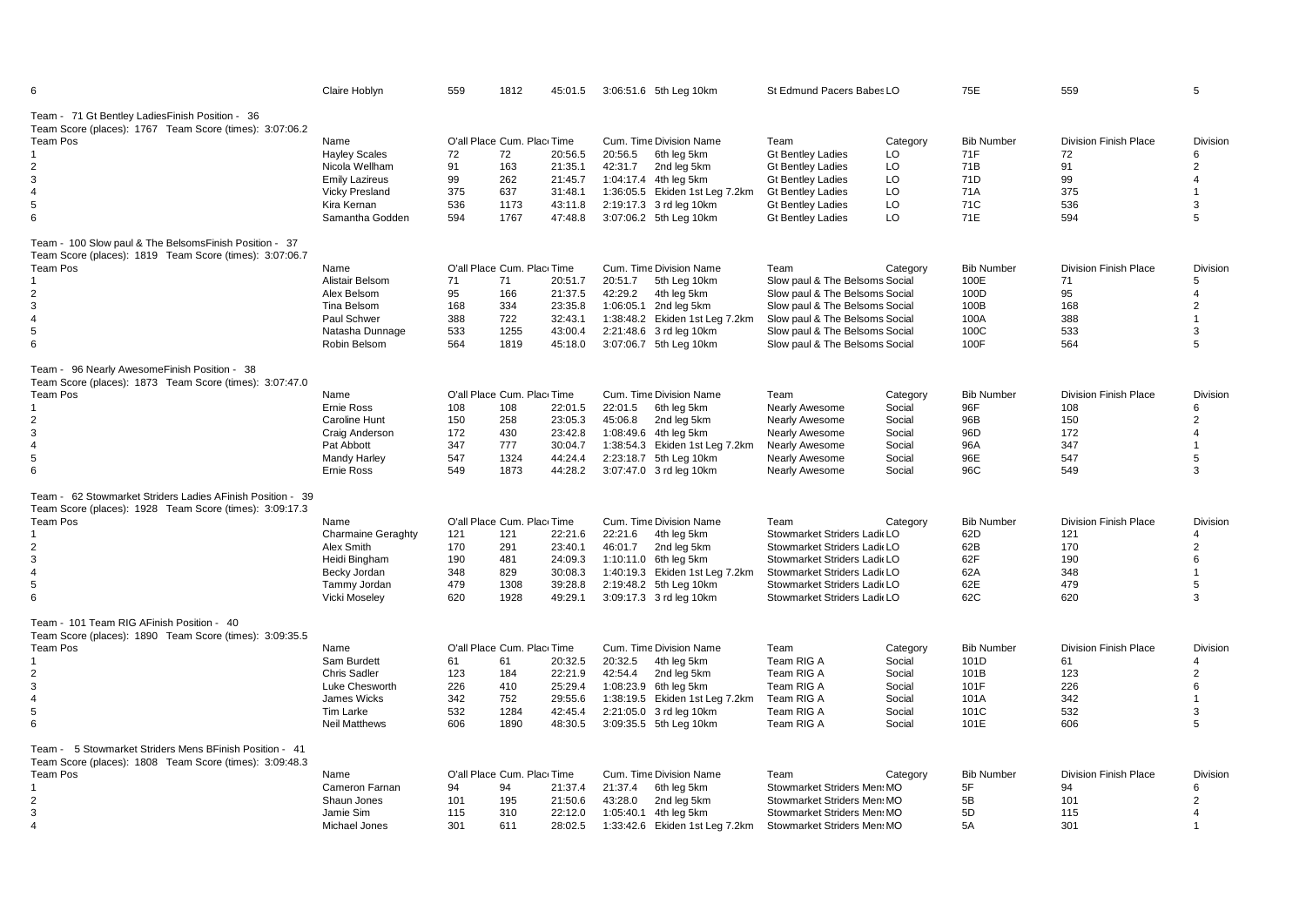| 6                                                                                                                                                                              | Claire Hoblyn                                                                                                               | 559                                    | 1812                                                                   | 45:01.5                                                        | 3:06:51.6 5th Leg 10km                                                                                                                                                                       | St Edmund Pacers Babes LO                                                                                                                                                                                        |                                                                      | 75E                                                               | 559                                                                    | 5                                                           |
|--------------------------------------------------------------------------------------------------------------------------------------------------------------------------------|-----------------------------------------------------------------------------------------------------------------------------|----------------------------------------|------------------------------------------------------------------------|----------------------------------------------------------------|----------------------------------------------------------------------------------------------------------------------------------------------------------------------------------------------|------------------------------------------------------------------------------------------------------------------------------------------------------------------------------------------------------------------|----------------------------------------------------------------------|-------------------------------------------------------------------|------------------------------------------------------------------------|-------------------------------------------------------------|
| Team - 71 Gt Bentley LadiesFinish Position - 36<br>Team Score (places): 1767 Team Score (times): 3:07:06.2<br><b>Team Pos</b><br>2<br>3<br>$\overline{\mathbf{A}}$<br>5<br>6   | Name<br><b>Hayley Scales</b><br>Nicola Wellham<br><b>Emily Lazireus</b><br>Vicky Presland<br>Kira Kernan<br>Samantha Godden | 72<br>91<br>99<br>375<br>536<br>594    | O'all Place Cum. Plac Time<br>72<br>163<br>262<br>637<br>1173<br>1767  | 20:56.5<br>21:35.1<br>21:45.7<br>31:48.1<br>43:11.8<br>47:48.8 | Cum. Time Division Name<br>20:56.5<br>6th leg 5km<br>42:31.7<br>2nd leg 5km<br>1:04:17.4 4th leg 5km<br>1:36:05.5 Ekiden 1st Leg 7.2km<br>2:19:17.3 3 rd leg 10km<br>3:07:06.2 5th Leg 10km  | Team<br><b>Gt Bentlev Ladies</b><br><b>Gt Bentley Ladies</b><br><b>Gt Bentley Ladies</b><br><b>Gt Bentley Ladies</b><br><b>Gt Bentley Ladies</b><br><b>Gt Bentley Ladies</b>                                     | Category<br>LO<br>LO<br>LO<br>LO<br>LO<br>LO                         | <b>Bib Number</b><br>71F<br>71B<br>71D<br>71A<br>71C<br>71E       | <b>Division Finish Place</b><br>72<br>91<br>99<br>375<br>536<br>594    | <b>Division</b><br>6<br>$\overline{2}$<br>4<br>3<br>5       |
| Team - 100 Slow paul & The BelsomsFinish Position - 37<br>Team Score (places): 1819 Team Score (times): 3:07:06.7<br><b>Team Pos</b><br>2<br>3<br>$\overline{4}$<br>5<br>6     | Name<br>Alistair Belsom<br>Alex Belsom<br>Tina Belsom<br>Paul Schwer<br>Natasha Dunnage<br>Robin Belsom                     | 71<br>95<br>168<br>388<br>533<br>564   | O'all Place Cum. Plac Time<br>71<br>166<br>334<br>722<br>1255<br>1819  | 20:51.7<br>21:37.5<br>23:35.8<br>32:43.1<br>43:00.4<br>45:18.0 | Cum. Time Division Name<br>20:51.7<br>5th Leg 10km<br>42:29.2<br>4th leg 5km<br>1:06:05.1 2nd leg 5km<br>1:38:48.2 Ekiden 1st Leg 7.2km<br>2:21:48.6 3 rd leg 10km<br>3:07:06.7 5th Leg 10km | Team<br>Slow paul & The Belsoms Social<br>Slow paul & The Belsoms Social<br>Slow paul & The Belsoms Social<br>Slow paul & The Belsoms Social<br>Slow paul & The Belsoms Social<br>Slow paul & The Belsoms Social | Category                                                             | <b>Bib Number</b><br>100E<br>100D<br>100B<br>100A<br>100C<br>100F | <b>Division Finish Place</b><br>71<br>95<br>168<br>388<br>533<br>564   | <b>Division</b><br>5<br>4<br>2<br>$\mathbf{1}$<br>3<br>5    |
| Team - 96 Nearly AwesomeFinish Position - 38<br>Team Score (places): 1873 Team Score (times): 3:07:47.0<br><b>Team Pos</b><br>$\overline{2}$<br>3<br>4<br>5<br>6               | Name<br>Ernie Ross<br>Caroline Hunt<br>Craig Anderson<br>Pat Abbott<br>Mandy Harley<br>Ernie Ross                           | 108<br>150<br>172<br>347<br>547<br>549 | O'all Place Cum. Plac Time<br>108<br>258<br>430<br>777<br>1324<br>1873 | 22:01.5<br>23:05.3<br>23:42.8<br>30:04.7<br>44:24.4<br>44:28.2 | Cum. Time Division Name<br>22:01.5<br>6th leg 5km<br>45:06.8<br>2nd leg 5km<br>1:08:49.6 4th leg 5km<br>1:38:54.3 Ekiden 1st Leg 7.2km<br>2:23:18.7 5th Leg 10km<br>3:07:47.0 3 rd leg 10km  | Team<br><b>Nearly Awesome</b><br>Nearly Awesome<br><b>Nearly Awesome</b><br>Nearly Awesome<br>Nearly Awesome<br><b>Nearly Awesome</b>                                                                            | Category<br>Social<br>Social<br>Social<br>Social<br>Social<br>Social | <b>Bib Number</b><br>96F<br>96B<br>96D<br>96A<br>96E<br>96C       | <b>Division Finish Place</b><br>108<br>150<br>172<br>347<br>547<br>549 | Division<br>6<br>$\overline{2}$<br>4<br>5<br>3              |
| Team - 62 Stowmarket Striders Ladies AFinish Position - 39<br>Team Score (places): 1928 Team Score (times): 3:09:17.3<br><b>Team Pos</b><br>2<br>3<br>4<br>5<br>6              | Name<br><b>Charmaine Geraghty</b><br>Alex Smith<br>Heidi Bingham<br>Becky Jordan<br>Tammy Jordan<br><b>Vicki Moseley</b>    | 121<br>170<br>190<br>348<br>479<br>620 | O'all Place Cum. Plac Time<br>121<br>291<br>481<br>829<br>1308<br>1928 | 22:21.6<br>23:40.1<br>24:09.3<br>30:08.3<br>39:28.8<br>49:29.1 | Cum. Time Division Name<br>22:21.6<br>4th leg 5km<br>46:01.7<br>2nd leg 5km<br>1:10:11.0 6th leg 5km<br>1:40:19.3 Ekiden 1st Leg 7.2km<br>2:19:48.2 5th Leg 10km<br>3:09:17.3 3 rd leg 10km  | Team<br>Stowmarket Striders Ladi LO<br>Stowmarket Striders Ladi LO<br>Stowmarket Striders Ladi LO<br>Stowmarket Striders Ladi LO<br>Stowmarket Striders Ladi LO<br>Stowmarket Striders Ladi LO                   | Category                                                             | <b>Bib Number</b><br>62D<br>62B<br>62F<br>62A<br>62E<br>62C       | <b>Division Finish Place</b><br>121<br>170<br>190<br>348<br>479<br>620 | Division<br>$\overline{2}$<br>6<br>$\overline{1}$<br>5<br>3 |
| Team - 101 Team RIG AFinish Position - 40<br>Team Score (places): 1890 Team Score (times): 3:09:35.5<br><b>Team Pos</b><br>2<br>3<br>4<br>5<br>6                               | Name<br>Sam Burdett<br>Chris Sadler<br>Luke Chesworth<br>James Wicks<br><b>Tim Larke</b><br><b>Neil Matthews</b>            | 61<br>123<br>226<br>342<br>532<br>606  | O'all Place Cum. Plac Time<br>61<br>184<br>410<br>752<br>1284<br>1890  | 20:32.5<br>22:21.9<br>25:29.4<br>29:55.6<br>42:45.4<br>48:30.5 | Cum. Time Division Name<br>20:32.5<br>4th leg 5km<br>42:54.4<br>2nd leg 5km<br>1:08:23.9 6th leg 5km<br>1:38:19.5 Ekiden 1st Leg 7.2km<br>2:21:05.0 3 rd leg 10km<br>3:09:35.5 5th Leg 10km  | Team<br>Team RIG A<br>Team RIG A<br>Team RIG A<br>Team RIG A<br>Team RIG A<br>Team RIG A                                                                                                                         | Category<br>Social<br>Social<br>Social<br>Social<br>Social<br>Social | <b>Bib Number</b><br>101D<br>101B<br>101F<br>101A<br>101C<br>101E | <b>Division Finish Place</b><br>61<br>123<br>226<br>342<br>532<br>606  | Division<br>4<br>2<br>6<br>3<br>5                           |
| Team - 5 Stowmarket Striders Mens BFinish Position - 41<br>Team Score (places): 1808 Team Score (times): 3:09:48.3<br><b>Team Pos</b><br>$\overline{2}$<br>3<br>$\overline{4}$ | Name<br>Cameron Farnan<br>Shaun Jones<br>Jamie Sim<br>Michael Jones                                                         | 94<br>101<br>115<br>301                | O'all Place Cum. Plac Time<br>94<br>195<br>310<br>611                  | 21:37.4<br>21:50.6<br>22:12.0<br>28:02.5                       | Cum. Time Division Name<br>21:37.4<br>6th leg 5km<br>43:28.0<br>2nd leg 5km<br>1:05:40.1 4th leg 5km<br>1:33:42.6 Ekiden 1st Leg 7.2km                                                       | Team<br>Stowmarket Striders Men: MO<br>Stowmarket Striders Men: MO<br>Stowmarket Striders Men MO<br>Stowmarket Striders Men: MO                                                                                  | Category                                                             | <b>Bib Number</b><br>5F<br>5B<br>5D<br>5A                         | <b>Division Finish Place</b><br>94<br>101<br>115<br>301                | Division<br>6<br>$\overline{2}$                             |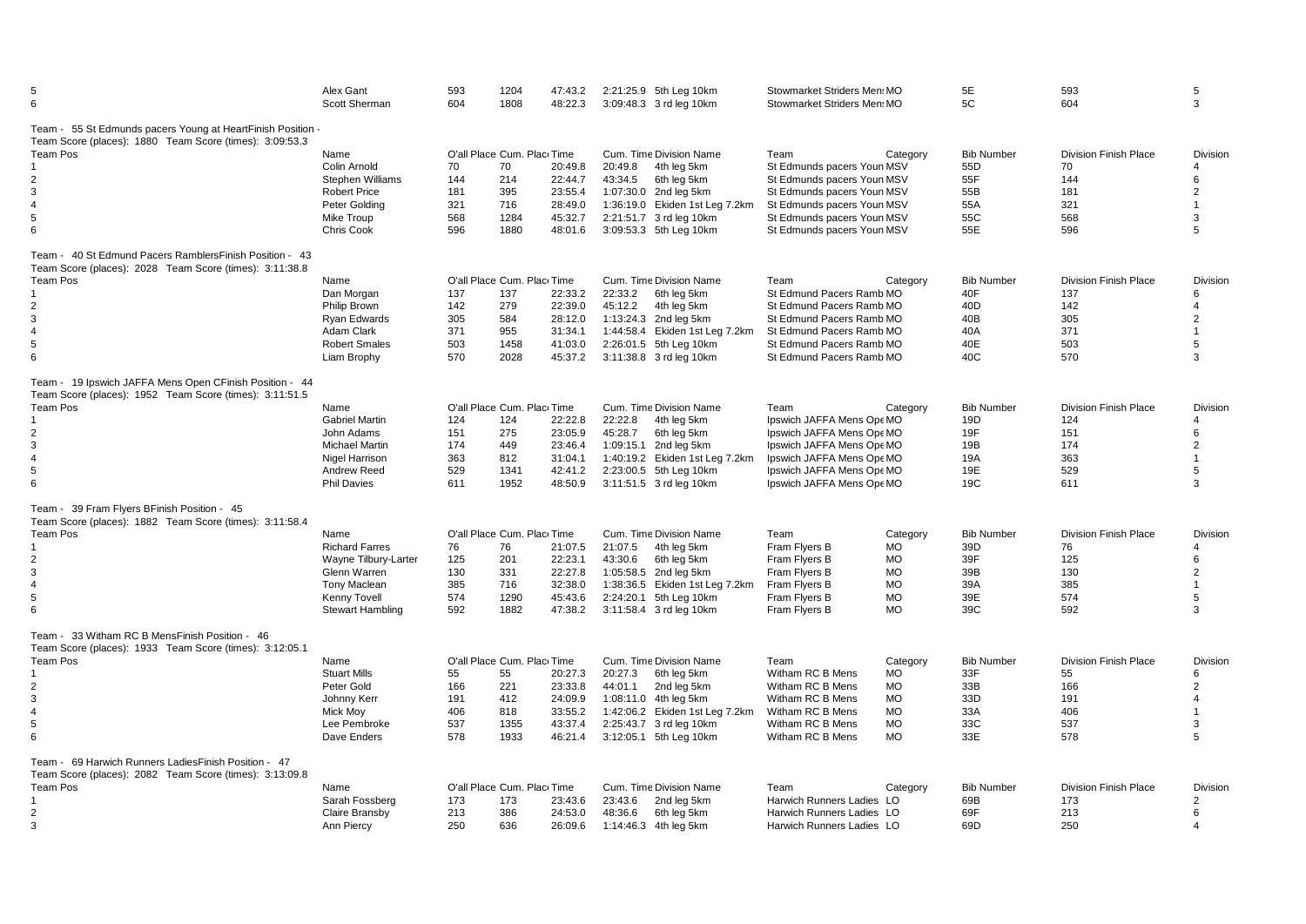| 5<br>6                                                                                                             | Alex Gant<br>Scott Sherman | 593<br>604 | 1204<br>1808                | 47:43.2<br>48:22.3 |         | 2:21:25.9 5th Leg 10km<br>3:09:48.3 3 rd leg 10km | Stowmarket Striders Men MO<br>Stowmarket Striders Men MO |           | 5E<br>5C          | 593<br>604                   | 5<br>3          |
|--------------------------------------------------------------------------------------------------------------------|----------------------------|------------|-----------------------------|--------------------|---------|---------------------------------------------------|----------------------------------------------------------|-----------|-------------------|------------------------------|-----------------|
| Team - 55 St Edmunds pacers Young at HeartFinish Position -                                                        |                            |            |                             |                    |         |                                                   |                                                          |           |                   |                              |                 |
| Team Score (places): 1880 Team Score (times): 3:09:53.3                                                            |                            |            |                             |                    |         |                                                   |                                                          |           |                   |                              |                 |
| <b>Team Pos</b>                                                                                                    | Name                       |            | O'all Place Cum. Place Time |                    |         | Cum. Time Division Name                           | Team                                                     | Category  | <b>Bib Number</b> | <b>Division Finish Place</b> | <b>Division</b> |
|                                                                                                                    | Colin Arnold               | 70         | 70                          | 20:49.8            | 20:49.8 | 4th leg 5km                                       | St Edmunds pacers Youn MSV                               |           | 55D               | 70                           | 4               |
| $\overline{2}$                                                                                                     | Stephen Williams           | 144        | 214                         | 22:44.7            | 43:34.5 | 6th leg 5km                                       | St Edmunds pacers Youn MSV                               |           | 55F               | 144                          | 6               |
| 3                                                                                                                  | <b>Robert Price</b>        | 181        | 395                         | 23:55.4            |         | 1:07:30.0 2nd leg 5km                             | St Edmunds pacers Youn MSV                               |           | 55B               | 181                          | $\overline{2}$  |
| $\overline{4}$                                                                                                     | Peter Goldina              | 321        | 716                         | 28:49.0            |         | 1:36:19.0 Ekiden 1st Leg 7.2km                    | St Edmunds pacers Youn MSV                               |           | 55A               | 321                          | $\mathbf{1}$    |
| 5                                                                                                                  | Mike Troup                 | 568        | 1284                        | 45:32.7            |         | 2:21:51.7 3 rd leg 10km                           | St Edmunds pacers Youn MSV                               |           | 55C               | 568                          | 3               |
| 6                                                                                                                  | Chris Cook                 | 596        | 1880                        | 48:01.6            |         | 3:09:53.3 5th Leg 10km                            | St Edmunds pacers Youn MSV                               |           | 55E               | 596                          | 5               |
| Team - 40 St Edmund Pacers RamblersFinish Position - 43<br>Team Score (places): 2028 Team Score (times): 3:11:38.8 |                            |            |                             |                    |         |                                                   |                                                          |           |                   |                              |                 |
| Team Pos                                                                                                           | Name                       |            | O'all Place Cum. Plac Time  |                    |         | Cum. Time Division Name                           | Team                                                     | Category  | <b>Bib Number</b> | <b>Division Finish Place</b> | Division        |
|                                                                                                                    | Dan Morgan                 | 137        | 137                         | 22:33.2            | 22:33.2 | 6th leg 5km                                       | St Edmund Pacers Ramb MO                                 |           | 40F               | 137                          | 6               |
|                                                                                                                    |                            |            |                             |                    |         |                                                   |                                                          |           |                   |                              |                 |
| 2                                                                                                                  | Philip Brown               | 142        | 279                         | 22:39.0            | 45:12.2 | 4th leg 5km                                       | St Edmund Pacers Ramb MO                                 |           | 40 <sub>D</sub>   | 142                          | 4               |
| 3                                                                                                                  | Ryan Edwards               | 305        | 584                         | 28:12.0            |         | 1:13:24.3 2nd leg 5km                             | St Edmund Pacers Ramb MO                                 |           | 40B               | 305                          | $\overline{2}$  |
| $\overline{4}$                                                                                                     | Adam Clark                 | 371        | 955                         | 31:34.1            |         | 1:44:58.4 Ekiden 1st Leg 7.2km                    | St Edmund Pacers Ramb MO                                 |           | 40A               | 371                          | $\mathbf{1}$    |
| 5                                                                                                                  | <b>Robert Smales</b>       | 503        | 1458                        | 41:03.0            |         | 2:26:01.5 5th Leg 10km                            | St Edmund Pacers Ramb MO                                 |           | 40E               | 503                          | 5               |
| 6                                                                                                                  | Liam Brophy                | 570        | 2028                        | 45:37.2            |         | 3:11:38.8 3 rd leg 10km                           | St Edmund Pacers Ramb MO                                 |           | 40C               | 570                          | 3               |
| Team - 19 Ipswich JAFFA Mens Open CFinish Position - 44<br>Team Score (places): 1952 Team Score (times): 3:11:51.5 |                            |            |                             |                    |         |                                                   |                                                          |           |                   |                              |                 |
| Team Pos                                                                                                           | Name                       |            | O'all Place Cum. Plac Time  |                    |         | Cum. Time Division Name                           | Team                                                     | Category  | <b>Bib Number</b> | <b>Division Finish Place</b> | Division        |
|                                                                                                                    | <b>Gabriel Martin</b>      | 124        | 124                         | 22:22.8            | 22:22.8 | 4th leg 5km                                       | Ipswich JAFFA Mens Ope MO                                |           | 19D               | 124                          | 4               |
| $\overline{2}$                                                                                                     | John Adams                 | 151        | 275                         | 23:05.9            | 45:28.7 | 6th leg 5km                                       | Ipswich JAFFA Mens Ope MO                                |           | 19F               | 151                          | 6               |
| $\mathbf{3}$                                                                                                       | <b>Michael Martin</b>      | 174        | 449                         | 23:46.4            |         | 1:09:15.1 2nd leg 5km                             | Ipswich JAFFA Mens Ope MO                                |           | 19B               | 174                          | $\overline{2}$  |
| $\overline{4}$                                                                                                     | Nigel Harrison             | 363        | 812                         | 31:04.1            |         | 1:40:19.2 Ekiden 1st Leg 7.2km                    | Ipswich JAFFA Mens Ope MO                                |           | 19A               | 363                          | $\mathbf{1}$    |
| 5                                                                                                                  |                            | 529        |                             |                    |         |                                                   |                                                          |           |                   | 529                          | 5               |
|                                                                                                                    | Andrew Reed                |            | 1341                        | 42:41.2            |         | 2:23:00.5 5th Leg 10km                            | Ipswich JAFFA Mens Ope MO                                |           | 19E               |                              |                 |
| 6                                                                                                                  | <b>Phil Davies</b>         | 611        | 1952                        | 48:50.9            |         | 3:11:51.5 3 rd leg 10km                           | Ipswich JAFFA Mens Ope MO                                |           | 19C               | 611                          | 3               |
| Team - 39 Fram Flyers BFinish Position - 45                                                                        |                            |            |                             |                    |         |                                                   |                                                          |           |                   |                              |                 |
| Team Score (places): 1882 Team Score (times): 3:11:58.4                                                            |                            |            |                             |                    |         |                                                   |                                                          |           |                   |                              |                 |
| Team Pos                                                                                                           | Name                       |            | O'all Place Cum. Plac Time  |                    |         | Cum. Time Division Name                           | Team                                                     | Category  | <b>Bib Number</b> | <b>Division Finish Place</b> | Division        |
|                                                                                                                    | <b>Richard Farres</b>      | 76         | 76                          | 21:07.5            | 21:07.5 | 4th leg 5km                                       | Fram Flyers B                                            | <b>MO</b> | 39D               | 76                           | 4               |
| 2                                                                                                                  | Wayne Tilbury-Larter       | 125        | 201                         | 22:23.1            | 43:30.6 | 6th leg 5km                                       | Fram Flyers B                                            | <b>MO</b> | 39F               | 125                          | 6               |
| 3                                                                                                                  | Glenn Warren               | 130        | 331                         | 22:27.8            |         | 1:05:58.5 2nd leg 5km                             | Fram Flyers B                                            | <b>MO</b> | 39B               | 130                          | $\overline{2}$  |
| $\overline{4}$                                                                                                     | <b>Tony Maclean</b>        | 385        | 716                         | 32:38.0            |         | 1:38:36.5 Ekiden 1st Leg 7.2km                    | Fram Flyers B                                            | <b>MO</b> | 39A               | 385                          | $\mathbf{1}$    |
| 5                                                                                                                  | Kenny Tovell               | 574        | 1290                        | 45:43.6            |         | 2:24:20.1 5th Leg 10km                            | Fram Flyers B                                            | <b>MO</b> | 39E               | 574                          | 5               |
| 6                                                                                                                  | <b>Stewart Hambling</b>    | 592        | 1882                        | 47:38.2            |         | 3:11:58.4 3 rd leg 10km                           | Fram Flyers B                                            | <b>MO</b> | 39C               | 592                          | 3               |
| Team - 33 Witham RC B MensFinish Position - 46<br>Team Score (places): 1933 Team Score (times): 3:12:05.1          |                            |            |                             |                    |         |                                                   |                                                          |           |                   |                              |                 |
|                                                                                                                    |                            |            | O'all Place Cum. Plac Time  |                    |         |                                                   |                                                          |           | <b>Bib Number</b> | <b>Division Finish Place</b> |                 |
| Team Pos                                                                                                           | Name                       |            |                             |                    |         | Cum. Time Division Name                           | Team                                                     | Category  |                   |                              | Division        |
|                                                                                                                    | <b>Stuart Mills</b>        | 55         | 55                          | 20:27.3            | 20:27.3 | 6th leg 5km                                       | Witham RC B Mens                                         | MO        | 33F               | 55                           | 6               |
| 2                                                                                                                  | Peter Gold                 | 166        | 221                         | 23:33.8            | 44:01.1 | 2nd leg 5km                                       | Witham RC B Mens                                         | <b>MO</b> | 33B               | 166                          | $\overline{2}$  |
| $\mathbf{3}$                                                                                                       | Johnny Kerr                | 191        | 412                         | 24:09.9            |         | 1:08:11.0 4th leg 5km                             | Witham RC B Mens                                         | <b>MO</b> | 33D               | 191                          | 4               |
| $\overline{4}$                                                                                                     | <b>Mick Mov</b>            | 406        | 818                         | 33:55.2            |         | 1:42:06.2 Ekiden 1st Leg 7.2km                    | Witham RC B Mens                                         | <b>MO</b> | 33A               | 406                          |                 |
| 5                                                                                                                  | Lee Pembroke               | 537        | 1355                        | 43:37.4            |         | 2:25:43.7 3 rd leg 10km                           | Witham RC B Mens                                         | <b>MO</b> | 33C               | 537                          | 3               |
| 6                                                                                                                  | Dave Enders                | 578        | 1933                        | 46:21.4            |         | 3:12:05.1 5th Leg 10km                            | Witham RC B Mens                                         | <b>MO</b> | 33E               | 578                          | 5               |
| Team - 69 Harwich Runners Ladies Finish Position - 47<br>Team Score (places): 2082 Team Score (times): 3:13:09.8   |                            |            |                             |                    |         |                                                   |                                                          |           |                   |                              |                 |
|                                                                                                                    |                            |            |                             |                    |         |                                                   |                                                          |           |                   |                              |                 |
| <b>Team Pos</b>                                                                                                    | Name                       |            | O'all Place Cum. Plac Time  |                    |         | Cum. Time Division Name                           | Team                                                     | Category  | <b>Bib Number</b> | <b>Division Finish Place</b> | Division        |
|                                                                                                                    | Sarah Fossberg             | 173        | 173                         | 23:43.6            | 23:43.6 | 2nd leg 5km                                       | Harwich Runners Ladies LO                                |           | 69B               | 173                          | $\overline{2}$  |
| 2                                                                                                                  | Claire Bransby             | 213        | 386                         | 24:53.0            | 48:36.6 | 6th leg 5km                                       | Harwich Runners Ladies LO                                |           | 69F               | 213                          | 6               |
| $\mathbf{3}$                                                                                                       | Ann Piercy                 | 250        | 636                         | 26:09.6            |         | 1:14:46.3 4th leg 5km                             | Harwich Runners Ladies LO                                |           | 69D               | 250                          | $\overline{4}$  |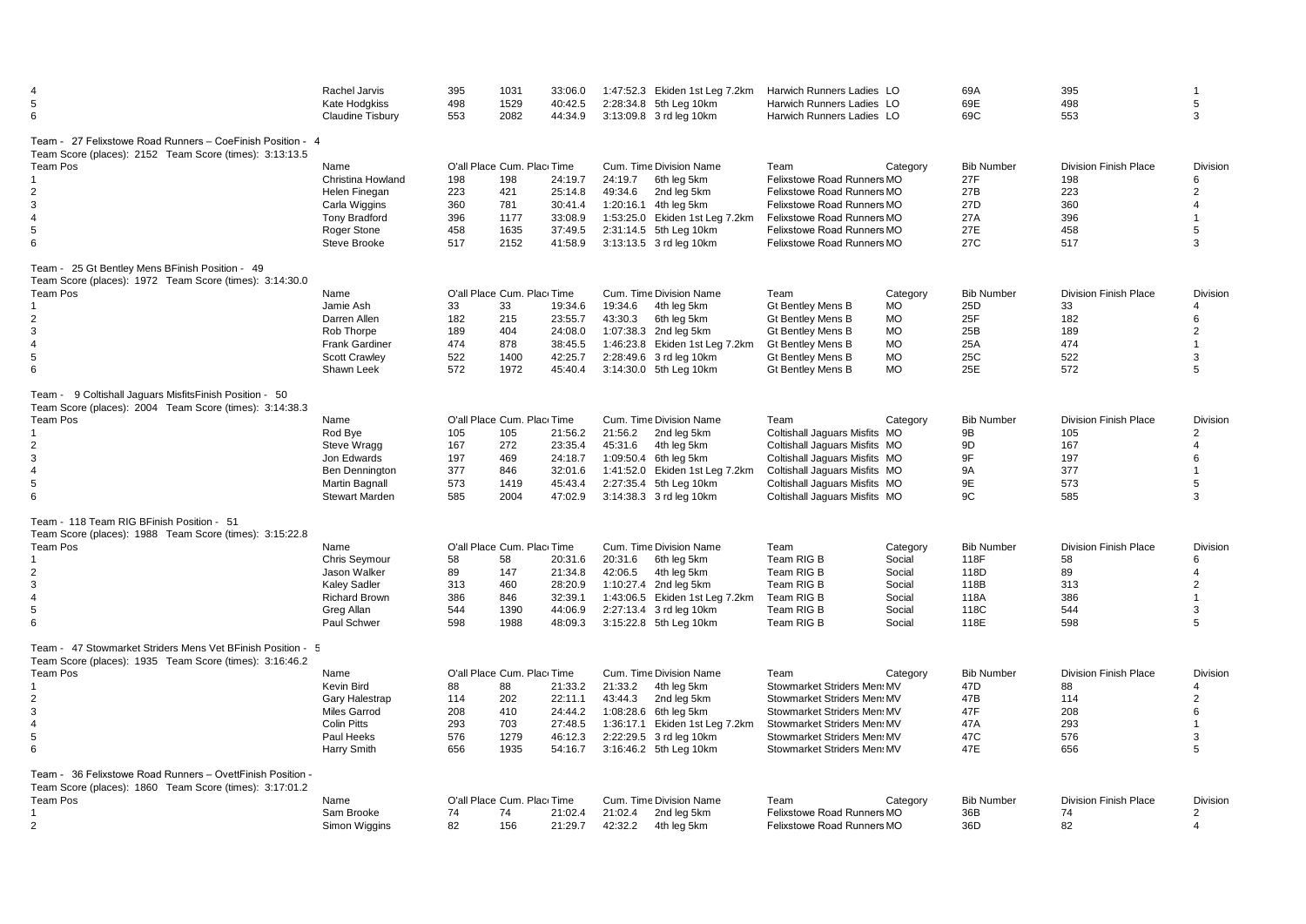| 5<br>6                                                                                                                                                                                       | Rachel Jarvis<br>Kate Hodgkiss<br><b>Claudine Tisbury</b>                                                          | 395<br>498<br>553                      | 1031<br>1529<br>2082                                                    | 33:06.0<br>40:42.5<br>44:34.9                                  | 2:28:34.8 5th Leg 10km<br>3:13:09.8 3 rd leg 10km                                                                           | 1:47:52.3 Ekiden 1st Leg 7.2km                               | Harwich Runners Ladies LO<br>Harwich Runners Ladies LO<br>Harwich Runners Ladies LO                                                                                                                        |                                                                          | 69A<br>69E<br>69C                                                       | 395<br>498<br>553                                                      | 5<br>3                                                                               |
|----------------------------------------------------------------------------------------------------------------------------------------------------------------------------------------------|--------------------------------------------------------------------------------------------------------------------|----------------------------------------|-------------------------------------------------------------------------|----------------------------------------------------------------|-----------------------------------------------------------------------------------------------------------------------------|--------------------------------------------------------------|------------------------------------------------------------------------------------------------------------------------------------------------------------------------------------------------------------|--------------------------------------------------------------------------|-------------------------------------------------------------------------|------------------------------------------------------------------------|--------------------------------------------------------------------------------------|
| Team - 27 Felixstowe Road Runners - CoeFinish Position - 4<br>Team Score (places): 2152 Team Score (times): 3:13:13.5<br><b>Team Pos</b><br>2<br>3<br>$\overline{4}$<br>5<br>6               | Name<br>Christina Howland<br>Helen Finegan<br>Carla Wiggins<br><b>Tony Bradford</b><br>Roger Stone<br>Steve Brooke | 198<br>223<br>360<br>396<br>458<br>517 | O'all Place Cum. Plac Time<br>198<br>421<br>781<br>1177<br>1635<br>2152 | 24:19.7<br>25:14.8<br>30:41.4<br>33:08.9<br>37:49.5<br>41:58.9 | Cum. Time Division Name<br>24:19.7<br>49:34.6<br>1:20:16.1 4th leg 5km<br>2:31:14.5 5th Leg 10km<br>3:13:13.5 3 rd leg 10km | 6th leg 5km<br>2nd leg 5km<br>1:53:25.0 Ekiden 1st Leg 7.2km | Team<br>Felixstowe Road Runners MO<br>Felixstowe Road Runners MO<br>Felixstowe Road Runners MO<br><b>Felixstowe Road Runners MO</b><br>Felixstowe Road Runners MO<br>Felixstowe Road Runners MO            | Category                                                                 | <b>Bib Number</b><br>27F<br>27B<br>27D<br>27A<br>27E<br>27C             | <b>Division Finish Place</b><br>198<br>223<br>360<br>396<br>458<br>517 | Division<br>6<br>$\overline{2}$<br>4<br>$\blacktriangleleft$<br>5<br>3               |
| Team - 25 Gt Bentley Mens BFinish Position - 49<br>Team Score (places): 1972 Team Score (times): 3:14:30.0<br>Team Pos<br>2<br>3<br>$\overline{4}$<br>5<br>6                                 | Name<br>Jamie Ash<br>Darren Allen<br>Rob Thorpe<br><b>Frank Gardiner</b><br><b>Scott Crawley</b><br>Shawn Leek     | 33<br>182<br>189<br>474<br>522<br>572  | O'all Place Cum. Plac Time<br>33<br>215<br>404<br>878<br>1400<br>1972   | 19:34.6<br>23:55.7<br>24:08.0<br>38:45.5<br>42:25.7<br>45:40.4 | Cum. Time Division Name<br>19:34.6<br>43:30.3<br>1:07:38.3 2nd leg 5km<br>2:28:49.6 3 rd leg 10km<br>3:14:30.0 5th Leg 10km | 4th leg 5km<br>6th leg 5km<br>1:46:23.8 Ekiden 1st Leg 7.2km | Team<br>Gt Bentley Mens B<br><b>Gt Bentley Mens B</b><br><b>Gt Bentley Mens B</b><br><b>Gt Bentley Mens B</b><br><b>Gt Bentley Mens B</b><br>Gt Bentley Mens B                                             | Category<br>МO<br>МO<br><b>MO</b><br><b>MO</b><br><b>MO</b><br><b>MO</b> | <b>Bib Number</b><br>25D<br>25F<br>25B<br>25A<br>25C<br>25E             | <b>Division Finish Place</b><br>33<br>182<br>189<br>474<br>522<br>572  | Division<br>4<br>6<br>$\overline{2}$<br>$\overline{1}$<br>3<br>5                     |
| Team - 9 Coltishall Jaquars Misfits Finish Position - 50<br>Team Score (places): 2004 Team Score (times): 3:14:38.3<br>Team Pos<br>2<br>3<br>$\overline{4}$<br>5<br>6                        | Name<br>Rod Bye<br>Steve Wragg<br>Jon Edwards<br>Ben Dennington<br>Martin Bagnall<br><b>Stewart Marden</b>         | 105<br>167<br>197<br>377<br>573<br>585 | O'all Place Cum. Plac Time<br>105<br>272<br>469<br>846<br>1419<br>2004  | 21:56.2<br>23:35.4<br>24:18.7<br>32:01.6<br>45:43.4<br>47:02.9 | Cum. Time Division Name<br>21:56.2<br>45:31.6<br>1:09:50.4 6th leg 5km<br>2:27:35.4 5th Leg 10km<br>3:14:38.3 3 rd leg 10km | 2nd leg 5km<br>4th leg 5km<br>1:41:52.0 Ekiden 1st Leg 7.2km | Team<br>Coltishall Jaquars Misfits MO<br>Coltishall Jaquars Misfits MO<br>Coltishall Jaquars Misfits MO<br>Coltishall Jaquars Misfits MO<br>Coltishall Jaquars Misfits MO<br>Coltishall Jaquars Misfits MO | Category                                                                 | <b>Bib Number</b><br>9B<br>9D<br>9F<br><b>9A</b><br>9E<br>9C            | <b>Division Finish Place</b><br>105<br>167<br>197<br>377<br>573<br>585 | Division<br>$\overline{2}$<br>4<br>6<br>$\overline{1}$<br>5<br>3                     |
| Team - 118 Team RIG BFinish Position - 51<br>Team Score (places): 1988 Team Score (times): 3:15:22.8<br>Team Pos<br>$\overline{2}$<br>3<br>$\overline{4}$<br>5<br>6                          | Name<br>Chris Seymour<br>Jason Walker<br><b>Kaley Sadler</b><br><b>Richard Brown</b><br>Greg Allan<br>Paul Schwer  | 58<br>89<br>313<br>386<br>544<br>598   | O'all Place Cum, Placi Time<br>58<br>147<br>460<br>846<br>1390<br>1988  | 20:31.6<br>21:34.8<br>28:20.9<br>32:39.1<br>44:06.9<br>48:09.3 | Cum. Time Division Name<br>20:31.6<br>42:06.5<br>1:10:27.4 2nd leg 5km<br>2:27:13.4 3 rd leg 10km<br>3:15:22.8 5th Leg 10km | 6th leg 5km<br>4th leg 5km<br>1:43:06.5 Ekiden 1st Leg 7.2km | Team<br>Team RIG B<br>Team RIG B<br>Team RIG B<br>Team RIG B<br>Team RIG B<br>Team RIG B                                                                                                                   | Category<br>Social<br>Social<br>Social<br>Social<br>Social<br>Social     | <b>Bib Number</b><br>118F<br>118D<br>118B<br>118A<br>118C<br>118E       | <b>Division Finish Place</b><br>58<br>89<br>313<br>386<br>544<br>598   | <b>Division</b><br>6<br>$\overline{4}$<br>$\overline{2}$<br>$\overline{1}$<br>3<br>5 |
| Team - 47 Stowmarket Striders Mens Vet BFinish Position - 5<br>Team Score (places): 1935 Team Score (times): 3:16:46.2<br><b>Team Pos</b><br>$\overline{2}$<br>3<br>$\overline{4}$<br>5<br>6 | Name<br>Kevin Bird<br>Gary Halestrap<br><b>Miles Garrod</b><br><b>Colin Pitts</b><br>Paul Heeks<br>Harry Smith     | 88<br>114<br>208<br>293<br>576<br>656  | O'all Place Cum. Plac Time<br>88<br>202<br>410<br>703<br>1279<br>1935   | 21:33.2<br>22:11.1<br>24:44.2<br>27:48.5<br>46:12.3<br>54:16.7 | Cum. Time Division Name<br>21:33.2<br>43:44.3<br>1:08:28.6 6th leg 5km<br>2:22:29.5 3 rd leg 10km<br>3:16:46.2 5th Leg 10km | 4th leg 5km<br>2nd leg 5km<br>1:36:17.1 Ekiden 1st Leg 7.2km | Team<br>Stowmarket Striders Men: MV<br>Stowmarket Striders Men MV<br>Stowmarket Striders Men MV<br>Stowmarket Striders Men: MV<br>Stowmarket Striders Men MV<br>Stowmarket Striders Men MV                 | Category                                                                 | <b>Bib Number</b><br>47 <sub>D</sub><br>47B<br>47F<br>47A<br>47C<br>47E | <b>Division Finish Place</b><br>88<br>114<br>208<br>293<br>576<br>656  | <b>Division</b><br>4<br>$\overline{2}$<br>6<br>$\overline{1}$<br>3<br>5              |
| Team - 36 Felixstowe Road Runners - OvettFinish Position -<br>Team Score (places): 1860 Team Score (times): 3:17:01.2<br>Team Pos<br>$\overline{2}$                                          | Name<br>Sam Brooke<br>Simon Wiggins                                                                                | 74<br>82                               | O'all Place Cum. Plac Time<br>74<br>156                                 | 21:02.4<br>21:29.7                                             | Cum. Time Division Name<br>21:02.4<br>42:32.2                                                                               | 2nd leg 5km<br>4th leg 5km                                   | Team<br>Felixstowe Road Runners MO<br>Felixstowe Road Runners MO                                                                                                                                           | Category                                                                 | <b>Bib Number</b><br>36B<br>36D                                         | <b>Division Finish Place</b><br>74<br>82                               | <b>Division</b><br>$\overline{2}$<br>$\overline{4}$                                  |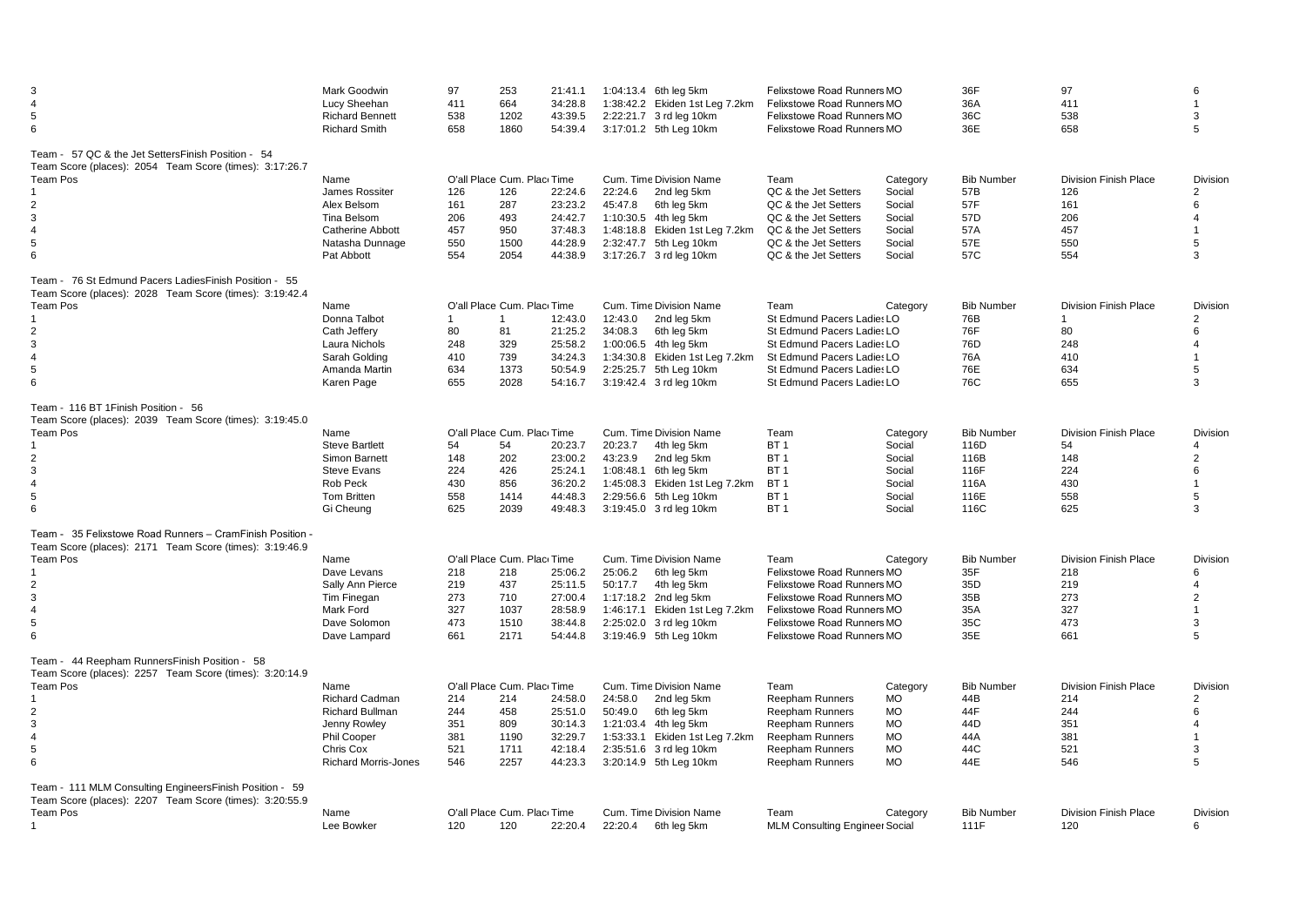| 3<br>$\overline{\mathcal{L}}$<br>5<br>6                                                                                                                                                        | Mark Goodwin<br>Lucy Sheehan<br><b>Richard Bennett</b><br><b>Richard Smith</b>                                              | 97<br>411<br>538<br>658                          | 253<br>664<br>1202<br>1860                                                     | 21:41.1<br>34:28.8<br>43:39.5<br>54:39.4                       |                    | 1:04:13.4 6th leg 5km<br>1:38:42.2 Ekiden 1st Leg 7.2km<br>2:22:21.7 3 rd leg 10km<br>3:17:01.2 5th Leg 10km                                                          | <b>Felixstowe Road Runners MO</b><br>Felixstowe Road Runners MO<br>Felixstowe Road Runners MO<br>Felixstowe Road Runners MO                                                              |                                                                                        | 36F<br>36A<br>36C<br>36E                                          | 97<br>411<br>538<br>658                                                        | 6<br>3<br>5                                                 |
|------------------------------------------------------------------------------------------------------------------------------------------------------------------------------------------------|-----------------------------------------------------------------------------------------------------------------------------|--------------------------------------------------|--------------------------------------------------------------------------------|----------------------------------------------------------------|--------------------|-----------------------------------------------------------------------------------------------------------------------------------------------------------------------|------------------------------------------------------------------------------------------------------------------------------------------------------------------------------------------|----------------------------------------------------------------------------------------|-------------------------------------------------------------------|--------------------------------------------------------------------------------|-------------------------------------------------------------|
| Team - 57 QC & the Jet SettersFinish Position - 54<br>Team Score (places): 2054 Team Score (times): 3:17:26.7<br><b>Team Pos</b><br>2<br>3<br>$\overline{4}$<br>$5\phantom{.0}$<br>6           | Name<br>James Rossiter<br>Alex Belsom<br>Tina Belsom<br><b>Catherine Abbott</b><br>Natasha Dunnage<br>Pat Abbott            | 126<br>161<br>206<br>457<br>550<br>554           | O'all Place Cum. Plac Time<br>126<br>287<br>493<br>950<br>1500<br>2054         | 22:24.6<br>23:23.2<br>24:42.7<br>37:48.3<br>44:28.9<br>44:38.9 | 22:24.6<br>45:47.8 | Cum. Time Division Name<br>2nd leg 5km<br>6th leg 5km<br>1:10:30.5 4th leg 5km<br>1:48:18.8 Ekiden 1st Leg 7.2km<br>2:32:47.7 5th Leg 10km<br>3:17:26.7 3 rd leg 10km | Team<br>QC & the Jet Setters<br>QC & the Jet Setters<br>QC & the Jet Setters<br>QC & the Jet Setters<br>QC & the Jet Setters<br>QC & the Jet Setters                                     | Category<br>Social<br>Social<br>Social<br>Social<br>Social<br>Social                   | <b>Bib Number</b><br>57B<br>57F<br>57D<br>57A<br>57E<br>57C       | <b>Division Finish Place</b><br>126<br>161<br>206<br>457<br>550<br>554         | Division<br>2<br>6<br>4<br>5<br>3                           |
| Team - 76 St Edmund Pacers Ladies Finish Position - 55<br>Team Score (places): 2028 Team Score (times): 3:19:42.4<br>Team Pos<br>2<br>3<br>$\overline{4}$<br>5<br>6                            | Name<br>Donna Talbot<br>Cath Jeffery<br>Laura Nichols<br>Sarah Golding<br>Amanda Martin<br>Karen Page                       | $\overline{1}$<br>80<br>248<br>410<br>634<br>655 | O'all Place Cum. Plac Time<br>$\mathbf{1}$<br>81<br>329<br>739<br>1373<br>2028 | 12:43.0<br>21:25.2<br>25:58.2<br>34:24.3<br>50:54.9<br>54:16.7 | 12:43.0<br>34:08.3 | Cum. Time Division Name<br>2nd leg 5km<br>6th leg 5km<br>1:00:06.5 4th leg 5km<br>1:34:30.8 Ekiden 1st Leg 7.2km<br>2:25:25.7 5th Leg 10km<br>3:19:42.4 3 rd leg 10km | Team<br>St Edmund Pacers Ladie: LO<br>St Edmund Pacers Ladie: LO<br>St Edmund Pacers Ladie: LO<br>St Edmund Pacers Ladie: LO<br>St Edmund Pacers Ladie: LO<br>St Edmund Pacers Ladie: LO | Category                                                                               | <b>Bib Number</b><br>76B<br>76F<br>76D<br>76A<br>76E<br>76C       | <b>Division Finish Place</b><br>$\mathbf{1}$<br>80<br>248<br>410<br>634<br>655 | Division<br>$\overline{2}$<br>6<br>$\overline{4}$<br>5<br>3 |
| Team - 116 BT 1 Finish Position - 56<br>Team Score (places): 2039 Team Score (times): 3:19:45.0<br>Team Pos<br>$\overline{2}$<br>3<br>$\overline{4}$<br>5<br>6                                 | Name<br><b>Steve Bartlett</b><br>Simon Barnett<br><b>Steve Evans</b><br>Rob Peck<br><b>Tom Britten</b><br>Gi Cheung         | 54<br>148<br>224<br>430<br>558<br>625            | O'all Place Cum. Plac Time<br>54<br>202<br>426<br>856<br>1414<br>2039          | 20:23.7<br>23:00.2<br>25:24.1<br>36:20.2<br>44:48.3<br>49:48.3 | 20:23.7<br>43:23.9 | Cum. Time Division Name<br>4th leg 5km<br>2nd leg 5km<br>1:08:48.1 6th leg 5km<br>1:45:08.3 Ekiden 1st Leg 7.2km<br>2:29:56.6 5th Leg 10km<br>3:19:45.0 3 rd leg 10km | Team<br>BT <sub>1</sub><br>BT <sub>1</sub><br>BT <sub>1</sub><br>BT <sub>1</sub><br>BT <sub>1</sub><br>BT <sub>1</sub>                                                                   | Category<br>Social<br>Social<br>Social<br>Social<br>Social<br>Social                   | <b>Bib Number</b><br>116D<br>116B<br>116F<br>116A<br>116E<br>116C | Division Finish Place<br>54<br>148<br>224<br>430<br>558<br>625                 | Division<br>Δ<br>$\overline{2}$<br>6<br>5<br>3              |
| Team - 35 Felixstowe Road Runners - CramFinish Position -<br>Team Score (places): 2171 Team Score (times): 3:19:46.9<br>Team Pos<br>$\overline{2}$<br>$\mathbf{3}$<br>$\overline{4}$<br>5<br>6 | Name<br>Dave Levans<br>Sally Ann Pierce<br>Tim Finegan<br>Mark Ford<br>Dave Solomon<br>Dave Lampard                         | 218<br>219<br>273<br>327<br>473<br>661           | O'all Place Cum. Plac Time<br>218<br>437<br>710<br>1037<br>1510<br>2171        | 25:06.2<br>25:11.5<br>27:00.4<br>28:58.9<br>38:44.8<br>54:44.8 | 25:06.2<br>50:17.7 | Cum. Time Division Name<br>6th leg 5km<br>4th leg 5km<br>1:17:18.2 2nd leg 5km<br>1:46:17.1 Ekiden 1st Leg 7.2km<br>2:25:02.0 3 rd leg 10km<br>3:19:46.9 5th Leg 10km | Team<br>Felixstowe Road Runners MO<br>Felixstowe Road Runners MO<br>Felixstowe Road Runners MO<br>Felixstowe Road Runners MO<br>Felixstowe Road Runners MO<br>Felixstowe Road Runners MO | Category                                                                               | <b>Bib Number</b><br>35F<br>35D<br>35B<br>35A<br>35C<br>35E       | <b>Division Finish Place</b><br>218<br>219<br>273<br>327<br>473<br>661         | Division<br>6<br>$\overline{4}$<br>$\overline{2}$<br>3<br>5 |
| Team - 44 Reepham RunnersFinish Position - 58<br>Team Score (places): 2257 Team Score (times): 3:20:14.9<br>Team Pos<br>$\overline{2}$<br>3<br>$\overline{4}$<br>5<br>6                        | Name<br><b>Richard Cadman</b><br>Richard Bullman<br>Jenny Rowley<br>Phil Cooper<br>Chris Cox<br><b>Richard Morris-Jones</b> | 214<br>244<br>351<br>381<br>521<br>546           | O'all Place Cum. Plac Time<br>214<br>458<br>809<br>1190<br>1711<br>2257        | 24:58.0<br>25:51.0<br>30:14.3<br>32:29.7<br>42:18.4<br>44:23.3 | 24:58.0<br>50:49.0 | Cum. Time Division Name<br>2nd leg 5km<br>6th leg 5km<br>1:21:03.4 4th leg 5km<br>1:53:33.1 Ekiden 1st Leg 7.2km<br>2:35:51.6 3 rd leg 10km<br>3:20:14.9 5th Leg 10km | Team<br><b>Reepham Runners</b><br><b>Reepham Runners</b><br><b>Reepham Runners</b><br><b>Reepham Runners</b><br><b>Reepham Runners</b><br><b>Reepham Runners</b>                         | Category<br><b>MO</b><br><b>MO</b><br><b>MO</b><br><b>MO</b><br><b>MO</b><br><b>MO</b> | <b>Bib Number</b><br>44B<br>44F<br>44D<br>44A<br>44C<br>44E       | <b>Division Finish Place</b><br>214<br>244<br>351<br>381<br>521<br>546         | Division<br>$\overline{2}$<br>6<br>$\Delta$<br>3<br>5       |
| Team - 111 MLM Consulting Engineers Finish Position - 59<br>Team Score (places): 2207 Team Score (times): 3:20:55.9<br>Team Pos<br>-1                                                          | Name<br>Lee Bowker                                                                                                          | 120                                              | O'all Place Cum. Plac Time<br>120                                              | 22:20.4                                                        | 22:20.4            | Cum. Time Division Name<br>6th leg 5km                                                                                                                                | Team<br><b>MLM Consulting Engineer Social</b>                                                                                                                                            | Category                                                                               | <b>Bib Number</b><br>111F                                         | <b>Division Finish Place</b><br>120                                            | Division<br>6                                               |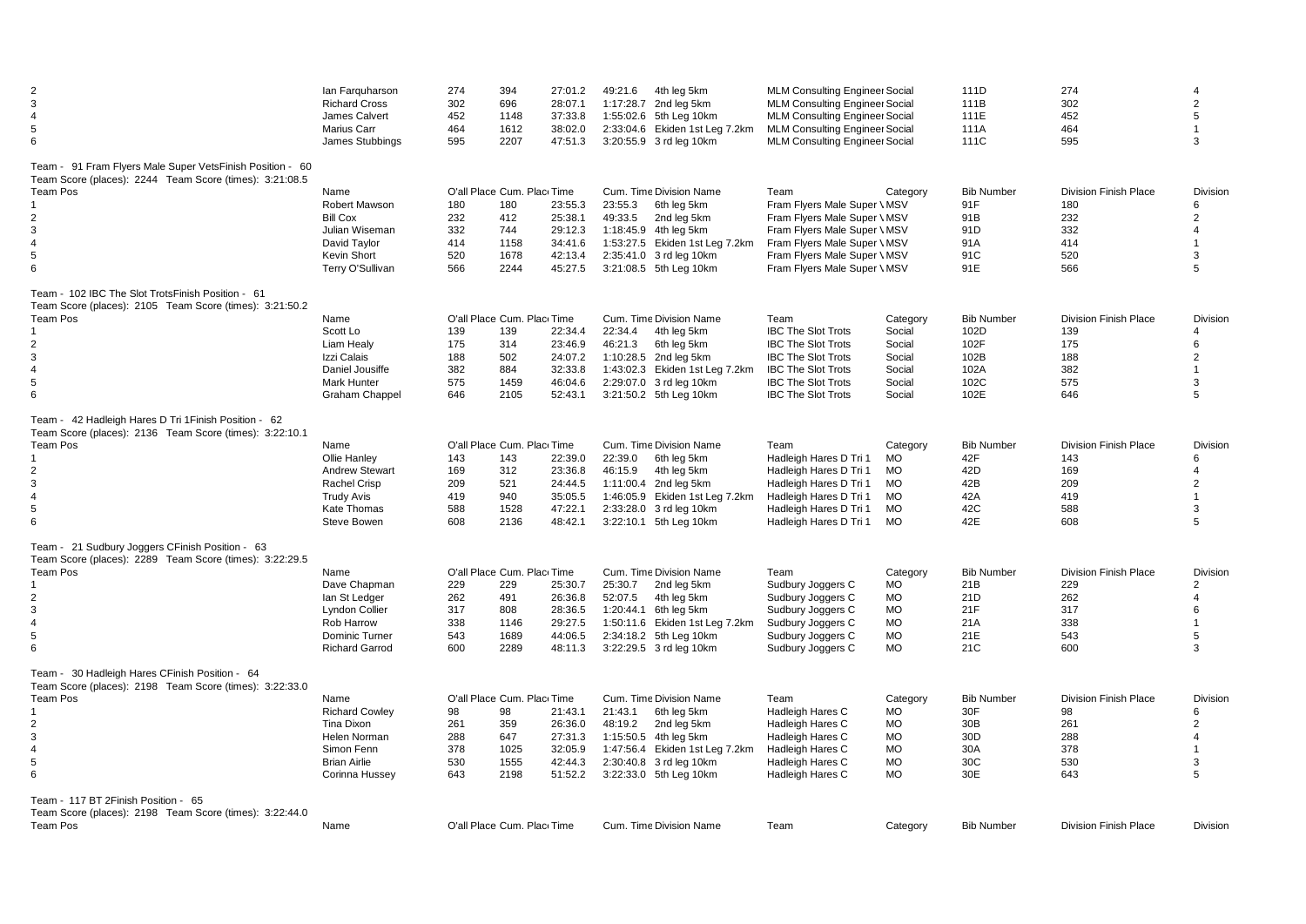| $\overline{2}$<br>$\mathbf{3}$<br>$\overline{4}$<br>$\sqrt{5}$<br>6                                                                                                                 | lan Farguharson<br><b>Richard Cross</b><br>James Calvert<br>Marius Carr<br>James Stubbings                         | 274<br>302<br>452<br>464<br>595        | 394<br>696<br>1148<br>1612<br>2207                                      | 27:01.2<br>28:07.1<br>37:33.8<br>38:02.0<br>47:51.3            | 49:21.6                                     | 4th leg 5km<br>1:17:28.7 2nd leg 5km<br>1:55:02.6 5th Leg 10km<br>2:33:04.6 Ekiden 1st Leg 7.2km<br>3:20:55.9 3 rd leg 10km                                           | <b>MLM Consulting Enginee: Social</b><br><b>MLM Consulting Engineer Social</b><br><b>MLM Consulting Engineer Social</b><br><b>MLM Consulting Engineer Social</b><br><b>MLM Consulting Engineer Social</b> |                                                                                        | 111D<br>111B<br>111E<br>111A<br>111C                              | 274<br>302<br>452<br>464<br>595                                        | 2<br>5<br>$\mathbf{1}$<br>3                                                         |
|-------------------------------------------------------------------------------------------------------------------------------------------------------------------------------------|--------------------------------------------------------------------------------------------------------------------|----------------------------------------|-------------------------------------------------------------------------|----------------------------------------------------------------|---------------------------------------------|-----------------------------------------------------------------------------------------------------------------------------------------------------------------------|-----------------------------------------------------------------------------------------------------------------------------------------------------------------------------------------------------------|----------------------------------------------------------------------------------------|-------------------------------------------------------------------|------------------------------------------------------------------------|-------------------------------------------------------------------------------------|
| Team - 91 Fram Flyers Male Super VetsFinish Position - 60<br>Team Score (places): 2244 Team Score (times): 3:21:08.5<br>Team Pos<br>$\overline{2}$<br>3<br>$\overline{4}$<br>5<br>6 | Name<br>Robert Mawson<br><b>Bill Cox</b><br>Julian Wiseman<br>David Taylor<br>Kevin Short<br>Terry O'Sullivan      | 180<br>232<br>332<br>414<br>520<br>566 | O'all Place Cum. Plac Time<br>180<br>412<br>744<br>1158<br>1678<br>2244 | 23:55.3<br>25:38.1<br>29:12.3<br>34:41.6<br>42:13.4<br>45:27.5 | 23:55.3<br>49:33.5                          | Cum. Time Division Name<br>6th leg 5km<br>2nd leg 5km<br>1:18:45.9 4th leg 5km<br>1:53:27.5 Ekiden 1st Leg 7.2km<br>2:35:41.0 3 rd leg 10km<br>3:21:08.5 5th Leg 10km | Team<br>Fram Flyers Male Super \ MSV<br>Fram Flyers Male Super \ MSV<br>Fram Flyers Male Super \ MSV<br>Fram Flyers Male Super \ MSV<br>Fram Flyers Male Super \ MSV<br>Fram Flyers Male Super \ MSV      | Category                                                                               | <b>Bib Number</b><br>91F<br>91B<br>91D<br>91A<br>91C<br>91E       | <b>Division Finish Place</b><br>180<br>232<br>332<br>414<br>520<br>566 | <b>Division</b><br>6<br>2<br>4<br>$\overline{1}$<br>3<br>5                          |
| Team - 102 IBC The Slot TrotsFinish Position - 61<br>Team Score (places): 2105 Team Score (times): 3:21:50.2<br><b>Team Pos</b><br>2<br>3<br>$\overline{4}$<br>5<br>6               | Name<br>Scott Lo<br>Liam Healy<br>Izzi Calais<br>Daniel Jousiffe<br><b>Mark Hunter</b><br>Graham Chappel           | 139<br>175<br>188<br>382<br>575<br>646 | O'all Place Cum. Place Time<br>139<br>314<br>502<br>884<br>1459<br>2105 | 22:34.4<br>23:46.9<br>24:07.2<br>32:33.8<br>46:04.6<br>52:43.1 | 22:34.4<br>46:21.3                          | Cum. Time Division Name<br>4th leg 5km<br>6th leg 5km<br>1:10:28.5 2nd leg 5km<br>1:43:02.3 Ekiden 1st Leg 7.2km<br>2:29:07.0 3 rd leg 10km<br>3:21:50.2 5th Leg 10km | Team<br><b>IBC The Slot Trots</b><br><b>IBC The Slot Trots</b><br><b>IBC The Slot Trots</b><br><b>IBC The Slot Trots</b><br><b>IBC The Slot Trots</b><br><b>IBC The Slot Trots</b>                        | Category<br>Social<br>Social<br>Social<br>Social<br>Social<br>Social                   | <b>Bib Number</b><br>102D<br>102F<br>102B<br>102A<br>102C<br>102E | <b>Division Finish Place</b><br>139<br>175<br>188<br>382<br>575<br>646 | <b>Division</b><br>4<br>6<br>$\overline{2}$<br>$\mathbf{1}$<br>3<br>5               |
| Team - 42 Hadleigh Hares D Tri 1 Finish Position - 62<br>Team Score (places): 2136 Team Score (times): 3:22:10.1<br>Team Pos<br>2<br>3<br>$\overline{4}$<br>$5\phantom{.0}$<br>6    | Name<br>Ollie Hanley<br><b>Andrew Stewart</b><br>Rachel Crisp<br><b>Trudy Avis</b><br>Kate Thomas<br>Steve Bowen   | 143<br>169<br>209<br>419<br>588<br>608 | O'all Place Cum. Plac Time<br>143<br>312<br>521<br>940<br>1528<br>2136  | 22:39.0<br>23:36.8<br>24:44.5<br>35:05.5<br>47:22.1<br>48:42.1 | 22:39.0<br>46:15.9                          | Cum. Time Division Name<br>6th leg 5km<br>4th leg 5km<br>1:11:00.4 2nd leg 5km<br>1:46:05.9 Ekiden 1st Leg 7.2km<br>2:33:28.0 3 rd leg 10km<br>3:22:10.1 5th Leg 10km | Team<br>Hadleigh Hares D Tri 1<br>Hadleigh Hares D Tri 1<br>Hadleigh Hares D Tri 1<br>Hadleigh Hares D Tri 1<br>Hadleigh Hares D Tri 1<br>Hadleigh Hares D Tri 1                                          | Category<br>MO<br><b>MO</b><br><b>MO</b><br><b>MO</b><br><b>MO</b><br><b>MO</b>        | <b>Bib Number</b><br>42F<br>42D<br>42B<br>42A<br>42C<br>42E       | <b>Division Finish Place</b><br>143<br>169<br>209<br>419<br>588<br>608 | Division<br>6<br>$\overline{4}$<br>2<br>$\mathbf{1}$<br>3<br>5                      |
| Team - 21 Sudbury Joggers CFinish Position - 63<br>Team Score (places): 2289 Team Score (times): 3:22:29.5<br><b>Team Pos</b><br>2<br>3<br>$\overline{4}$<br>5<br>6                 | Name<br>Dave Chapman<br>lan St Ledger<br>Lyndon Collier<br>Rob Harrow<br>Dominic Turner<br><b>Richard Garrod</b>   | 229<br>262<br>317<br>338<br>543<br>600 | O'all Place Cum. Plac Time<br>229<br>491<br>808<br>1146<br>1689<br>2289 | 25:30.7<br>26:36.8<br>28:36.5<br>29:27.5<br>44:06.5<br>48:11.3 | 25:30.7<br>52:07.5<br>1:20:44.1 6th leg 5km | Cum. Time Division Name<br>2nd leg 5km<br>4th leg 5km<br>1:50:11.6 Ekiden 1st Leg 7.2km<br>2:34:18.2 5th Leg 10km<br>3:22:29.5 3 rd leg 10km                          | Team<br>Sudbury Joggers C<br>Sudbury Joggers C<br>Sudbury Joggers C<br>Sudbury Joggers C<br>Sudbury Joggers C<br>Sudbury Joggers C                                                                        | Category<br><b>MO</b><br><b>MO</b><br><b>MO</b><br><b>MO</b><br><b>MO</b><br><b>MO</b> | <b>Bib Number</b><br>21B<br>21D<br>21F<br>21A<br>21E<br>21C       | <b>Division Finish Place</b><br>229<br>262<br>317<br>338<br>543<br>600 | Division<br>2<br>4<br>6<br>$\mathbf 1$<br>5<br>3                                    |
| Team - 30 Hadleigh Hares CFinish Position - 64<br>Team Score (places): 2198 Team Score (times): 3:22:33.0<br><b>Team Pos</b><br>$\overline{2}$<br>3<br>$\overline{4}$<br>5<br>6     | Name<br><b>Richard Cowley</b><br>Tina Dixon<br>Helen Norman<br>Simon Fenn<br><b>Brian Airlie</b><br>Corinna Hussey | 98<br>261<br>288<br>378<br>530<br>643  | O'all Place Cum. Plac Time<br>98<br>359<br>647<br>1025<br>1555<br>2198  | 21:43.1<br>26:36.0<br>27:31.3<br>32:05.9<br>42:44.3<br>51:52.2 | 21:43.1<br>48:19.2<br>1:15:50.5 4th leg 5km | Cum. Time Division Name<br>6th leg 5km<br>2nd leg 5km<br>1:47:56.4 Ekiden 1st Leg 7.2km<br>2:30:40.8 3 rd leg 10km<br>3:22:33.0 5th Leg 10km                          | Team<br>Hadleigh Hares C<br><b>Hadleigh Hares C</b><br><b>Hadleigh Hares C</b><br><b>Hadleigh Hares C</b><br>Hadleigh Hares C<br>Hadleigh Hares C                                                         | Category<br>МO<br><b>MO</b><br><b>MO</b><br><b>MO</b><br><b>MO</b><br><b>MO</b>        | <b>Bib Number</b><br>30F<br>30B<br>30D<br>30A<br>30C<br>30E       | <b>Division Finish Place</b><br>98<br>261<br>288<br>378<br>530<br>643  | Division<br>6<br>$\overline{2}$<br>$\overline{4}$<br>$\blacktriangleleft$<br>3<br>5 |
| Team - 117 BT 2Finish Position - 65<br>Team Score (places): 2198 Team Score (times): 3:22:44.0<br>Team Pos                                                                          | Name                                                                                                               |                                        | O'all Place Cum. Plac Time                                              |                                                                |                                             | Cum. Time Division Name                                                                                                                                               | Team                                                                                                                                                                                                      | Category                                                                               | <b>Bib Number</b>                                                 | <b>Division Finish Place</b>                                           | Division                                                                            |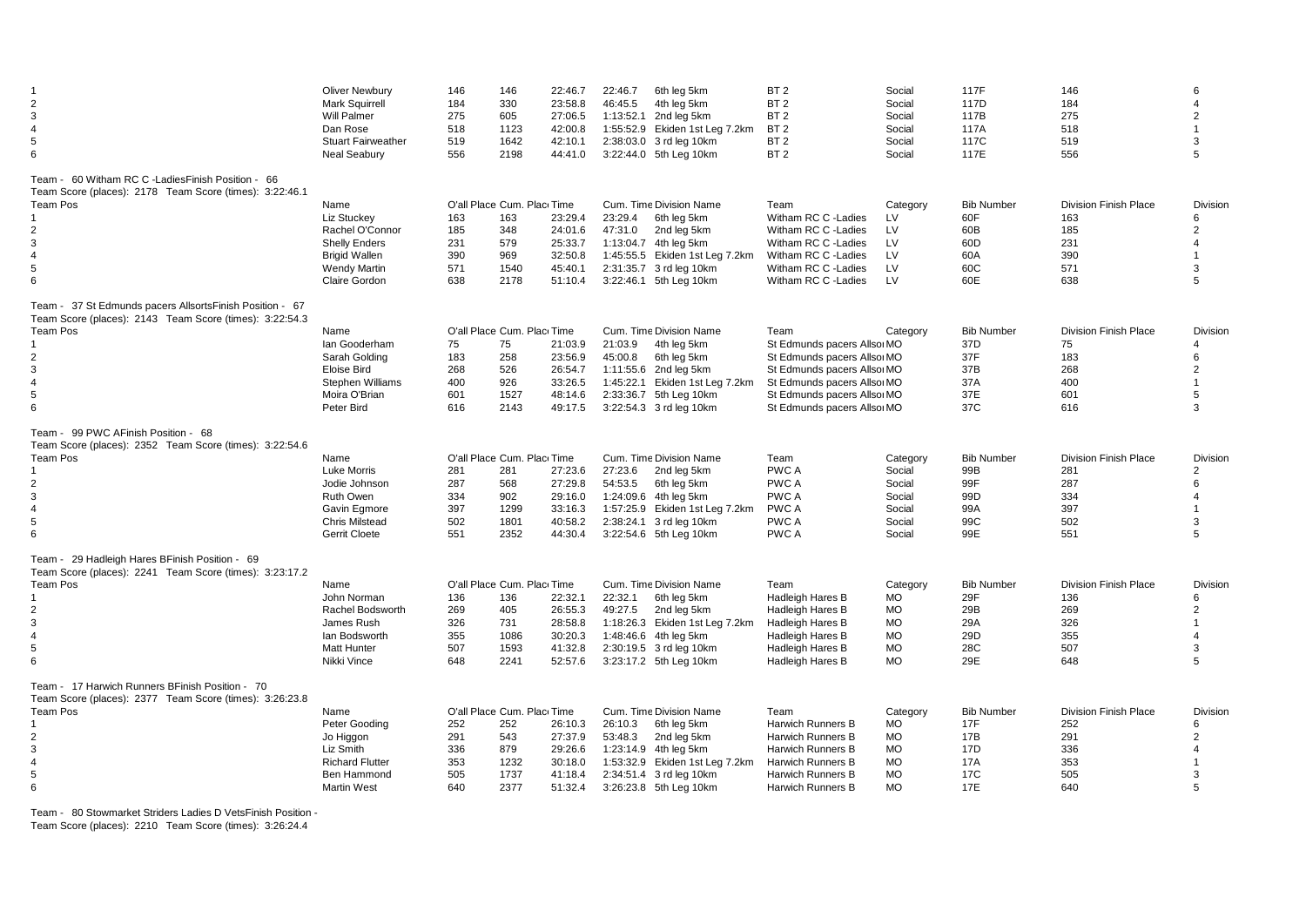| $\overline{2}$<br>3<br>$\overline{4}$<br>5<br>6                                                                                                                               | <b>Oliver Newbury</b><br><b>Mark Squirrell</b><br><b>Will Palmer</b><br>Dan Rose<br><b>Stuart Fairweather</b><br><b>Neal Seabury</b> | 146<br>184<br>275<br>518<br>519<br>556 | 146<br>330<br>605<br>1123<br>1642<br>2198                               | 22:46.7<br>23:58.8<br>27:06.5<br>42:00.8<br>42:10.1<br>44:41.0 | 22:46.7<br>46:45.5 | 6th leg 5km<br>4th leg 5km<br>1:13:52.1 2nd leg 5km<br>1:55:52.9 Ekiden 1st Leg 7.2km<br>2:38:03.0 3 rd leg 10km<br>3:22:44.0 5th Leg 10km                            | BT <sub>2</sub><br>BT <sub>2</sub><br>BT <sub>2</sub><br>BT <sub>2</sub><br>BT <sub>2</sub><br>BT <sub>2</sub>                                                                           | Social<br>Social<br>Social<br>Social<br>Social<br>Social                               | 117F<br>117D<br>117B<br>117A<br>117C<br>117E                | 146<br>184<br>275<br>518<br>519<br>556                                 | 6<br>4<br>$\overline{2}$<br>$\mathbf{1}$<br>3<br>5                            |
|-------------------------------------------------------------------------------------------------------------------------------------------------------------------------------|--------------------------------------------------------------------------------------------------------------------------------------|----------------------------------------|-------------------------------------------------------------------------|----------------------------------------------------------------|--------------------|-----------------------------------------------------------------------------------------------------------------------------------------------------------------------|------------------------------------------------------------------------------------------------------------------------------------------------------------------------------------------|----------------------------------------------------------------------------------------|-------------------------------------------------------------|------------------------------------------------------------------------|-------------------------------------------------------------------------------|
| Team - 60 Witham RC C -LadiesFinish Position - 66<br>Team Score (places): 2178 Team Score (times): 3:22:46.1<br>Team Pos<br>2<br>3<br>$\overline{4}$<br>5<br>6                | Name<br>Liz Stuckey<br>Rachel O'Connor<br><b>Shelly Enders</b><br><b>Brigid Wallen</b><br><b>Wendy Martin</b><br>Claire Gordon       | 163<br>185<br>231<br>390<br>571<br>638 | O'all Place Cum. Plac Time<br>163<br>348<br>579<br>969<br>1540<br>2178  | 23:29.4<br>24:01.6<br>25:33.7<br>32:50.8<br>45:40.1<br>51:10.4 | 23:29.4<br>47:31.0 | Cum. Time Division Name<br>6th leg 5km<br>2nd leg 5km<br>1:13:04.7 4th leg 5km<br>1:45:55.5 Ekiden 1st Leg 7.2km<br>2:31:35.7 3 rd leg 10km<br>3:22:46.1 5th Leg 10km | Team<br>Witham RC C -Ladies<br>Witham RC C - Ladies<br>Witham RC C - Ladies<br>Witham RC C - Ladies<br>Witham RC C - Ladies<br>Witham RC C - Ladies                                      | Category<br>LV<br>LV<br><b>LV</b><br>LV<br>LV<br>LV                                    | <b>Bib Number</b><br>60F<br>60B<br>60D<br>60A<br>60C<br>60E | <b>Division Finish Place</b><br>163<br>185<br>231<br>390<br>571<br>638 | Division<br>6<br>$\overline{2}$<br>4<br>$\mathbf{1}$<br>3<br>5                |
| Team - 37 St Edmunds pacers Allsorts Finish Position - 67<br>Team Score (places): 2143 Team Score (times): 3:22:54.3<br><b>Team Pos</b><br>$\overline{2}$<br>3<br>4<br>5<br>6 | Name<br>lan Gooderham<br>Sarah Golding<br><b>Eloise Bird</b><br>Stephen Williams<br>Moira O'Brian<br>Peter Bird                      | 75<br>183<br>268<br>400<br>601<br>616  | O'all Place Cum. Plac Time<br>75<br>258<br>526<br>926<br>1527<br>2143   | 21:03.9<br>23:56.9<br>26:54.7<br>33:26.5<br>48:14.6<br>49:17.5 | 21:03.9<br>45:00.8 | Cum. Time Division Name<br>4th leg 5km<br>6th leg 5km<br>1:11:55.6 2nd leg 5km<br>1:45:22.1 Ekiden 1st Leg 7.2km<br>2:33:36.7 5th Leg 10km<br>3:22:54.3 3 rd leg 10km | Team<br>St Edmunds pacers Allso MO<br>St Edmunds pacers Allso MO<br>St Edmunds pacers Allso MO<br>St Edmunds pacers Allso MO<br>St Edmunds pacers Allso MO<br>St Edmunds pacers Allso MO | Category                                                                               | <b>Bib Number</b><br>37D<br>37F<br>37B<br>37A<br>37E<br>37C | <b>Division Finish Place</b><br>75<br>183<br>268<br>400<br>601<br>616  | <b>Division</b><br>4<br>6<br>$\overline{2}$<br>$\mathbf{1}$<br>5<br>3         |
| Team - 99 PWC AFinish Position - 68<br>Team Score (places): 2352 Team Score (times): 3:22:54.6<br><b>Team Pos</b><br>2<br>3<br>$\overline{4}$<br>5<br>6                       | Name<br><b>Luke Morris</b><br>Jodie Johnson<br>Ruth Owen<br>Gavin Egmore<br><b>Chris Milstead</b><br><b>Gerrit Cloete</b>            | 281<br>287<br>334<br>397<br>502<br>551 | O'all Place Cum. Plac Time<br>281<br>568<br>902<br>1299<br>1801<br>2352 | 27:23.6<br>27:29.8<br>29:16.0<br>33:16.3<br>40:58.2<br>44:30.4 | 27:23.6<br>54:53.5 | Cum. Time Division Name<br>2nd leg 5km<br>6th leg 5km<br>1:24:09.6 4th leg 5km<br>1:57:25.9 Ekiden 1st Leg 7.2km<br>2:38:24.1 3 rd leg 10km<br>3:22:54.6 5th Leg 10km | Team<br><b>PWCA</b><br>PWC A<br><b>PWCA</b><br>PWC A<br>PWC A<br>PWC A                                                                                                                   | Category<br>Social<br>Social<br>Social<br>Social<br>Social<br>Social                   | <b>Bib Number</b><br>99B<br>99F<br>99D<br>99A<br>99C<br>99E | <b>Division Finish Place</b><br>281<br>287<br>334<br>397<br>502<br>551 | Division<br>$\overline{2}$<br>6<br>$\overline{4}$<br>$\overline{1}$<br>3<br>5 |
| Team - 29 Hadleigh Hares BFinish Position - 69<br>Team Score (places): 2241 Team Score (times): 3:23:17.2<br><b>Team Pos</b><br>2<br>3<br>$\overline{4}$<br>5<br>6            | Name<br>John Norman<br>Rachel Bodsworth<br>James Rush<br>lan Bodsworth<br><b>Matt Hunter</b><br>Nikki Vince                          | 136<br>269<br>326<br>355<br>507<br>648 | O'all Place Cum. Plac Time<br>136<br>405<br>731<br>1086<br>1593<br>2241 | 22:32.1<br>26:55.3<br>28:58.8<br>30:20.3<br>41:32.8<br>52:57.6 | 22:32.1<br>49:27.5 | Cum. Time Division Name<br>6th leg 5km<br>2nd leg 5km<br>1:18:26.3 Ekiden 1st Leg 7.2km<br>1:48:46.6 4th leg 5km<br>2:30:19.5 3 rd leg 10km<br>3:23:17.2 5th Leg 10km | Team<br><b>Hadleigh Hares B</b><br><b>Hadleigh Hares B</b><br><b>Hadleigh Hares B</b><br><b>Hadleigh Hares B</b><br><b>Hadleigh Hares B</b><br>Hadleigh Hares B                          | Category<br><b>MO</b><br><b>MO</b><br><b>MO</b><br><b>MO</b><br><b>MO</b><br><b>MO</b> | <b>Bib Number</b><br>29F<br>29B<br>29A<br>29D<br>28C<br>29E | <b>Division Finish Place</b><br>136<br>269<br>326<br>355<br>507<br>648 | Division<br>6<br>$\overline{2}$<br>$\mathbf{1}$<br>$\overline{4}$<br>3<br>5   |
| Team - 17 Harwich Runners BFinish Position - 70<br>Team Score (places): 2377 Team Score (times): 3:26:23.8<br>Team Pos<br>$\overline{2}$<br>3<br>$\overline{4}$<br>5<br>6     | Name<br>Peter Gooding<br>Jo Higgon<br>Liz Smith<br><b>Richard Flutter</b><br>Ben Hammond<br><b>Martin West</b>                       | 252<br>291<br>336<br>353<br>505<br>640 | O'all Place Cum. Plac Time<br>252<br>543<br>879<br>1232<br>1737<br>2377 | 26:10.3<br>27:37.9<br>29:26.6<br>30:18.0<br>41:18.4<br>51:32.4 | 26:10.3<br>53:48.3 | Cum. Time Division Name<br>6th leg 5km<br>2nd leg 5km<br>1:23:14.9 4th leg 5km<br>1:53:32.9 Ekiden 1st Leg 7.2km<br>2:34:51.4 3 rd leg 10km<br>3:26:23.8 5th Leg 10km | Team<br><b>Harwich Runners B</b><br>Harwich Runners B<br><b>Harwich Runners B</b><br><b>Harwich Runners B</b><br>Harwich Runners B<br><b>Harwich Runners B</b>                           | Category<br><b>MO</b><br><b>MO</b><br><b>MO</b><br><b>MO</b><br><b>MO</b><br><b>MO</b> | <b>Bib Number</b><br>17F<br>17B<br>17D<br>17A<br>17C<br>17E | <b>Division Finish Place</b><br>252<br>291<br>336<br>353<br>505<br>640 | <b>Division</b><br>6<br>$\overline{2}$<br>4<br>3<br>5                         |

Team - 80 Stowmarket Striders Ladies D VetsFinish Position - 71

Team Score (places): 2210 Team Score (times): 3:26:24.4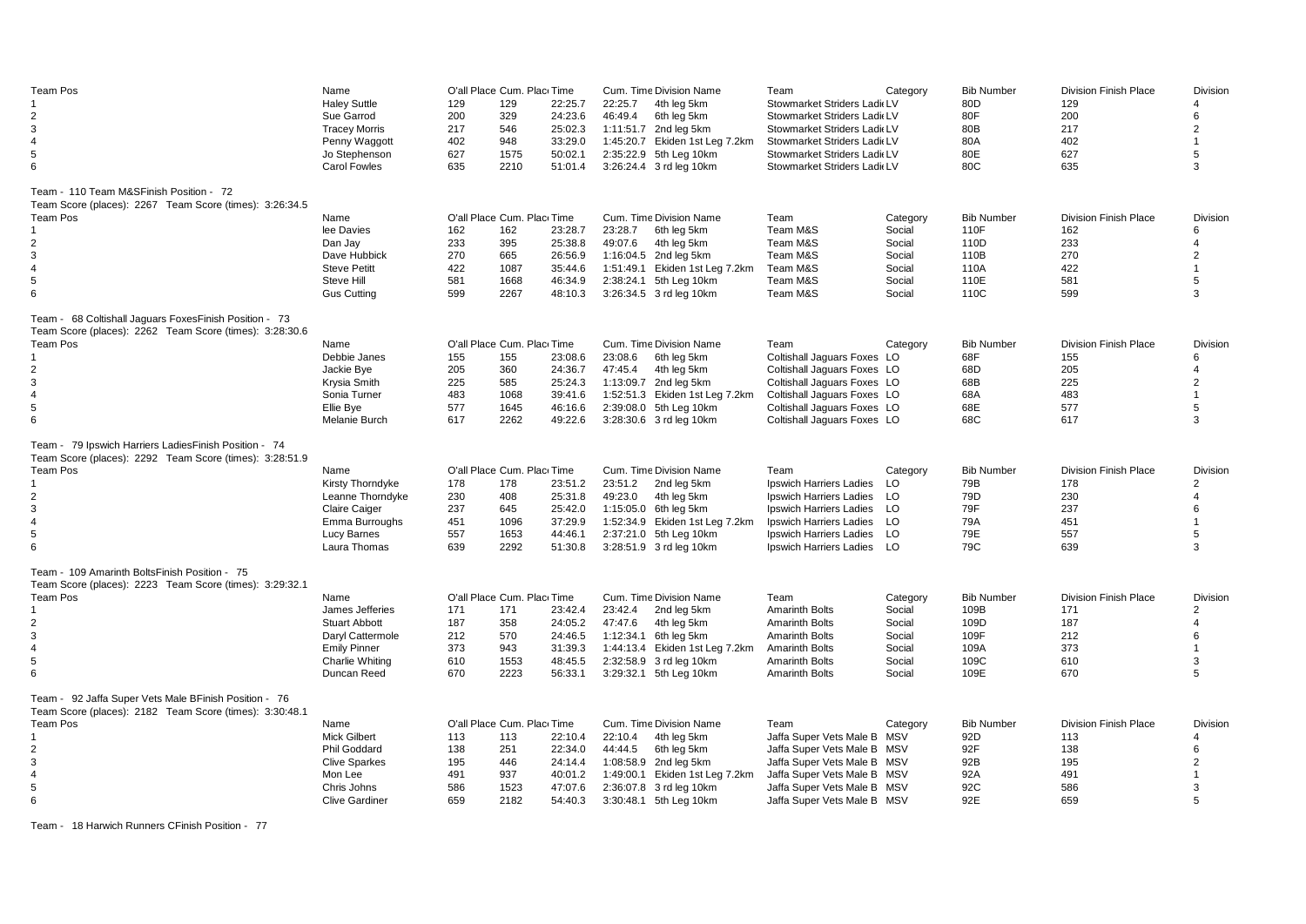| Team Pos                                                | Name                  |     | O'all Place Cum. Plac Time |         |         | Cum. Time Division Name        | Team                        | Category | <b>Bib Number</b> | <b>Division Finish Place</b> | <b>Division</b> |
|---------------------------------------------------------|-----------------------|-----|----------------------------|---------|---------|--------------------------------|-----------------------------|----------|-------------------|------------------------------|-----------------|
|                                                         | <b>Haley Suttle</b>   | 129 | 129                        | 22:25.7 | 22:25.7 | 4th leg 5km                    | Stowmarket Striders Ladi LV |          | 80D               | 129                          | 4               |
| $\overline{2}$                                          | Sue Garrod            | 200 | 329                        | 24:23.6 | 46:49.4 | 6th leg 5km                    | Stowmarket Striders Ladi LV |          | 80F               | 200                          | 6               |
| 3                                                       | <b>Tracey Morris</b>  | 217 | 546                        | 25:02.3 |         | 1:11:51.7 2nd leg 5km          | Stowmarket Striders Ladi LV |          | 80B               | 217                          | 2               |
| 4                                                       | Penny Waggott         | 402 | 948                        | 33:29.0 |         | 1:45:20.7 Ekiden 1st Leg 7.2km | Stowmarket Striders Ladi LV |          | 80A               | 402                          | $\mathbf{1}$    |
| 5                                                       |                       |     |                            |         |         |                                |                             |          |                   |                              |                 |
|                                                         | Jo Stephenson         | 627 | 1575                       | 50:02.1 |         | 2:35:22.9 5th Leg 10km         | Stowmarket Striders Ladi LV |          | 80E               | 627                          | 5               |
| 6                                                       | <b>Carol Fowles</b>   | 635 | 2210                       | 51:01.4 |         | 3:26:24.4 3 rd leg 10km        | Stowmarket Striders Ladi LV |          | 80C               | 635                          | 3               |
|                                                         |                       |     |                            |         |         |                                |                             |          |                   |                              |                 |
| Team - 110 Team M&SFinish Position - 72                 |                       |     |                            |         |         |                                |                             |          |                   |                              |                 |
| Team Score (places): 2267 Team Score (times): 3:26:34.5 |                       |     |                            |         |         |                                |                             |          |                   |                              |                 |
| Team Pos                                                | Name                  |     | O'all Place Cum. Plac Time |         |         | Cum. Time Division Name        | Team                        | Category | <b>Bib Number</b> | <b>Division Finish Place</b> | <b>Division</b> |
|                                                         | lee Davies            | 162 | 162                        | 23:28.7 | 23:28.7 | 6th leg 5km                    | Team M&S                    | Social   | 110F              | 162                          | 6               |
| $\overline{2}$                                          | Dan Jay               | 233 | 395                        | 25:38.8 | 49:07.6 | 4th leg 5km                    | Team M&S                    | Social   | 110D              | 233                          | 4               |
| 3                                                       | Dave Hubbick          | 270 | 665                        | 26:56.9 |         | 1:16:04.5 2nd leg 5km          | Team M&S                    | Social   | 110B              | 270                          | 2               |
| 4                                                       | <b>Steve Petitt</b>   | 422 | 1087                       | 35:44.6 |         | 1:51:49.1 Ekiden 1st Leg 7.2km | Team M&S                    | Social   | 110A              | 422                          | 1               |
| 5                                                       | Steve Hill            | 581 | 1668                       | 46:34.9 |         | 2:38:24.1 5th Leg 10km         | Team M&S                    | Social   | 110E              | 581                          | 5               |
| 6                                                       |                       |     |                            |         |         |                                |                             |          |                   |                              | 3               |
|                                                         | <b>Gus Cutting</b>    | 599 | 2267                       | 48:10.3 |         | 3:26:34.5 3 rd leg 10km        | Team M&S                    | Social   | 110C              | 599                          |                 |
| Team - 68 Coltishall Jaquars FoxesFinish Position - 73  |                       |     |                            |         |         |                                |                             |          |                   |                              |                 |
| Team Score (places): 2262 Team Score (times): 3:28:30.6 |                       |     |                            |         |         |                                |                             |          |                   |                              |                 |
| Team Pos                                                | Name                  |     | O'all Place Cum. Plac Time |         |         | Cum. Time Division Name        | Team                        | Category | <b>Bib Number</b> | <b>Division Finish Place</b> | <b>Division</b> |
|                                                         |                       |     |                            |         |         |                                |                             |          |                   |                              |                 |
|                                                         | Debbie Janes          | 155 | 155                        | 23:08.6 | 23:08.6 | 6th leg 5km                    | Coltishall Jaguars Foxes LO |          | 68F               | 155                          | 6               |
| $\overline{2}$                                          | Jackie Bye            | 205 | 360                        | 24:36.7 | 47:45.4 | 4th leg 5km                    | Coltishall Jaguars Foxes LO |          | 68D               | 205                          | 4               |
| 3                                                       | Krysia Smith          | 225 | 585                        | 25:24.3 |         | 1:13:09.7 2nd leg 5km          | Coltishall Jaguars Foxes LO |          | 68B               | 225                          | $\overline{2}$  |
| $\overline{4}$                                          | Sonia Turner          | 483 | 1068                       | 39:41.6 |         | 1:52:51.3 Ekiden 1st Leg 7.2km | Coltishall Jaguars Foxes LO |          | 68A               | 483                          | $\mathbf{1}$    |
| 5                                                       | Ellie Bye             | 577 | 1645                       | 46:16.6 |         | 2:39:08.0 5th Leg 10km         | Coltishall Jaguars Foxes LO |          | 68E               | 577                          | 5               |
| 6                                                       | Melanie Burch         | 617 | 2262                       | 49:22.6 |         | 3:28:30.6 3 rd leg 10km        | Coltishall Jaguars Foxes LO |          | 68C               | 617                          | 3               |
|                                                         |                       |     |                            |         |         |                                |                             |          |                   |                              |                 |
| Team - 79 Ipswich Harriers LadiesFinish Position - 74   |                       |     |                            |         |         |                                |                             |          |                   |                              |                 |
| Team Score (places): 2292 Team Score (times): 3:28:51.9 |                       |     |                            |         |         |                                |                             |          |                   |                              |                 |
| <b>Team Pos</b>                                         |                       |     | O'all Place Cum. Plac Time |         |         | Cum. Time Division Name        | Team                        |          | <b>Bib Number</b> | <b>Division Finish Place</b> | Division        |
|                                                         | Name                  |     |                            |         |         |                                |                             | Category |                   |                              |                 |
|                                                         | Kirsty Thorndyke      | 178 | 178                        | 23:51.2 | 23:51.2 | 2nd leg 5km                    | Ipswich Harriers Ladies     | LO       | 79B               | 178                          | $\overline{c}$  |
| $\overline{2}$                                          | Leanne Thorndyke      | 230 | 408                        | 25:31.8 | 49:23.0 | 4th leg 5km                    | Ipswich Harriers Ladies     | LO       | 79D               | 230                          | 4               |
| 3                                                       | <b>Claire Caiger</b>  | 237 | 645                        | 25:42.0 |         | 1:15:05.0 6th leg 5km          | Ipswich Harriers Ladies     | - LO     | 79F               | 237                          | 6               |
| 4                                                       | Emma Burroughs        | 451 | 1096                       | 37:29.9 |         | 1:52:34.9 Ekiden 1st Leg 7.2km | Ipswich Harriers Ladies     | LO       | 79A               | 451                          | $\mathbf{1}$    |
| 5                                                       | Lucy Barnes           | 557 | 1653                       | 44:46.1 |         | 2:37:21.0 5th Leg 10km         | Ipswich Harriers Ladies     | LO       | 79E               | 557                          | 5               |
| 6                                                       | Laura Thomas          | 639 | 2292                       | 51:30.8 |         | 3:28:51.9 3 rd leg 10km        | Ipswich Harriers Ladies     | - LO     | 79C               | 639                          | 3               |
|                                                         |                       |     |                            |         |         |                                |                             |          |                   |                              |                 |
| Team - 109 Amarinth BoltsFinish Position - 75           |                       |     |                            |         |         |                                |                             |          |                   |                              |                 |
| Team Score (places): 2223 Team Score (times): 3:29:32.1 |                       |     |                            |         |         |                                |                             |          |                   |                              |                 |
| <b>Team Pos</b>                                         | Name                  |     | O'all Place Cum. Plac Time |         |         | Cum. Time Division Name        | Team                        | Category | <b>Bib Number</b> | <b>Division Finish Place</b> | Division        |
|                                                         | James Jefferies       | 171 | 171                        | 23:42.4 | 23:42.4 | 2nd leg 5km                    | <b>Amarinth Bolts</b>       | Social   | 109B              | 171                          | 2               |
| 2                                                       | <b>Stuart Abbott</b>  | 187 | 358                        | 24:05.2 | 47:47.6 | 4th leg 5km                    | <b>Amarinth Bolts</b>       | Social   | 109D              | 187                          | 4               |
| 3                                                       | Daryl Cattermole      | 212 | 570                        | 24:46.5 |         | 1:12:34.1 6th leg 5km          | <b>Amarinth Bolts</b>       | Social   | 109F              | 212                          | 6               |
| $\overline{4}$                                          |                       |     |                            |         |         |                                |                             |          |                   |                              | $\mathbf{1}$    |
|                                                         | <b>Emily Pinner</b>   | 373 | 943                        | 31:39.3 |         | 1:44:13.4 Ekiden 1st Leg 7.2km | <b>Amarinth Bolts</b>       | Social   | 109A              | 373                          |                 |
| 5                                                       | Charlie Whiting       | 610 | 1553                       | 48:45.5 |         | 2:32:58.9 3 rd leg 10km        | <b>Amarinth Bolts</b>       | Social   | 109C              | 610                          | 3               |
| 6                                                       | Duncan Reed           | 670 | 2223                       | 56:33.1 |         | 3:29:32.1 5th Leg 10km         | <b>Amarinth Bolts</b>       | Social   | 109E              | 670                          | 5               |
| Team - 92 Jaffa Super Vets Male BFinish Position - 76   |                       |     |                            |         |         |                                |                             |          |                   |                              |                 |
|                                                         |                       |     |                            |         |         |                                |                             |          |                   |                              |                 |
| Team Score (places): 2182 Team Score (times): 3:30:48.1 |                       |     |                            |         |         |                                |                             |          |                   |                              |                 |
| Team Pos                                                | Name                  |     | O'all Place Cum. Plac Time |         |         | Cum. Time Division Name        | Team                        | Category | <b>Bib Number</b> | <b>Division Finish Place</b> | Division        |
| 1                                                       | <b>Mick Gilbert</b>   | 113 | 113                        | 22:10.4 | 22:10.4 | 4th leg 5km                    | Jaffa Super Vets Male B MSV |          | 92D               | 113                          | 4               |
| $\overline{2}$                                          | Phil Goddard          | 138 | 251                        | 22:34.0 | 44:44.5 | 6th leg 5km                    | Jaffa Super Vets Male B MSV |          | 92F               | 138                          | 6               |
| 3                                                       | <b>Clive Sparkes</b>  | 195 | 446                        | 24:14.4 |         | 1:08:58.9 2nd leg 5km          | Jaffa Super Vets Male B MSV |          | 92B               | 195                          | $\overline{2}$  |
| $\overline{4}$                                          | Mon Lee               | 491 | 937                        | 40:01.2 |         | 1:49:00.1 Ekiden 1st Leg 7.2km | Jaffa Super Vets Male B MSV |          | 92A               | 491                          |                 |
| 5                                                       | Chris Johns           | 586 | 1523                       | 47:07.6 |         | 2:36:07.8 3 rd leg 10km        | Jaffa Super Vets Male B MSV |          | 92C               | 586                          | 3               |
| 6                                                       | <b>Clive Gardiner</b> | 659 | 2182                       | 54:40.3 |         | 3:30:48.1 5th Leg 10km         | Jaffa Super Vets Male B MSV |          | 92E               | 659                          | 5               |
|                                                         |                       |     |                            |         |         |                                |                             |          |                   |                              |                 |

Team - 18 Harwich Runners CFinish Position - 77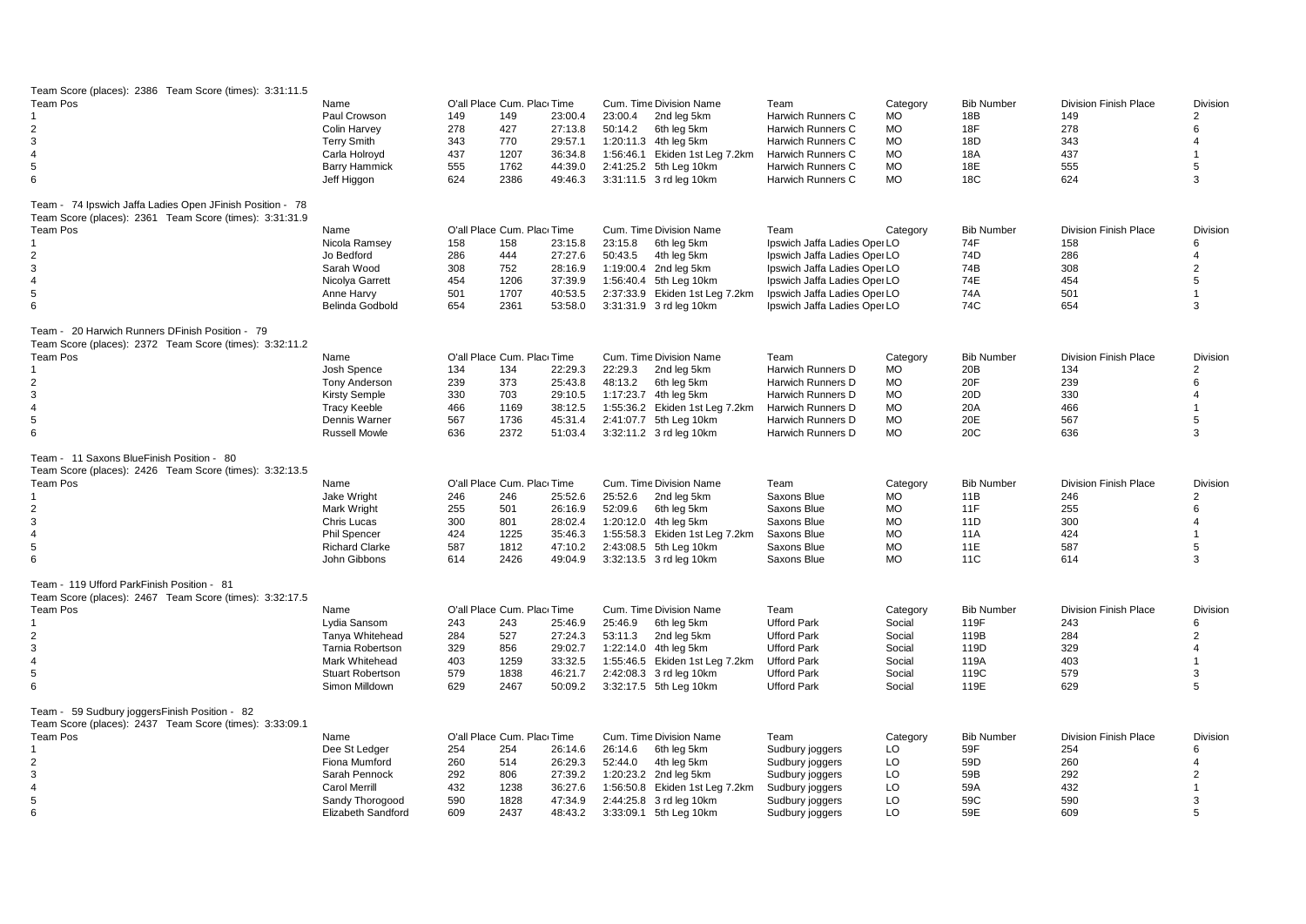| Team Score (places): 2386 Team Score (times): 3:31:11.5                                                  |                                              |     |                            |                    |         |                                                   |                              |                |                   |                              |                            |
|----------------------------------------------------------------------------------------------------------|----------------------------------------------|-----|----------------------------|--------------------|---------|---------------------------------------------------|------------------------------|----------------|-------------------|------------------------------|----------------------------|
| Team Pos                                                                                                 | Name                                         |     | O'all Place Cum. Plac Time |                    |         | Cum. Time Division Name                           | Team                         | Category       | <b>Bib Number</b> | <b>Division Finish Place</b> | Division                   |
|                                                                                                          | Paul Crowson                                 | 149 | 149                        | 23:00.4            | 23:00.4 | 2nd leg 5km                                       | Harwich Runners C            | <b>MO</b>      | 18B               | 149                          | $\overline{2}$             |
| $\overline{2}$                                                                                           | Colin Harvey                                 | 278 | 427                        | 27:13.8            | 50:14.2 | 6th leg 5km                                       | Harwich Runners C            | <b>MO</b>      | 18F               | 278                          | 6                          |
| $\mathbf{3}$                                                                                             | <b>Terry Smith</b>                           | 343 | 770                        | 29:57.1            |         | 1:20:11.3 4th leg 5km                             | Harwich Runners C            | MO             | 18D               | 343                          | $\overline{\mathbf{A}}$    |
| $\overline{4}$                                                                                           | Carla Holroyd                                | 437 | 1207                       | 36:34.8            |         | 1:56:46.1 Ekiden 1st Leg 7.2km                    | Harwich Runners C            | MO             | 18A               | 437                          |                            |
| 5                                                                                                        | <b>Barry Hammick</b>                         | 555 | 1762                       | 44:39.0            |         | 2:41:25.2 5th Leg 10km                            | Harwich Runners C            | <b>MO</b>      | 18E               | 555                          | 5                          |
| 6                                                                                                        | Jeff Higgon                                  | 624 | 2386                       | 49:46.3            |         | 3:31:11.5 3 rd leg 10km                           | Harwich Runners C            | MO             | 18C               | 624                          | 3                          |
|                                                                                                          |                                              |     |                            |                    |         |                                                   |                              |                |                   |                              |                            |
| Team - 74 Ipswich Jaffa Ladies Open JFinish Position - 78                                                |                                              |     |                            |                    |         |                                                   |                              |                |                   |                              |                            |
| Team Score (places): 2361 Team Score (times): 3:31:31.9                                                  |                                              |     |                            |                    |         |                                                   |                              |                |                   |                              |                            |
| Team Pos                                                                                                 | Name                                         |     | O'all Place Cum. Plac Time |                    |         | Cum. Time Division Name                           | Team                         | Category       | <b>Bib Number</b> | <b>Division Finish Place</b> | <b>Division</b>            |
|                                                                                                          | Nicola Ramsey                                | 158 | 158                        | 23:15.8            | 23:15.8 | 6th leg 5km                                       | Ipswich Jaffa Ladies Oper LO |                | 74F               | 158                          | 6                          |
| $\overline{2}$                                                                                           | Jo Bedford                                   | 286 | 444                        | 27:27.6            | 50:43.5 | 4th leg 5km                                       | Ipswich Jaffa Ladies Oper LO |                | 74D               | 286                          | $\overline{4}$             |
| 3                                                                                                        | Sarah Wood                                   | 308 | 752                        | 28:16.9            |         | 1:19:00.4 2nd leg 5km                             | Ipswich Jaffa Ladies Oper LO |                | 74B               | 308                          | $\overline{2}$             |
| $\overline{4}$                                                                                           | Nicolya Garrett                              | 454 | 1206                       | 37:39.9            |         | 1:56:40.4 5th Leg 10km                            | Ipswich Jaffa Ladies Oper LO |                | 74E               | 454                          | 5                          |
| 5                                                                                                        | Anne Harvy                                   | 501 | 1707                       | 40:53.5            |         | 2:37:33.9 Ekiden 1st Leg 7.2km                    | Ipswich Jaffa Ladies Oper LO |                | 74A               | 501                          |                            |
| 6                                                                                                        | Belinda Godbold                              | 654 | 2361                       | 53:58.0            |         | 3:31:31.9 3 rd leg 10km                           | Ipswich Jaffa Ladies Oper LO |                | 74C               | 654                          | 3                          |
| Team - 20 Harwich Runners DFinish Position - 79                                                          |                                              |     |                            |                    |         |                                                   |                              |                |                   |                              |                            |
| Team Score (places): 2372 Team Score (times): 3:32:11.2                                                  |                                              |     |                            |                    |         |                                                   |                              |                |                   |                              |                            |
| <b>Team Pos</b>                                                                                          | Name                                         |     | O'all Place Cum. Plac Time |                    |         | Cum. Time Division Name                           | Team                         |                | <b>Bib Number</b> | <b>Division Finish Place</b> |                            |
|                                                                                                          | Josh Spence                                  | 134 | 134                        | 22:29.3            | 22:29.3 | 2nd leg 5km                                       | Harwich Runners D            | Category<br>MO | 20B               | 134                          | Division<br>$\overline{2}$ |
| 2                                                                                                        |                                              | 239 | 373                        | 25:43.8            | 48:13.2 | 6th leg 5km                                       | Harwich Runners D            | <b>MO</b>      | 20F               | 239                          | 6                          |
| 3                                                                                                        | <b>Tony Anderson</b><br><b>Kirsty Semple</b> | 330 | 703                        | 29:10.5            |         | 1:17:23.7 4th leg 5km                             | Harwich Runners D            | <b>MO</b>      | 20 <sub>D</sub>   | 330                          | 4                          |
| $\overline{4}$                                                                                           |                                              | 466 |                            |                    |         |                                                   | Harwich Runners D            | MO             |                   | 466                          |                            |
| 5                                                                                                        | <b>Tracy Keeble</b><br>Dennis Warner         |     | 1169<br>1736               | 38:12.5            |         | 1:55:36.2 Ekiden 1st Leg 7.2km                    | Harwich Runners D            | MO             | 20A               | 567                          | 5                          |
| 6                                                                                                        | <b>Russell Mowle</b>                         | 567 | 2372                       | 45:31.4<br>51:03.4 |         | 2:41:07.7 5th Leg 10km<br>3:32:11.2 3 rd leg 10km |                              | <b>MO</b>      | 20E<br>20C        | 636                          | 3                          |
|                                                                                                          |                                              | 636 |                            |                    |         |                                                   | Harwich Runners D            |                |                   |                              |                            |
| Team - 11 Saxons BlueFinish Position - 80                                                                |                                              |     |                            |                    |         |                                                   |                              |                |                   |                              |                            |
| Team Score (places): 2426 Team Score (times): 3:32:13.5                                                  |                                              |     |                            |                    |         |                                                   |                              |                |                   |                              |                            |
| <b>Team Pos</b>                                                                                          | Name                                         |     | O'all Place Cum. Plac Time |                    |         | Cum. Time Division Name                           | Team                         | Category       | <b>Bib Number</b> | <b>Division Finish Place</b> | <b>Division</b>            |
|                                                                                                          | Jake Wright                                  | 246 | 246                        | 25:52.6            | 25:52.6 | 2nd leg 5km                                       | Saxons Blue                  | <b>MO</b>      | 11B               | 246                          | $\overline{2}$             |
| $\overline{2}$                                                                                           | Mark Wright                                  | 255 | 501                        | 26:16.9            | 52:09.6 | 6th leg 5km                                       | Saxons Blue                  | MO             | 11F               | 255                          | 6                          |
| 3                                                                                                        | Chris Lucas                                  | 300 | 801                        | 28:02.4            |         | 1:20:12.0 4th leg 5km                             | Saxons Blue                  | MO             | 11D               | 300                          | $\overline{4}$             |
| $\overline{4}$                                                                                           | <b>Phil Spencer</b>                          | 424 | 1225                       | 35:46.3            |         | 1:55:58.3 Ekiden 1st Leg 7.2km                    | Saxons Blue                  | MO             | 11A               | 424                          |                            |
| 5                                                                                                        | <b>Richard Clarke</b>                        | 587 | 1812                       | 47:10.2            |         | 2:43:08.5 5th Leg 10km                            | Saxons Blue                  | <b>MO</b>      | <b>11E</b>        | 587                          | 5                          |
| 6                                                                                                        | John Gibbons                                 | 614 | 2426                       | 49:04.9            |         | 3:32:13.5 3 rd leg 10km                           | Saxons Blue                  | MO             | 11C               | 614                          | 3                          |
|                                                                                                          |                                              |     |                            |                    |         |                                                   |                              |                |                   |                              |                            |
| Team - 119 Ufford ParkFinish Position - 81                                                               |                                              |     |                            |                    |         |                                                   |                              |                |                   |                              |                            |
| Team Score (places): 2467 Team Score (times): 3:32:17.5                                                  |                                              |     |                            |                    |         |                                                   |                              |                |                   |                              |                            |
| <b>Team Pos</b>                                                                                          | Name                                         |     | O'all Place Cum. Plac Time |                    |         | Cum. Time Division Name                           | Team                         | Category       | <b>Bib Number</b> | <b>Division Finish Place</b> | <b>Division</b>            |
| $\mathbf{1}$                                                                                             | Lydia Sansom                                 | 243 | 243                        | 25:46.9            | 25:46.9 | 6th leg 5km                                       | <b>Ufford Park</b>           | Social         | 119F              | 243                          | 6                          |
| $\overline{2}$                                                                                           | Tanya Whitehead                              | 284 | 527                        | 27:24.3            | 53:11.3 | 2nd leg 5km                                       | <b>Ufford Park</b>           | Social         | 119B              | 284                          | $\overline{2}$             |
| 3                                                                                                        | Tarnia Robertson                             | 329 | 856                        | 29:02.7            |         | 1:22:14.0 4th leg 5km                             | <b>Ufford Park</b>           | Social         | 119D              | 329                          | $\overline{\mathbf{A}}$    |
| $\overline{4}$                                                                                           | Mark Whitehead                               | 403 | 1259                       | 33:32.5            |         | 1:55:46.5 Ekiden 1st Leg 7.2km                    | <b>Ufford Park</b>           | Social         | 119A              | 403                          |                            |
| 5                                                                                                        | <b>Stuart Robertson</b>                      | 579 | 1838                       | 46:21.7            |         | 2:42:08.3 3 rd leg 10km                           | <b>Ufford Park</b>           | Social         | 119C              | 579                          | 3                          |
| 6                                                                                                        | Simon Milldown                               | 629 | 2467                       | 50:09.2            |         | 3:32:17.5 5th Leg 10km                            | <b>Ufford Park</b>           | Social         | 119E              | 629                          | 5                          |
|                                                                                                          |                                              |     |                            |                    |         |                                                   |                              |                |                   |                              |                            |
| Team - 59 Sudbury joggersFinish Position - 82<br>Team Score (places): 2437 Team Score (times): 3:33:09.1 |                                              |     |                            |                    |         |                                                   |                              |                |                   |                              |                            |
| <b>Team Pos</b>                                                                                          | Name                                         |     | O'all Place Cum. Plac Time |                    |         | Cum. Time Division Name                           | Team                         | Category       | <b>Bib Number</b> | <b>Division Finish Place</b> | Division                   |
| $\mathbf{1}$                                                                                             | Dee St Ledger                                | 254 | 254                        | 26:14.6            | 26:14.6 | 6th leg 5km                                       | Sudbury joggers              | LO             | 59F               | 254                          | 6                          |
| $\overline{2}$                                                                                           | Fiona Mumford                                | 260 | 514                        | 26:29.3            | 52:44.0 | 4th leg 5km                                       | Sudbury joggers              | LO             | 59D               | 260                          | 4                          |
| $\mathbf{3}$                                                                                             | Sarah Pennock                                | 292 | 806                        | 27:39.2            |         | 1:20:23.2 2nd leg 5km                             | Sudbury joggers              | LO             | 59B               | 292                          | $\overline{2}$             |
| $\overline{4}$                                                                                           | <b>Carol Merrill</b>                         | 432 | 1238                       | 36:27.6            |         | 1:56:50.8 Ekiden 1st Leg 7.2km                    | Sudbury joggers              | LO             | 59A               | 432                          |                            |
| $\,$ 5 $\,$                                                                                              | Sandy Thorogood                              | 590 | 1828                       | 47:34.9            |         | 2:44:25.8 3 rd leg 10km                           | Sudbury joggers              | LO             | 59C               | 590                          | 3                          |
| 6                                                                                                        | Elizabeth Sandford                           | 609 | 2437                       | 48:43.2            |         | 3:33:09.1 5th Leg 10km                            | Sudbury joggers              | LO             | 59E               | 609                          | 5                          |
|                                                                                                          |                                              |     |                            |                    |         |                                                   |                              |                |                   |                              |                            |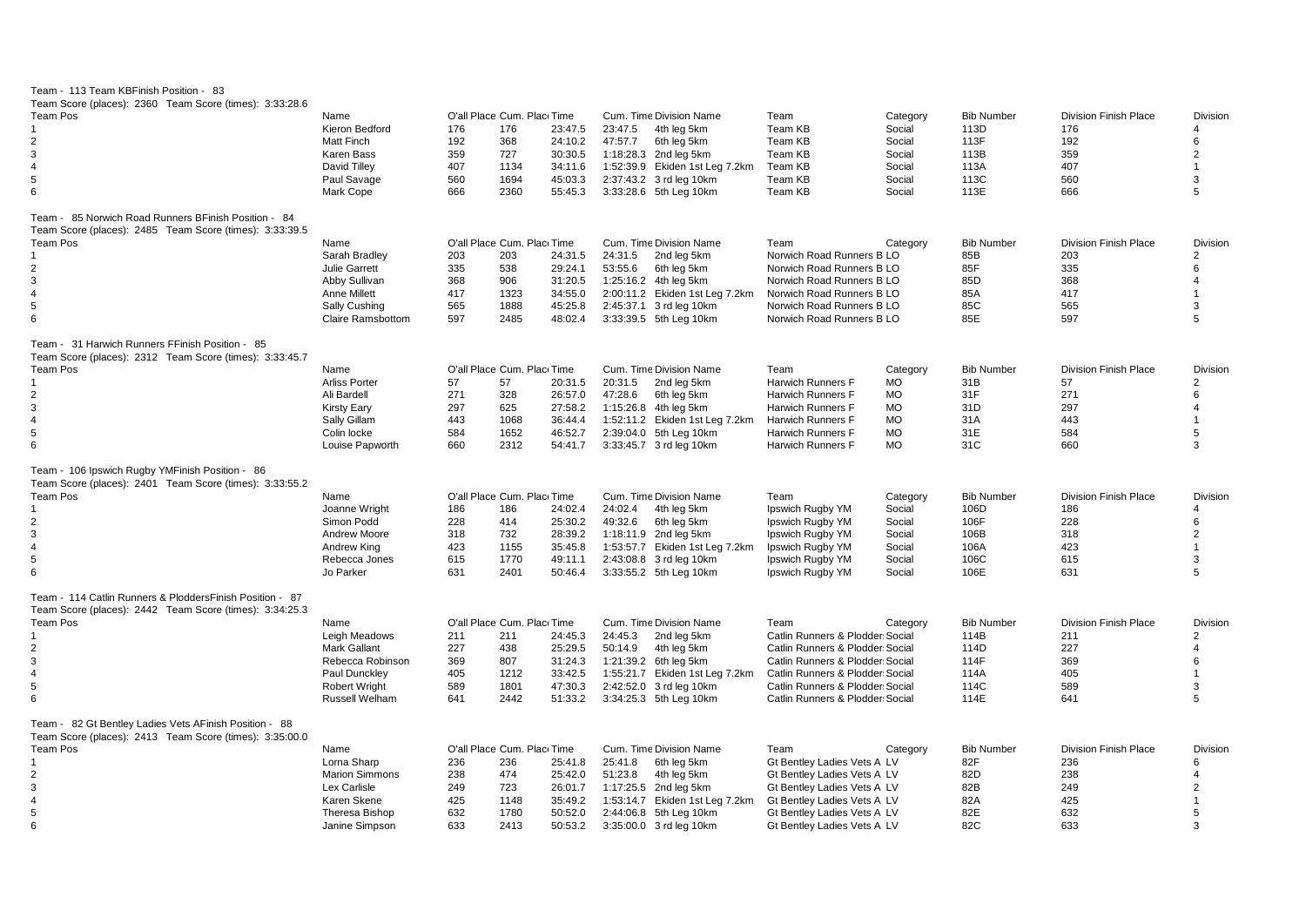| Team - 113 Team KBFinish Position - 83                                                                              |                          |     |                            |         |                                |                                 |           |                   |                              |                         |
|---------------------------------------------------------------------------------------------------------------------|--------------------------|-----|----------------------------|---------|--------------------------------|---------------------------------|-----------|-------------------|------------------------------|-------------------------|
| Team Score (places): 2360 Team Score (times): 3:33:28.6                                                             |                          |     |                            |         |                                |                                 |           |                   |                              |                         |
| <b>Team Pos</b>                                                                                                     | Name                     |     | O'all Place Cum. Plac Time |         | Cum. Time Division Name        | Team                            | Category  | <b>Bib Number</b> | <b>Division Finish Place</b> | <b>Division</b>         |
|                                                                                                                     | Kieron Bedford           | 176 | 176                        | 23:47.5 | 23:47.5<br>4th leg 5km         | Team KB                         | Social    | 113D              | 176                          | Δ                       |
| $\overline{2}$                                                                                                      | Matt Finch               | 192 | 368                        | 24:10.2 | 47:57.7<br>6th leg 5km         | Team KB                         | Social    | 113F              | 192                          | 6                       |
| 3                                                                                                                   | Karen Bass               | 359 | 727                        | 30:30.5 | 1:18:28.3 2nd leg 5km          | Team KB                         | Social    | 113B              | 359                          | $\overline{2}$          |
| 4                                                                                                                   | David Tilley             | 407 | 1134                       | 34:11.6 | 1:52:39.9 Ekiden 1st Leg 7.2km | Team KB                         | Social    | 113A              | 407                          | $\blacktriangleleft$    |
| 5                                                                                                                   | Paul Savage              | 560 | 1694                       | 45:03.3 | 2:37:43.2 3 rd leg 10km        | Team KB                         | Social    | 113C              | 560                          | 3                       |
| 6                                                                                                                   | Mark Cope                | 666 | 2360                       | 55:45.3 | 3:33:28.6 5th Leg 10km         | Team KB                         | Social    | 113E              | 666                          | 5                       |
| Team - 85 Norwich Road Runners BFinish Position - 84<br>Team Score (places): 2485 Team Score (times): 3:33:39.5     |                          |     |                            |         |                                |                                 |           |                   |                              |                         |
| Team Pos                                                                                                            | Name                     |     | O'all Place Cum. Plac Time |         | Cum. Time Division Name        | Team                            | Category  | <b>Bib Number</b> | <b>Division Finish Place</b> | Division                |
|                                                                                                                     | Sarah Bradley            | 203 | 203                        | 24:31.5 | 24:31.5<br>2nd leg 5km         | Norwich Road Runners B LO       |           | 85B               | 203                          | $\overline{2}$          |
| $\overline{2}$                                                                                                      | <b>Julie Garrett</b>     | 335 | 538                        | 29:24.1 | 53:55.6<br>6th leg 5km         | Norwich Road Runners B LO       |           | 85F               | 335                          | 6                       |
| 3                                                                                                                   | Abby Sullivan            | 368 | 906                        | 31:20.5 | 1:25:16.2 4th leg 5km          | Norwich Road Runners B LO       |           | 85D               | 368                          | $\overline{4}$          |
| $\overline{4}$                                                                                                      | <b>Anne Millett</b>      | 417 | 1323                       | 34:55.0 | 2:00:11.2 Ekiden 1st Leg 7.2km | Norwich Road Runners B LO       |           | 85A               | 417                          |                         |
| 5                                                                                                                   | Sally Cushing            | 565 | 1888                       | 45:25.8 | 2:45:37.1 3 rd leg 10km        | Norwich Road Runners B LO       |           | 85C               | 565                          | 3                       |
| 6                                                                                                                   | <b>Claire Ramsbottom</b> | 597 | 2485                       | 48:02.4 | 3:33:39.5 5th Leg 10km         | Norwich Road Runners B LO       |           | 85E               | 597                          | 5                       |
| Team - 31 Harwich Runners FFinish Position - 85<br>Team Score (places): 2312 Team Score (times): 3:33:45.7          |                          |     |                            |         |                                |                                 |           |                   |                              |                         |
| Team Pos                                                                                                            | Name                     |     | O'all Place Cum. Plac Time |         | Cum. Time Division Name        | Team                            | Category  | <b>Bib Number</b> | <b>Division Finish Place</b> | <b>Division</b>         |
| 1                                                                                                                   | <b>Arliss Porter</b>     | 57  | 57                         | 20:31.5 | 20:31.5<br>2nd leg 5km         | Harwich Runners F               | <b>MO</b> | 31B               | 57                           | $\overline{2}$          |
| $\overline{2}$                                                                                                      | Ali Bardell              | 271 | 328                        | 26:57.0 | 47:28.6<br>6th leg 5km         | <b>Harwich Runners F</b>        | <b>MO</b> | 31F               | 271                          | 6                       |
| $\mathbf{3}$                                                                                                        | <b>Kirsty Eary</b>       | 297 | 625                        | 27:58.2 | 1:15:26.8 4th leg 5km          | Harwich Runners F               | MO        | 31D               | 297                          | 4                       |
| $\overline{4}$                                                                                                      | Sally Gillam             | 443 | 1068                       | 36:44.4 | 1:52:11.2 Ekiden 1st Leg 7.2km | Harwich Runners F               | <b>MO</b> | 31A               | 443                          |                         |
| 5                                                                                                                   | Colin locke              | 584 | 1652                       | 46:52.7 | 2:39:04.0 5th Leg 10km         | Harwich Runners F               | <b>MO</b> | 31E               | 584                          | 5                       |
| 6                                                                                                                   | Louise Papworth          | 660 | 2312                       | 54:41.7 | 3:33:45.7 3 rd leg 10km        | <b>Harwich Runners F</b>        | <b>MO</b> | 31C               | 660                          | 3                       |
| Team - 106 Ipswich Rugby YMFinish Position - 86<br>Team Score (places): 2401 Team Score (times): 3:33:55.2          |                          |     |                            |         |                                |                                 |           |                   |                              |                         |
| Team Pos                                                                                                            | Name                     |     | O'all Place Cum. Plac Time |         | Cum. Time Division Name        | Team                            | Category  | <b>Bib Number</b> | <b>Division Finish Place</b> | Division                |
|                                                                                                                     | Joanne Wright            | 186 | 186                        | 24:02.4 | 24:02.4<br>4th leg 5km         | Ipswich Rugby YM                | Social    | 106D              | 186                          | 4                       |
| 2                                                                                                                   | Simon Podd               | 228 | 414                        | 25:30.2 | 49:32.6<br>6th leg 5km         | Ipswich Rugby YM                | Social    | 106F              | 228                          | 6                       |
| 3                                                                                                                   | Andrew Moore             | 318 | 732                        | 28:39.2 | 1:18:11.9 2nd leg 5km          | Ipswich Rugby YM                | Social    | 106B              | 318                          | $\overline{2}$          |
| $\overline{4}$                                                                                                      | Andrew King              | 423 | 1155                       | 35:45.8 | 1:53:57.7 Ekiden 1st Leg 7.2km | Ipswich Rugby YM                | Social    | 106A              | 423                          |                         |
| 5                                                                                                                   | Rebecca Jones            | 615 | 1770                       | 49:11.1 | 2:43:08.8 3 rd leg 10km        | Ipswich Rugby YM                | Social    | 106C              | 615                          | 3                       |
| 6                                                                                                                   | Jo Parker                | 631 | 2401                       | 50:46.4 | 3:33:55.2 5th Leg 10km         | Ipswich Rugby YM                | Social    | 106E              | 631                          | 5                       |
| Team - 114 Catlin Runners & PloddersFinish Position - 87<br>Team Score (places): 2442 Team Score (times): 3:34:25.3 |                          |     |                            |         |                                |                                 |           |                   |                              |                         |
| <b>Team Pos</b>                                                                                                     | Name                     |     | O'all Place Cum. Plac Time |         | Cum. Time Division Name        | Team                            | Category  | <b>Bib Number</b> | <b>Division Finish Place</b> | Division                |
|                                                                                                                     | Leigh Meadows            | 211 | 211                        | 24:45.3 | 24:45.3<br>2nd leg 5km         | Catlin Runners & Plodder Social |           | 114B              | 211                          | $\overline{2}$          |
| $\overline{2}$                                                                                                      | <b>Mark Gallant</b>      | 227 | 438                        | 25:29.5 | 50:14.9<br>4th leg 5km         | Catlin Runners & Plodder Social |           | 114D              | 227                          | $\overline{\mathbf{A}}$ |
| 3                                                                                                                   | Rebecca Robinson         | 369 | 807                        | 31:24.3 | 1:21:39.2 6th leg 5km          | Catlin Runners & Plodder Social |           | 114F              | 369                          | 6                       |
| $\overline{4}$                                                                                                      | Paul Dunckley            | 405 | 1212                       | 33:42.5 | 1:55:21.7 Ekiden 1st Leg 7.2km | Catlin Runners & Plodder Social |           | 114A              | 405                          |                         |
| 5                                                                                                                   | <b>Robert Wright</b>     | 589 | 1801                       | 47:30.3 | 2:42:52.0 3 rd leg 10km        | Catlin Runners & Plodder Social |           | 114C              | 589                          | 3                       |
| 6                                                                                                                   | Russell Welham           | 641 | 2442                       | 51:33.2 | 3:34:25.3 5th Leg 10km         | Catlin Runners & Plodder Social |           | 114E              | 641                          | 5                       |
| Team - 82 Gt Bentley Ladies Vets AFinish Position - 88                                                              |                          |     |                            |         |                                |                                 |           |                   |                              |                         |
| Team Score (places): 2413 Team Score (times): 3:35:00.0                                                             |                          |     |                            |         |                                |                                 |           |                   |                              |                         |
| Team Pos                                                                                                            | Name                     |     | O'all Place Cum. Plac Time |         | Cum. Time Division Name        | Team                            | Category  | <b>Bib Number</b> | <b>Division Finish Place</b> | <b>Division</b>         |
| 1                                                                                                                   | Lorna Sharp              | 236 | 236                        | 25:41.8 | 25:41.8<br>6th leg 5km         | Gt Bentley Ladies Vets A LV     |           | 82F               | 236                          | 6                       |
| 2                                                                                                                   | <b>Marion Simmons</b>    | 238 | 474                        | 25:42.0 | 51:23.8<br>4th leg 5km         | Gt Bentley Ladies Vets A LV     |           | 82D               | 238                          | 4                       |
| 3                                                                                                                   | Lex Carlisle             | 249 | 723                        | 26:01.7 | 1:17:25.5 2nd leg 5km          | Gt Bentley Ladies Vets A LV     |           | 82B               | 249                          | $\overline{2}$          |
| $\overline{4}$                                                                                                      | Karen Skene              | 425 | 1148                       | 35:49.2 | 1:53:14.7 Ekiden 1st Leg 7.2km | Gt Bentley Ladies Vets A LV     |           | 82A               | 425                          |                         |
| 5                                                                                                                   | Theresa Bishop           | 632 | 1780                       | 50:52.0 | 2:44:06.8 5th Leg 10km         | Gt Bentley Ladies Vets A LV     |           | 82E               | 632                          | 5                       |
| 6                                                                                                                   | Janine Simpson           | 633 | 2413                       | 50:53.2 | 3:35:00.0 3 rd leg 10km        | Gt Bentley Ladies Vets A LV     |           | 82C               | 633                          | 3                       |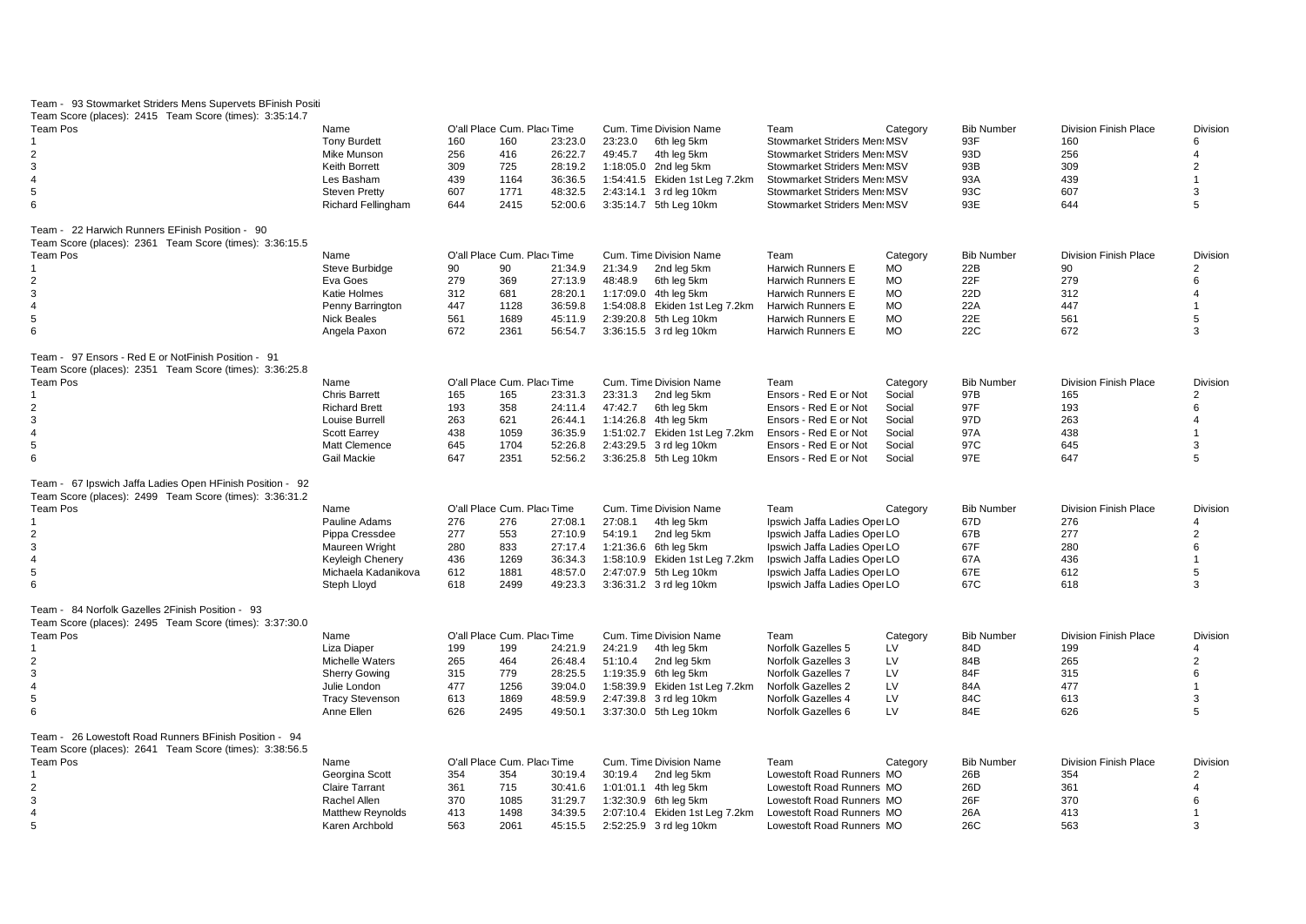| Team - 93 Stowmarket Striders Mens Supervets BFinish Positi |                           |     |                             |         |                                |                              |           |                   |                              |                |
|-------------------------------------------------------------|---------------------------|-----|-----------------------------|---------|--------------------------------|------------------------------|-----------|-------------------|------------------------------|----------------|
| Team Score (places): 2415 Team Score (times): 3:35:14.7     |                           |     |                             |         |                                |                              |           |                   |                              |                |
| <b>Team Pos</b>                                             | Name                      |     | O'all Place Cum. Plac Time  |         | Cum. Time Division Name        | Team                         | Category  | <b>Bib Number</b> | <b>Division Finish Place</b> | Division       |
|                                                             | <b>Tony Burdett</b>       | 160 | 160                         | 23:23.0 | 23:23.0<br>6th leg 5km         | Stowmarket Striders Men: MSV |           | 93F               | 160                          | 6              |
| $\overline{2}$                                              | <b>Mike Munson</b>        | 256 | 416                         | 26:22.7 | 49:45.7<br>4th leg 5km         | Stowmarket Striders Men: MSV |           | 93D               | 256                          | $\overline{4}$ |
| 3                                                           | <b>Keith Borrett</b>      | 309 | 725                         | 28:19.2 | 1:18:05.0 2nd leg 5km          | Stowmarket Striders Men: MSV |           | 93B               | 309                          | $\overline{2}$ |
| $\overline{4}$                                              | Les Basham                | 439 | 1164                        | 36:36.5 | 1:54:41.5 Ekiden 1st Leg 7.2km | Stowmarket Striders Men: MSV |           | 93A               | 439                          | $\overline{1}$ |
| 5                                                           | <b>Steven Pretty</b>      | 607 | 1771                        | 48:32.5 | 2:43:14.1 3 rd leg 10km        | Stowmarket Striders Men: MSV |           | 93C               | 607                          | 3              |
| 6                                                           | <b>Richard Fellingham</b> | 644 | 2415                        | 52:00.6 | 3:35:14.7 5th Leg 10km         | Stowmarket Striders Men: MSV |           | 93E               | 644                          | 5              |
|                                                             |                           |     |                             |         |                                |                              |           |                   |                              |                |
| Team - 22 Harwich Runners EFinish Position - 90             |                           |     |                             |         |                                |                              |           |                   |                              |                |
| Team Score (places): 2361 Team Score (times): 3:36:15.5     |                           |     |                             |         |                                |                              |           |                   |                              |                |
| Team Pos                                                    | Name                      |     | O'all Place Cum. Plac Time  |         | Cum. Time Division Name        | Team                         | Category  | <b>Bib Number</b> | <b>Division Finish Place</b> | Division       |
|                                                             | Steve Burbidge            | 90  | 90                          | 21:34.9 | 21:34.9<br>2nd leg 5km         | Harwich Runners E            | МO        | 22B               | 90                           | $\overline{2}$ |
| $\overline{2}$                                              | Eva Goes                  | 279 | 369                         | 27:13.9 | 48:48.9<br>6th leg 5km         | <b>Harwich Runners E</b>     | <b>MO</b> | 22F               | 279                          | 6              |
| 3                                                           | Katie Holmes              | 312 | 681                         | 28:20.1 | 1:17:09.0 4th leg 5km          | Harwich Runners E            | <b>MO</b> | 22D               | 312                          | $\overline{4}$ |
| $\overline{4}$                                              | Penny Barrington          | 447 | 1128                        | 36:59.8 | 1:54:08.8 Ekiden 1st Leg 7.2km | <b>Harwich Runners E</b>     | <b>MO</b> | 22A               | 447                          | $\mathbf{1}$   |
|                                                             |                           |     |                             |         |                                |                              |           |                   |                              |                |
| 5                                                           | <b>Nick Beales</b>        | 561 | 1689                        | 45:11.9 | 2:39:20.8 5th Leg 10km         | Harwich Runners E            | <b>MO</b> | 22E               | 561                          | 5              |
| 6                                                           | Angela Paxon              | 672 | 2361                        | 56:54.7 | 3:36:15.5 3 rd leg 10km        | Harwich Runners E            | <b>MO</b> | 22C               | 672                          | 3              |
| Team - 97 Ensors - Red E or NotFinish Position - 91         |                           |     |                             |         |                                |                              |           |                   |                              |                |
| Team Score (places): 2351 Team Score (times): 3:36:25.8     |                           |     |                             |         |                                |                              |           |                   |                              |                |
| Team Pos                                                    | Name                      |     | O'all Place Cum. Place Time |         | Cum. Time Division Name        | Team                         | Category  | <b>Bib Number</b> | <b>Division Finish Place</b> | Division       |
|                                                             | <b>Chris Barrett</b>      | 165 | 165                         | 23:31.3 | 23:31.3<br>2nd leg 5km         | Ensors - Red E or Not        | Social    | 97B               | 165                          | 2              |
| $\overline{2}$                                              | <b>Richard Brett</b>      | 193 | 358                         | 24:11.4 | 47:42.7<br>6th leg 5km         | Ensors - Red E or Not        | Social    | 97F               | 193                          | 6              |
| 3                                                           | Louise Burrell            | 263 | 621                         | 26:44.1 | 1:14:26.8 4th leg 5km          | Ensors - Red E or Not        | Social    | 97D               | 263                          | $\overline{4}$ |
| $\overline{4}$                                              | <b>Scott Earrey</b>       | 438 | 1059                        | 36:35.9 | 1:51:02.7 Ekiden 1st Leg 7.2km | Ensors - Red E or Not        | Social    | 97A               | 438                          |                |
| 5                                                           | <b>Matt Clemence</b>      | 645 | 1704                        | 52:26.8 | 2:43:29.5 3 rd leg 10km        | Ensors - Red E or Not        | Social    | 97C               | 645                          | 3              |
|                                                             |                           |     |                             |         |                                |                              |           |                   |                              | 5              |
| 6                                                           | <b>Gail Mackie</b>        | 647 | 2351                        | 52:56.2 | 3:36:25.8 5th Leg 10km         | Ensors - Red E or Not        | Social    | 97E               | 647                          |                |
| Team - 67 Ipswich Jaffa Ladies Open HFinish Position - 92   |                           |     |                             |         |                                |                              |           |                   |                              |                |
| Team Score (places): 2499 Team Score (times): 3:36:31.2     |                           |     |                             |         |                                |                              |           |                   |                              |                |
| <b>Team Pos</b>                                             | Name                      |     | O'all Place Cum. Plac Time  |         | Cum. Time Division Name        | Team                         | Category  | <b>Bib Number</b> | <b>Division Finish Place</b> | Division       |
|                                                             | Pauline Adams             | 276 | 276                         | 27:08.1 | 27:08.1<br>4th leg 5km         | Ipswich Jaffa Ladies Oper LO |           | 67D               | 276                          | 4              |
| $\overline{2}$                                              | Pippa Cressdee            | 277 | 553                         | 27:10.9 | 54:19.1<br>2nd leg 5km         | Ipswich Jaffa Ladies Oper LO |           | 67B               | 277                          | $\overline{2}$ |
| 3                                                           |                           |     |                             |         |                                | Ipswich Jaffa Ladies Oper LO |           | 67F               | 280                          | 6              |
| $\overline{4}$                                              | Maureen Wright            | 280 | 833                         | 27:17.4 | 1:21:36.6 6th leg 5km          |                              |           |                   |                              |                |
|                                                             | Keyleigh Chenery          | 436 | 1269                        | 36:34.3 | 1:58:10.9 Ekiden 1st Leg 7.2km | Ipswich Jaffa Ladies Oper LO |           | 67A               | 436                          | $\overline{1}$ |
| 5                                                           | Michaela Kadanikova       | 612 | 1881                        | 48:57.0 | 2:47:07.9 5th Leg 10km         | Ipswich Jaffa Ladies Oper LO |           | 67E               | 612                          | 5              |
| 6                                                           | Steph Lloyd               | 618 | 2499                        | 49:23.3 | 3:36:31.2 3 rd leg 10km        | Ipswich Jaffa Ladies Oper LO |           | 67C               | 618                          | 3              |
| Team - 84 Norfolk Gazelles 2Finish Position - 93            |                           |     |                             |         |                                |                              |           |                   |                              |                |
| Team Score (places): 2495 Team Score (times): 3:37:30.0     |                           |     |                             |         |                                |                              |           |                   |                              |                |
| <b>Team Pos</b>                                             | Name                      |     | O'all Place Cum. Plac Time  |         | Cum. Time Division Name        | Team                         | Category  | <b>Bib Number</b> | <b>Division Finish Place</b> | Division       |
| 1                                                           | Liza Diaper               | 199 | 199                         | 24:21.9 | 24:21.9<br>4th leg 5km         | Norfolk Gazelles 5           | LV        | 84D               | 199                          | 4              |
|                                                             |                           |     |                             |         |                                |                              |           |                   |                              |                |
| $\overline{2}$                                              | Michelle Waters           | 265 | 464                         | 26:48.4 | 51:10.4<br>2nd leg 5km         | Norfolk Gazelles 3           | LV        | 84B               | 265                          | $\overline{2}$ |
| 3                                                           | <b>Sherry Gowing</b>      | 315 | 779                         | 28:25.5 | 1:19:35.9 6th leg 5km          | Norfolk Gazelles 7           | LV        | 84F               | 315                          | 6              |
| $\overline{4}$                                              | Julie London              | 477 | 1256                        | 39:04.0 | 1:58:39.9 Ekiden 1st Leg 7.2km | Norfolk Gazelles 2           | LV        | 84A               | 477                          | $\overline{1}$ |
| 5                                                           | <b>Tracy Stevenson</b>    | 613 | 1869                        | 48:59.9 | 2:47:39.8 3 rd leg 10km        | Norfolk Gazelles 4           | LV        | 84C               | 613                          | 3              |
| 6                                                           | Anne Ellen                | 626 | 2495                        | 49:50.1 | 3:37:30.0 5th Leg 10km         | Norfolk Gazelles 6           | LV        | 84E               | 626                          | 5              |
| Team - 26 Lowestoft Road Runners BFinish Position - 94      |                           |     |                             |         |                                |                              |           |                   |                              |                |
|                                                             |                           |     |                             |         |                                |                              |           |                   |                              |                |
| Team Score (places): 2641 Team Score (times): 3:38:56.5     |                           |     |                             |         |                                |                              |           |                   |                              |                |
| <b>Team Pos</b>                                             | Name                      |     | O'all Place Cum. Plac Time  |         | Cum. Time Division Name        | Team                         | Category  | <b>Bib Number</b> | <b>Division Finish Place</b> | Division       |
| 1                                                           | Georgina Scott            | 354 | 354                         | 30:19.4 | 30:19.4<br>2nd leg 5km         | Lowestoft Road Runners MO    |           | 26B               | 354                          | $\overline{2}$ |
| $\overline{2}$                                              | <b>Claire Tarrant</b>     | 361 | 715                         | 30:41.6 | 1:01:01.1 4th leg 5km          | Lowestoft Road Runners MO    |           | 26D               | 361                          | 4              |
| 3                                                           | Rachel Allen              | 370 | 1085                        | 31:29.7 | 1:32:30.9 6th leg 5km          | Lowestoft Road Runners MO    |           | 26F               | 370                          | 6              |
| $\overline{4}$                                              | <b>Matthew Reynolds</b>   | 413 | 1498                        | 34:39.5 | 2:07:10.4 Ekiden 1st Leg 7.2km | Lowestoft Road Runners MO    |           | 26A               | 413                          | $\mathbf 1$    |
| 5                                                           | Karen Archbold            | 563 | 2061                        | 45:15.5 | 2:52:25.9 3 rd leg 10km        | Lowestoft Road Runners MO    |           | 26C               | 563                          | 3              |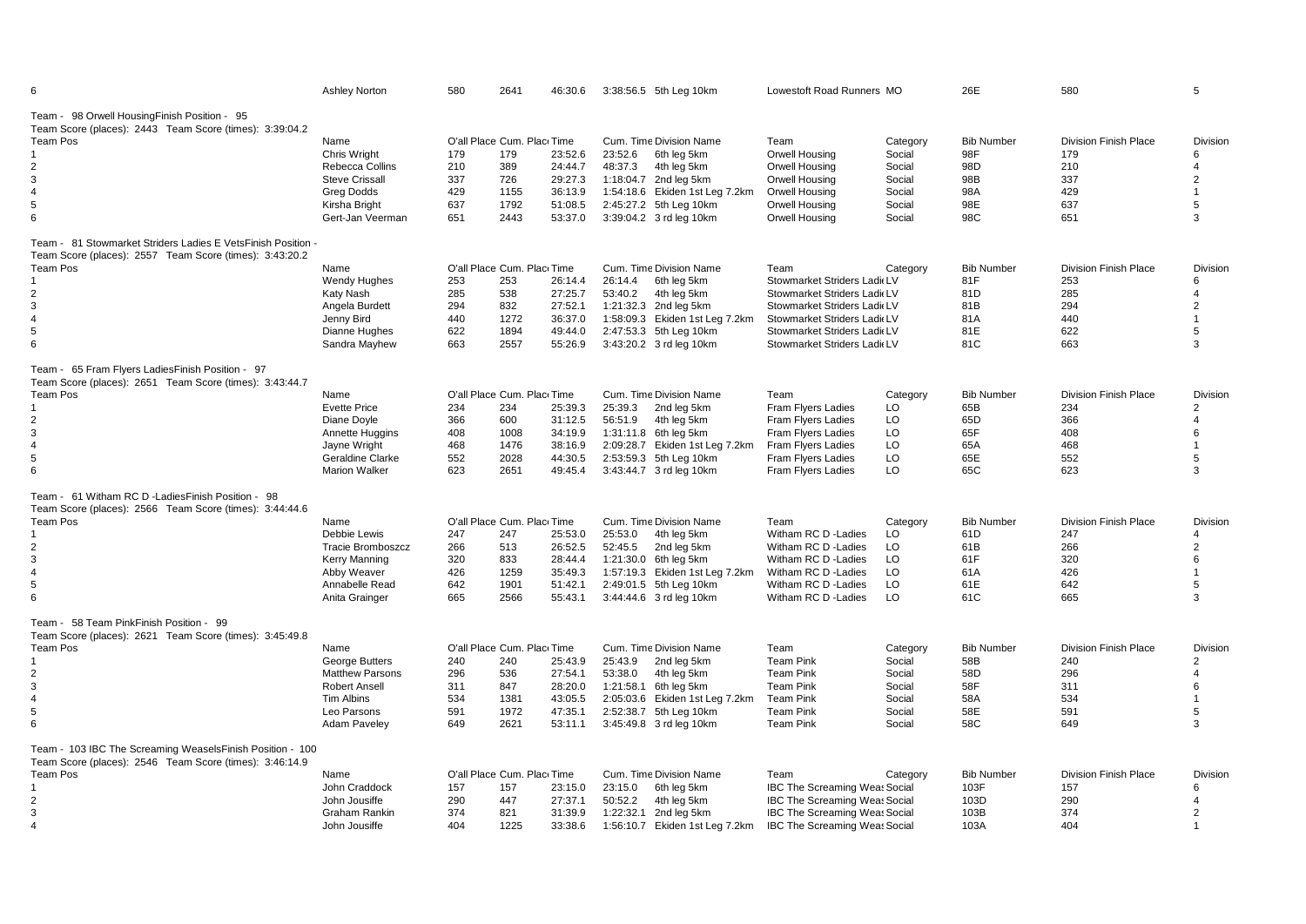| 6                                                                                                             | <b>Ashley Norton</b>     | 580 | 2641                       | 46:30.6 |         | 3:38:56.5 5th Leg 10km         | Lowestoft Road Runners MO            |          | 26E               | 580                          | 5               |
|---------------------------------------------------------------------------------------------------------------|--------------------------|-----|----------------------------|---------|---------|--------------------------------|--------------------------------------|----------|-------------------|------------------------------|-----------------|
| Team - 98 Orwell Housing Finish Position - 95<br>Team Score (places): 2443 Team Score (times): 3:39:04.2      |                          |     |                            |         |         |                                |                                      |          |                   |                              |                 |
| <b>Team Pos</b>                                                                                               | Name                     |     | O'all Place Cum. Plac Time |         |         | Cum. Time Division Name        | Team                                 | Category | <b>Bib Number</b> | <b>Division Finish Place</b> | <b>Division</b> |
| -1                                                                                                            | Chris Wright             | 179 | 179                        | 23:52.6 | 23:52.6 | 6th leg 5km                    | Orwell Housing                       | Social   | 98F               | 179                          | 6               |
| $\overline{2}$                                                                                                | Rebecca Collins          | 210 | 389                        | 24:44.7 | 48:37.3 | 4th leg 5km                    | Orwell Housing                       | Social   | 98D               | 210                          | 4               |
| 3                                                                                                             | <b>Steve Crissall</b>    | 337 | 726                        | 29:27.3 |         | 1:18:04.7 2nd leg 5km          | Orwell Housing                       | Social   | 98B               | 337                          | $\overline{2}$  |
| $\overline{4}$                                                                                                | <b>Greg Dodds</b>        | 429 | 1155                       | 36:13.9 |         | 1:54:18.6 Ekiden 1st Leg 7.2km | Orwell Housing                       | Social   | 98A               | 429                          |                 |
| 5                                                                                                             | Kirsha Bright            | 637 | 1792                       | 51:08.5 |         | 2:45:27.2 5th Leg 10km         | Orwell Housing                       | Social   | 98E               | 637                          | 5               |
| 6                                                                                                             | Gert-Jan Veerman         | 651 | 2443                       | 53:37.0 |         | 3:39:04.2 3 rd leg 10km        | Orwell Housing                       | Social   | 98C               | 651                          | 3               |
| Team - 81 Stowmarket Striders Ladies E VetsFinish Position -                                                  |                          |     |                            |         |         |                                |                                      |          |                   |                              |                 |
| Team Score (places): 2557 Team Score (times): 3:43:20.2                                                       |                          |     |                            |         |         |                                |                                      |          |                   |                              |                 |
| <b>Team Pos</b>                                                                                               | Name                     |     | O'all Place Cum. Plac Time |         |         | Cum. Time Division Name        | Team                                 | Category | <b>Bib Number</b> | <b>Division Finish Place</b> | Division        |
|                                                                                                               | <b>Wendy Hughes</b>      | 253 | 253                        | 26:14.4 | 26:14.4 | 6th leg 5km                    | Stowmarket Striders Ladi LV          |          | 81F               | 253                          | 6               |
| $\overline{2}$                                                                                                | Katy Nash                | 285 | 538                        | 27:25.7 | 53:40.2 | 4th leg 5km                    | Stowmarket Striders Ladi LV          |          | 81D               | 285                          | 4               |
| 3                                                                                                             | Angela Burdett           | 294 | 832                        | 27:52.1 |         | 1:21:32.3 2nd leg 5km          | Stowmarket Striders Ladi(LV          |          | 81B               | 294                          | $\overline{2}$  |
| 4                                                                                                             | Jenny Bird               | 440 | 1272                       | 36:37.0 |         | 1:58:09.3 Ekiden 1st Leg 7.2km | Stowmarket Striders Ladi LV          |          | 81A               | 440                          |                 |
| 5                                                                                                             | Dianne Hughes            | 622 | 1894                       | 49:44.0 |         | 2:47:53.3 5th Leg 10km         | Stowmarket Striders Ladi LV          |          | 81E               | 622                          | 5               |
| 6                                                                                                             | Sandra Mayhew            | 663 | 2557                       | 55:26.9 |         | 3:43:20.2 3 rd leg 10km        | Stowmarket Striders Ladi LV          |          | 81C               | 663                          | 3               |
| Team - 65 Fram Flyers LadiesFinish Position - 97                                                              |                          |     |                            |         |         |                                |                                      |          |                   |                              |                 |
| Team Score (places): 2651 Team Score (times): 3:43:44.7                                                       |                          |     |                            |         |         |                                |                                      |          |                   |                              |                 |
| <b>Team Pos</b>                                                                                               | Name                     |     | O'all Place Cum. Plac Time |         |         | Cum. Time Division Name        | Team                                 | Category | <b>Bib Number</b> | <b>Division Finish Place</b> | <b>Division</b> |
|                                                                                                               | <b>Evette Price</b>      | 234 | 234                        | 25:39.3 | 25:39.3 | 2nd leg 5km                    | Fram Flyers Ladies                   | LO       | 65B               | 234                          | $\overline{2}$  |
| 2                                                                                                             | Diane Doyle              | 366 | 600                        | 31:12.5 | 56:51.9 | 4th leg 5km                    | Fram Flyers Ladies                   | LO       | 65D               | 366                          | 4               |
| 3                                                                                                             | Annette Huggins          | 408 | 1008                       | 34:19.9 |         | 1:31:11.8 6th leg 5km          | Fram Flyers Ladies                   | LO       | 65F               | 408                          | 6               |
| $\overline{4}$                                                                                                | Jayne Wright             | 468 | 1476                       | 38:16.9 |         | 2:09:28.7 Ekiden 1st Leg 7.2km | Fram Flyers Ladies                   | LO       | 65A               | 468                          |                 |
| 5                                                                                                             | Geraldine Clarke         | 552 | 2028                       | 44:30.5 |         | 2:53:59.3 5th Leg 10km         | Fram Flyers Ladies                   | LO       | 65E               | 552                          | 5               |
| 6                                                                                                             | <b>Marion Walker</b>     | 623 | 2651                       | 49:45.4 |         | 3:43:44.7 3 rd leg 10km        | Fram Flyers Ladies                   | LO       | 65C               | 623                          | 3               |
| Team - 61 Witham RC D -Ladies Finish Position - 98<br>Team Score (places): 2566 Team Score (times): 3:44:44.6 |                          |     |                            |         |         |                                |                                      |          |                   |                              |                 |
| <b>Team Pos</b>                                                                                               | Name                     |     | O'all Place Cum. Plac Time |         |         | Cum. Time Division Name        | Team                                 | Category | <b>Bib Number</b> | <b>Division Finish Place</b> | Division        |
|                                                                                                               | Debbie Lewis             | 247 | 247                        | 25:53.0 | 25:53.0 | 4th leg 5km                    | Witham RC D - Ladies                 | LO       | 61D               | 247                          | $\Delta$        |
| 2                                                                                                             | <b>Tracie Bromboszcz</b> | 266 | 513                        | 26:52.5 | 52:45.5 | 2nd leg 5km                    | Witham RC D - Ladies                 | LO       | 61B               | 266                          | $\overline{2}$  |
| 3                                                                                                             | <b>Kerry Manning</b>     | 320 | 833                        | 28:44.4 |         | 1:21:30.0 6th leg 5km          | Witham RC D - Ladies                 | LO       | 61F               | 320                          | 6               |
| 4                                                                                                             | Abby Weaver              | 426 | 1259                       | 35:49.3 |         | 1:57:19.3 Ekiden 1st Leg 7.2km | Witham RC D - Ladies                 | LO       | 61A               | 426                          |                 |
| 5                                                                                                             | Annabelle Read           | 642 | 1901                       | 51:42.1 |         | 2:49:01.5 5th Leg 10km         | Witham RC D - Ladies                 | LO       | 61E               | 642                          | 5               |
| 6                                                                                                             | Anita Grainger           | 665 | 2566                       | 55:43.1 |         | 3:44:44.6 3 rd leg 10km        | Witham RC D - Ladies                 | LO       | 61C               | 665                          | 3               |
|                                                                                                               |                          |     |                            |         |         |                                |                                      |          |                   |                              |                 |
| Team - 58 Team PinkFinish Position - 99                                                                       |                          |     |                            |         |         |                                |                                      |          |                   |                              |                 |
| Team Score (places): 2621 Team Score (times): 3:45:49.8                                                       |                          |     |                            |         |         |                                |                                      |          |                   |                              |                 |
| <b>Team Pos</b>                                                                                               | Name                     |     | O'all Place Cum. Plac Time |         |         | Cum. Time Division Name        | Team                                 | Category | <b>Bib Number</b> | <b>Division Finish Place</b> | <b>Division</b> |
| $\mathbf{1}$                                                                                                  | George Butters           | 240 | 240                        | 25:43.9 | 25:43.9 | 2nd leg 5km                    | <b>Team Pink</b>                     | Social   | 58B               | 240                          | $\overline{2}$  |
| $\overline{2}$                                                                                                | <b>Matthew Parsons</b>   | 296 | 536                        | 27:54.1 | 53:38.0 | 4th leg 5km                    | <b>Team Pink</b>                     | Social   | 58D               | 296                          | 4               |
| 3                                                                                                             | <b>Robert Ansell</b>     | 311 | 847                        | 28:20.0 |         | 1:21:58.1 6th leg 5km          | <b>Team Pink</b>                     | Social   | 58F               | 311                          | 6               |
| $\overline{4}$                                                                                                | <b>Tim Albins</b>        | 534 | 1381                       | 43:05.5 |         | 2:05:03.6 Ekiden 1st Leg 7.2km | <b>Team Pink</b>                     | Social   | 58A               | 534                          |                 |
| 5                                                                                                             | Leo Parsons              | 591 | 1972                       | 47:35.1 |         | 2:52:38.7 5th Leg 10km         | <b>Team Pink</b>                     | Social   | 58E               | 591                          | 5               |
| 6                                                                                                             | Adam Paveley             | 649 | 2621                       | 53:11.1 |         | 3:45:49.8 3 rd leg 10km        | <b>Team Pink</b>                     | Social   | 58C               | 649                          | 3               |
| Team - 103 IBC The Screaming WeaselsFinish Position - 100                                                     |                          |     |                            |         |         |                                |                                      |          |                   |                              |                 |
| Team Score (places): 2546 Team Score (times): 3:46:14.9                                                       |                          |     |                            |         |         |                                |                                      |          |                   |                              |                 |
| <b>Team Pos</b>                                                                                               | Name                     |     | O'all Place Cum. Plac Time |         |         | Cum. Time Division Name        | Team                                 | Category | <b>Bib Number</b> | <b>Division Finish Place</b> | Division        |
| $\mathbf{1}$                                                                                                  | John Craddock            | 157 | 157                        | 23:15.0 | 23:15.0 | 6th leg 5km                    | <b>IBC The Screaming Weas Social</b> |          | 103F              | 157                          | 6               |
| 2                                                                                                             | John Jousiffe            | 290 | 447                        | 27:37.1 | 50:52.2 | 4th leg 5km                    | <b>IBC The Screaming Weas Social</b> |          | 103D              | 290                          | 4               |
| 3                                                                                                             | Graham Rankin            | 374 | 821                        | 31:39.9 |         | 1:22:32.1 2nd leg 5km          | <b>IBC The Screaming Weas Social</b> |          | 103B              | 374                          | 2               |
| $\overline{4}$                                                                                                | John Jousiffe            | 404 | 1225                       | 33:38.6 |         | 1:56:10.7 Ekiden 1st Leg 7.2km | IBC The Screaming Wea: Social        |          | 103A              | 404                          | $\mathbf 1$     |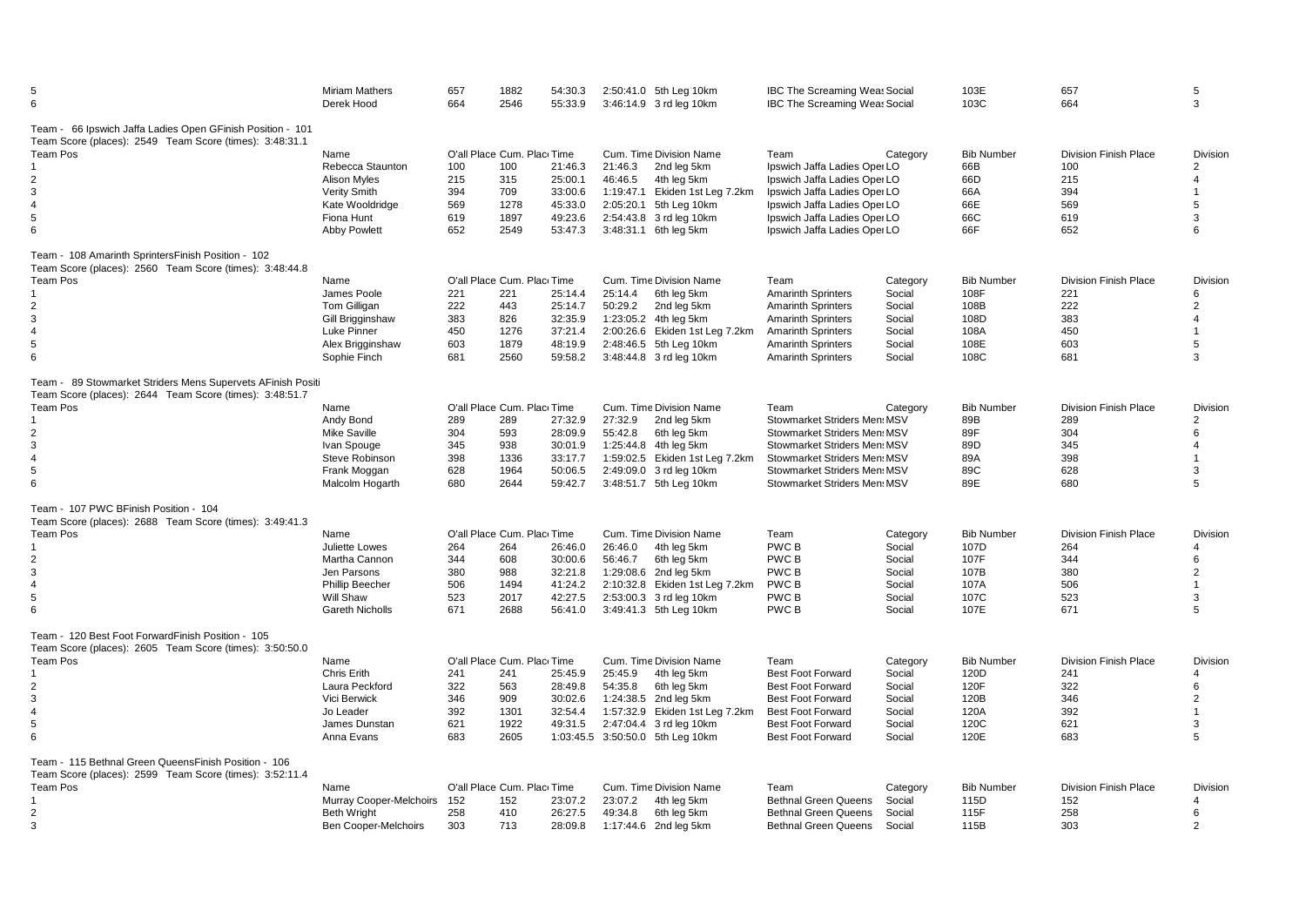| 5<br>6                                                                                                                 | <b>Miriam Mathers</b><br>Derek Hood | 657<br>664 | 1882<br>2546               | 54:30.3<br>55:33.9 |         | 2:50:41.0 5th Leg 10km<br>3:46:14.9 3 rd leg 10km | <b>IBC The Screaming Weas Social</b><br><b>IBC The Screaming Weas Social</b> |          | 103E<br>103C      | 657<br>664                   | 5<br>3         |
|------------------------------------------------------------------------------------------------------------------------|-------------------------------------|------------|----------------------------|--------------------|---------|---------------------------------------------------|------------------------------------------------------------------------------|----------|-------------------|------------------------------|----------------|
| Team - 66 Ipswich Jaffa Ladies Open GFinish Position - 101<br>Team Score (places): 2549 Team Score (times): 3:48:31.1  |                                     |            |                            |                    |         |                                                   |                                                                              |          |                   |                              |                |
| <b>Team Pos</b>                                                                                                        | Name                                |            | O'all Place Cum. Plac Time |                    |         | Cum. Time Division Name                           | Team                                                                         | Category | <b>Bib Number</b> | <b>Division Finish Place</b> | Division       |
|                                                                                                                        | Rebecca Staunton                    | 100        | 100                        | 21:46.3            | 21:46.3 | 2nd leg 5km                                       | Ipswich Jaffa Ladies Oper LO                                                 |          | 66B               | 100                          | 2              |
| $\overline{2}$                                                                                                         | <b>Alison Myles</b>                 | 215        | 315                        | 25:00.1            | 46:46.5 | 4th leg 5km                                       | Ipswich Jaffa Ladies Oper LO                                                 |          | 66D               | 215                          | 4              |
| 3                                                                                                                      | Verity Smith                        | 394        | 709                        | 33:00.6            |         | 1:19:47.1 Ekiden 1st Leg 7.2km                    | Ipswich Jaffa Ladies Opei LO                                                 |          | 66A               | 394                          | 1              |
| $\overline{4}$                                                                                                         | Kate Wooldridge                     | 569        | 1278                       | 45:33.0            |         | 2:05:20.1 5th Leg 10km                            | Ipswich Jaffa Ladies Opei LO                                                 |          | 66E               | 569                          | 5              |
| 5                                                                                                                      | Fiona Hunt                          | 619        | 1897                       | 49:23.6            |         | 2:54:43.8 3 rd leg 10km                           | Ipswich Jaffa Ladies Oper LO                                                 |          | 66C               | 619                          | 3              |
| 6                                                                                                                      | <b>Abby Powlett</b>                 | 652        | 2549                       | 53:47.3            |         | 3:48:31.1 6th leg 5km                             | Ipswich Jaffa Ladies Oper LO                                                 |          | 66F               | 652                          | 6              |
| Team - 108 Amarinth SprintersFinish Position - 102<br>Team Score (places): 2560 Team Score (times): 3:48:44.8          |                                     |            |                            |                    |         |                                                   |                                                                              |          |                   |                              |                |
| <b>Team Pos</b>                                                                                                        | Name                                |            | O'all Place Cum. Plac Time |                    |         | Cum. Time Division Name                           | Team                                                                         | Category | <b>Bib Number</b> | <b>Division Finish Place</b> | Division       |
|                                                                                                                        | James Poole                         | 221        | 221                        | 25:14.4            | 25:14.4 | 6th leg 5km                                       | <b>Amarinth Sprinters</b>                                                    | Social   | 108F              | 221                          | 6              |
| 2                                                                                                                      | <b>Tom Gilligan</b>                 | 222        | 443                        | 25:14.7            | 50:29.2 | 2nd leg 5km                                       | <b>Amarinth Sprinters</b>                                                    | Social   | 108B              | 222                          | $\overline{2}$ |
| 3                                                                                                                      | Gill Brigginshaw                    | 383        | 826                        | 32:35.9            |         | 1:23:05.2 4th leg 5km                             | <b>Amarinth Sprinters</b>                                                    | Social   | 108D              | 383                          | 4              |
| $\overline{4}$                                                                                                         | Luke Pinner                         | 450        | 1276                       | 37:21.4            |         | 2:00:26.6 Ekiden 1st Leg 7.2km                    | <b>Amarinth Sprinters</b>                                                    | Social   | 108A              | 450                          | $\overline{1}$ |
| 5                                                                                                                      | Alex Brigginshaw                    | 603        | 1879                       | 48:19.9            |         | 2:48:46.5 5th Leg 10km                            | <b>Amarinth Sprinters</b>                                                    | Social   | 108E              | 603                          | 5              |
| 6                                                                                                                      | Sophie Finch                        | 681        | 2560                       | 59:58.2            |         | 3:48:44.8 3 rd leg 10km                           | <b>Amarinth Sprinters</b>                                                    | Social   | 108C              | 681                          | 3              |
|                                                                                                                        |                                     |            |                            |                    |         |                                                   |                                                                              |          |                   |                              |                |
| Team - 89 Stowmarket Striders Mens Supervets AFinish Positi<br>Team Score (places): 2644 Team Score (times): 3:48:51.7 |                                     |            |                            |                    |         |                                                   |                                                                              |          |                   |                              |                |
| Team Pos                                                                                                               | Name                                |            | O'all Place Cum. Plac Time |                    |         | Cum. Time Division Name                           | Team                                                                         | Category | <b>Bib Number</b> | <b>Division Finish Place</b> | Division       |
|                                                                                                                        | Andy Bond                           | 289        | 289                        | 27:32.9            | 27:32.9 | 2nd leg 5km                                       | Stowmarket Striders Men: MSV                                                 |          | 89B               | 289                          | $\overline{2}$ |
| $\overline{2}$                                                                                                         | <b>Mike Saville</b>                 | 304        | 593                        | 28:09.9            | 55:42.8 | 6th leg 5km                                       | Stowmarket Striders Men: MSV                                                 |          | 89F               | 304                          | 6              |
| 3                                                                                                                      | Ivan Spouge                         | 345        | 938                        | 30:01.9            |         | 1:25:44.8 4th leg 5km                             | Stowmarket Striders Men MSV                                                  |          | 89D               | 345                          | $\overline{4}$ |
| $\overline{4}$                                                                                                         | Steve Robinson                      | 398        | 1336                       | 33:17.7            |         | 1:59:02.5 Ekiden 1st Leg 7.2km                    | Stowmarket Striders Men: MSV                                                 |          | 89A               | 398                          | $\mathbf{1}$   |
| 5                                                                                                                      | Frank Moggan                        | 628        | 1964                       | 50:06.5            |         | 2:49:09.0 3 rd leg 10km                           | Stowmarket Striders Men: MSV                                                 |          | 89C               | 628                          | 3              |
| 6                                                                                                                      | Malcolm Hogarth                     | 680        | 2644                       | 59:42.7            |         | 3:48:51.7 5th Leg 10km                            | Stowmarket Striders Men: MSV                                                 |          | 89E               | 680                          | 5              |
| Team - 107 PWC BFinish Position - 104                                                                                  |                                     |            |                            |                    |         |                                                   |                                                                              |          |                   |                              |                |
| Team Score (places): 2688 Team Score (times): 3:49:41.3                                                                |                                     |            |                            |                    |         |                                                   |                                                                              |          |                   |                              |                |
| Team Pos                                                                                                               | Name                                |            | O'all Place Cum. Plac Time |                    |         | Cum. Time Division Name                           | Team                                                                         | Category | <b>Bib Number</b> | <b>Division Finish Place</b> | Division       |
|                                                                                                                        | Juliette Lowes                      | 264        | 264                        | 26:46.0            | 26:46.0 | 4th leg 5km                                       | PWC B                                                                        | Social   | 107D              | 264                          | 4              |
| 2                                                                                                                      | Martha Cannon                       | 344        | 608                        | 30:00.6            | 56:46.7 | 6th leg 5km                                       | PWC B                                                                        | Social   | 107F              | 344                          | 6              |
| 3                                                                                                                      | Jen Parsons                         | 380        | 988                        | 32:21.8            |         | 1:29:08.6 2nd leg 5km                             | PWC B                                                                        | Social   | 107B              | 380                          | $\overline{2}$ |
| $\overline{4}$                                                                                                         | <b>Phillip Beecher</b>              | 506        | 1494                       | 41:24.2            |         | 2:10:32.8 Ekiden 1st Leg 7.2km                    | PWC B                                                                        | Social   | 107A              | 506                          | $\mathbf{1}$   |
| 5                                                                                                                      | <b>Will Shaw</b>                    | 523        | 2017                       | 42:27.5            |         | 2:53:00.3 3 rd leg 10km                           | PWC B                                                                        | Social   | 107C              | 523                          | 3              |
| 6                                                                                                                      | <b>Gareth Nicholls</b>              | 671        | 2688                       | 56:41.0            |         | 3:49:41.3 5th Leg 10km                            | PWC B                                                                        | Social   | 107E              | 671                          | 5              |
|                                                                                                                        |                                     |            |                            |                    |         |                                                   |                                                                              |          |                   |                              |                |
| Team - 120 Best Foot ForwardFinish Position - 105<br>Team Score (places): 2605 Team Score (times): 3:50:50.0           |                                     |            |                            |                    |         |                                                   |                                                                              |          |                   |                              |                |
| <b>Team Pos</b>                                                                                                        | Name                                |            | O'all Place Cum. Plac Time |                    |         | Cum. Time Division Name                           | Team                                                                         | Category | <b>Bib Number</b> | <b>Division Finish Place</b> | Division       |
|                                                                                                                        | Chris Erith                         | 241        | 241                        | 25:45.9            | 25:45.9 | 4th leg 5km                                       | <b>Best Foot Forward</b>                                                     | Social   | 120D              | 241                          | 4              |
| 2                                                                                                                      | Laura Peckford                      | 322        | 563                        | 28:49.8            | 54:35.8 | 6th leg 5km                                       | <b>Best Foot Forward</b>                                                     | Social   | 120F              | 322                          | 6              |
| 3                                                                                                                      | Vici Berwick                        | 346        | 909                        | 30:02.6            |         | 1:24:38.5 2nd leg 5km                             | <b>Best Foot Forward</b>                                                     | Social   | 120B              | 346                          | $\overline{2}$ |
| $\overline{4}$                                                                                                         | Jo Leader                           | 392        | 1301                       | 32:54.4            |         | 1:57:32.9 Ekiden 1st Leg 7.2km                    | <b>Best Foot Forward</b>                                                     | Social   | 120A              | 392                          | 1              |
| 5                                                                                                                      | James Dunstan                       | 621        | 1922                       | 49:31.5            |         | 2:47:04.4 3 rd leg 10km                           | <b>Best Foot Forward</b>                                                     | Social   | 120C              | 621                          | 3              |
| 6                                                                                                                      | Anna Evans                          | 683        | 2605                       |                    |         | 1:03:45.5 3:50:50.0 5th Leg 10km                  | <b>Best Foot Forward</b>                                                     | Social   | 120E              | 683                          | 5              |
| Team - 115 Bethnal Green QueensFinish Position - 106                                                                   |                                     |            |                            |                    |         |                                                   |                                                                              |          |                   |                              |                |
| Team Score (places): 2599 Team Score (times): 3:52:11.4                                                                |                                     |            |                            |                    |         |                                                   |                                                                              |          |                   |                              |                |
| <b>Team Pos</b>                                                                                                        | Name                                |            | O'all Place Cum. Plac Time |                    |         | Cum. Time Division Name                           | Team                                                                         | Category | <b>Bib Number</b> | <b>Division Finish Place</b> | Division       |
|                                                                                                                        | Murray Cooper-Melchoirs             | 152        | 152                        | 23:07.2            | 23:07.2 | 4th leg 5km                                       | <b>Bethnal Green Queens</b>                                                  | Social   | 115D              | 152                          | 4              |
| $\overline{2}$                                                                                                         | <b>Beth Wright</b>                  | 258        | 410                        | 26:27.5            | 49:34.8 | 6th leg 5km                                       | <b>Bethnal Green Queens</b>                                                  | Social   | 115F              | 258                          | 6              |
| 3                                                                                                                      | <b>Ben Cooper-Melchoirs</b>         | 303        | 713                        | 28:09.8            |         | 1:17:44.6 2nd leg 5km                             | <b>Bethnal Green Queens</b>                                                  | Social   | 115B              | 303                          | $\mathfrak{p}$ |
|                                                                                                                        |                                     |            |                            |                    |         |                                                   |                                                                              |          |                   |                              |                |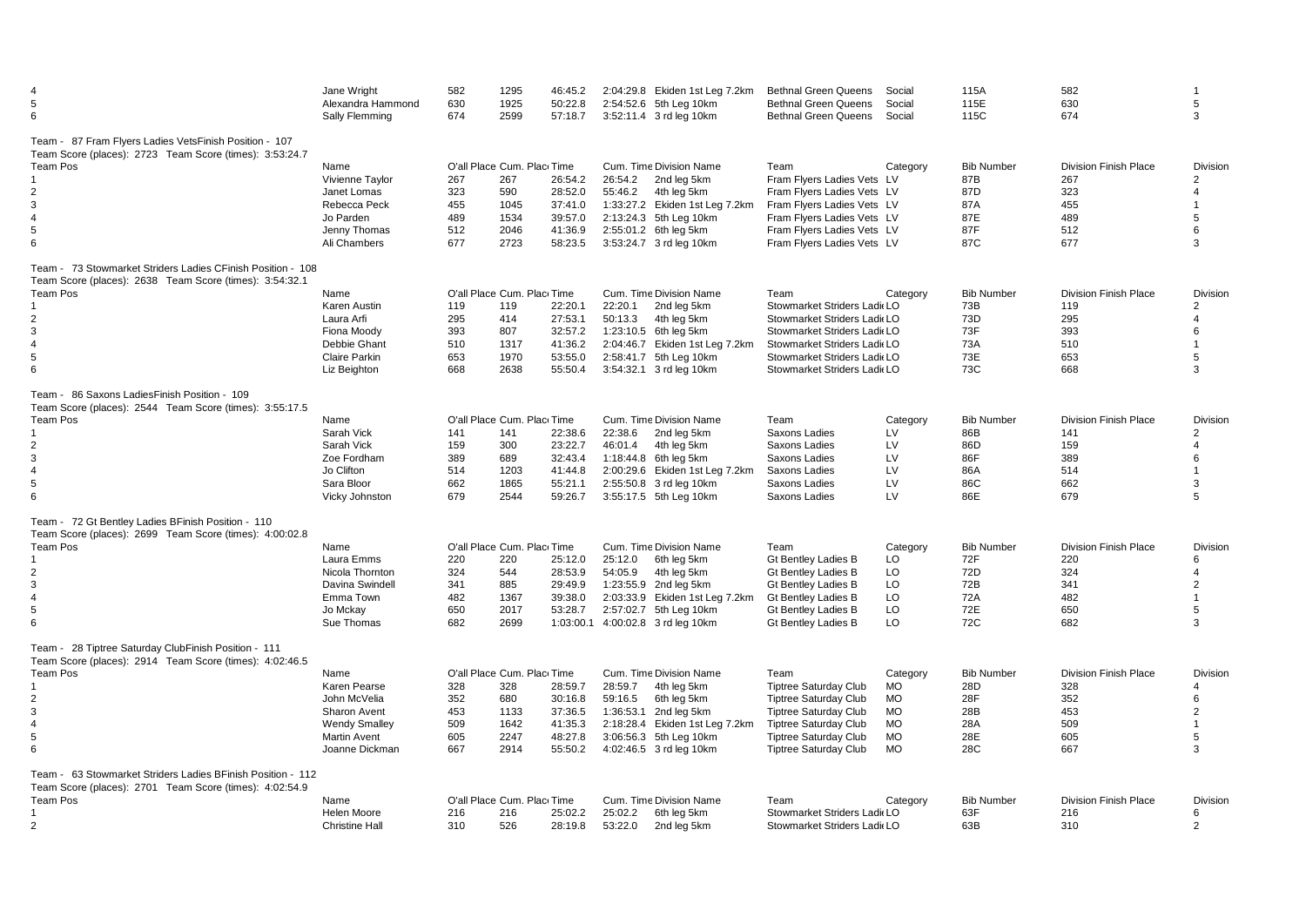| 5<br>6                                                                                                                                                              | Jane Wright<br>Alexandra Hammond<br>Sally Flemming                                                                    | 582<br>630<br>674                      | 1295<br>1925<br>2599                                                     | 46:45.2<br>50:22.8<br>57:18.7                                    |                    | 2:04:29.8 Ekiden 1st Leg 7.2km<br>2:54:52.6 5th Leg 10km<br>3:52:11.4 3 rd leg 10km                                                                                   | <b>Bethnal Green Queens</b><br><b>Bethnal Green Queens</b><br><b>Bethnal Green Queens</b>                                                                                                            | Social<br>Social<br>Social                                                             | 115A<br>115E<br>115C                                        | 582<br>630<br>674                                                      | 5<br>3                                                                               |
|---------------------------------------------------------------------------------------------------------------------------------------------------------------------|-----------------------------------------------------------------------------------------------------------------------|----------------------------------------|--------------------------------------------------------------------------|------------------------------------------------------------------|--------------------|-----------------------------------------------------------------------------------------------------------------------------------------------------------------------|------------------------------------------------------------------------------------------------------------------------------------------------------------------------------------------------------|----------------------------------------------------------------------------------------|-------------------------------------------------------------|------------------------------------------------------------------------|--------------------------------------------------------------------------------------|
| Team - 87 Fram Flyers Ladies VetsFinish Position - 107<br>Team Score (places): 2723 Team Score (times): 3:53:24.7<br>Team Pos<br>2<br>3<br>$\overline{4}$<br>5<br>6 | Name<br>Vivienne Taylor<br>Janet Lomas<br>Rebecca Peck<br>Jo Parden<br>Jenny Thomas<br>Ali Chambers                   | 267<br>323<br>455<br>489<br>512<br>677 | O'all Place Cum. Plac Time<br>267<br>590<br>1045<br>1534<br>2046<br>2723 | 26:54.2<br>28:52.0<br>37:41.0<br>39:57.0<br>41:36.9<br>58:23.5   | 26:54.2<br>55:46.2 | Cum. Time Division Name<br>2nd leg 5km<br>4th leg 5km<br>1:33:27.2 Ekiden 1st Leg 7.2km<br>2:13:24.3 5th Leg 10km<br>2:55:01.2 6th leg 5km<br>3:53:24.7 3 rd leg 10km | Team<br>Fram Flyers Ladies Vets LV<br>Fram Flyers Ladies Vets LV<br>Fram Flyers Ladies Vets LV<br>Fram Flyers Ladies Vets LV<br>Fram Flyers Ladies Vets LV<br>Fram Flyers Ladies Vets LV             | Category                                                                               | <b>Bib Number</b><br>87B<br>87D<br>87A<br>87E<br>87F<br>87C | <b>Division Finish Place</b><br>267<br>323<br>455<br>489<br>512<br>677 | Division<br>$\overline{2}$<br>4<br>$\blacktriangleleft$<br>5<br>6<br>3               |
| Team - 73 Stowmarket Striders Ladies CFinish Position - 108<br>Team Score (places): 2638 Team Score (times): 3:54:32.1                                              |                                                                                                                       |                                        |                                                                          |                                                                  |                    |                                                                                                                                                                       |                                                                                                                                                                                                      |                                                                                        |                                                             |                                                                        |                                                                                      |
| Team Pos<br>2<br>3<br>$\overline{4}$<br>5<br>6                                                                                                                      | Name<br>Karen Austin<br>Laura Arfi<br>Fiona Moody<br>Debbie Ghant<br><b>Claire Parkin</b><br>Liz Beighton             | 119<br>295<br>393<br>510<br>653<br>668 | O'all Place Cum. Plac Time<br>119<br>414<br>807<br>1317<br>1970<br>2638  | 22:20.1<br>27:53.1<br>32:57.2<br>41:36.2<br>53:55.0<br>55:50.4   | 22:20.1<br>50:13.3 | Cum. Time Division Name<br>2nd leg 5km<br>4th lea 5km<br>1:23:10.5 6th leg 5km<br>2:04:46.7 Ekiden 1st Leg 7.2km<br>2:58:41.7 5th Leg 10km<br>3:54:32.1 3 rd leg 10km | Team<br>Stowmarket Striders Ladi LO<br>Stowmarket Striders Ladi(LO<br>Stowmarket Striders Ladi LO<br>Stowmarket Striders Ladi LO<br>Stowmarket Striders Ladi LO<br>Stowmarket Striders Ladi(LO       | Category                                                                               | <b>Bib Number</b><br>73B<br>73D<br>73F<br>73A<br>73E<br>73C | <b>Division Finish Place</b><br>119<br>295<br>393<br>510<br>653<br>668 | Division<br>$\overline{2}$<br>4<br>6<br>$\blacktriangleleft$<br>5<br>3               |
| Team - 86 Saxons LadiesFinish Position - 109                                                                                                                        |                                                                                                                       |                                        |                                                                          |                                                                  |                    |                                                                                                                                                                       |                                                                                                                                                                                                      |                                                                                        |                                                             |                                                                        |                                                                                      |
| Team Score (places): 2544 Team Score (times): 3:55:17.5<br><b>Team Pos</b><br>$\overline{2}$<br>3<br>$\overline{4}$<br>5<br>6                                       | Name<br>Sarah Vick<br>Sarah Vick<br>Zoe Fordham<br>Jo Clifton<br>Sara Bloor<br>Vicky Johnston                         | 141<br>159<br>389<br>514<br>662<br>679 | O'all Place Cum. Plac Time<br>141<br>300<br>689<br>1203<br>1865<br>2544  | 22:38.6<br>23:22.7<br>32:43.4<br>41:44.8<br>55:21.1<br>59:26.7   | 22:38.6<br>46:01.4 | Cum. Time Division Name<br>2nd leg 5km<br>4th leg 5km<br>1:18:44.8 6th leg 5km<br>2:00:29.6 Ekiden 1st Leg 7.2km<br>2:55:50.8 3 rd leg 10km<br>3:55:17.5 5th Leg 10km | Team<br>Saxons Ladies<br>Saxons Ladies<br>Saxons Ladies<br>Saxons Ladies<br>Saxons Ladies<br>Saxons Ladies                                                                                           | Category<br>LV<br>LV<br>LV<br>LV<br>LV<br>LV                                           | <b>Bib Number</b><br>86B<br>86D<br>86F<br>86A<br>86C<br>86E | <b>Division Finish Place</b><br>141<br>159<br>389<br>514<br>662<br>679 | Division<br>$\overline{2}$<br>4<br>6<br>$\overline{1}$<br>3<br>5                     |
| Team - 72 Gt Bentley Ladies BFinish Position - 110                                                                                                                  |                                                                                                                       |                                        |                                                                          |                                                                  |                    |                                                                                                                                                                       |                                                                                                                                                                                                      |                                                                                        |                                                             |                                                                        |                                                                                      |
| Team Score (places): 2699 Team Score (times): 4:00:02.8<br>Team Pos<br>2<br>3<br>$\overline{4}$<br>5<br>6                                                           | Name<br>Laura Emms<br>Nicola Thornton<br>Davina Swindell<br>Emma Town<br>Jo Mckay<br>Sue Thomas                       | 220<br>324<br>341<br>482<br>650<br>682 | O'all Place Cum. Plac Time<br>220<br>544<br>885<br>1367<br>2017<br>2699  | 25:12.0<br>28:53.9<br>29:49.9<br>39:38.0<br>53:28.7<br>1:03:00.1 | 25:12.0<br>54:05.9 | Cum. Time Division Name<br>6th leg 5km<br>4th leg 5km<br>1:23:55.9 2nd leg 5km<br>2:03:33.9 Ekiden 1st Leg 7.2km<br>2:57:02.7 5th Leg 10km<br>4:00:02.8 3 rd leg 10km | Team<br><b>Gt Bentley Ladies B</b><br><b>Gt Bentley Ladies B</b><br><b>Gt Bentley Ladies B</b><br><b>Gt Bentley Ladies B</b><br><b>Gt Bentley Ladies B</b><br><b>Gt Bentley Ladies B</b>             | Category<br>LO<br>LO<br>LO<br>LO<br>LO<br>LO                                           | <b>Bib Number</b><br>72F<br>72D<br>72B<br>72A<br>72E<br>72C | <b>Division Finish Place</b><br>220<br>324<br>341<br>482<br>650<br>682 | <b>Division</b><br>6<br>$\overline{4}$<br>$\overline{2}$<br>$\overline{1}$<br>5<br>3 |
| Team - 28 Tiptree Saturday ClubFinish Position - 111                                                                                                                |                                                                                                                       |                                        |                                                                          |                                                                  |                    |                                                                                                                                                                       |                                                                                                                                                                                                      |                                                                                        |                                                             |                                                                        |                                                                                      |
| Team Score (places): 2914 Team Score (times): 4:02:46.5<br><b>Team Pos</b><br>2<br>3<br>$\overline{4}$<br>5<br>6                                                    | Name<br>Karen Pearse<br>John McVelia<br>Sharon Avent<br><b>Wendy Smalley</b><br><b>Martin Avent</b><br>Joanne Dickman | 328<br>352<br>453<br>509<br>605<br>667 | O'all Place Cum. Plac Time<br>328<br>680<br>1133<br>1642<br>2247<br>2914 | 28:59.7<br>30:16.8<br>37:36.5<br>41:35.3<br>48:27.8<br>55:50.2   | 28:59.7<br>59:16.5 | Cum. Time Division Name<br>4th leg 5km<br>6th leg 5km<br>1:36:53.1 2nd leg 5km<br>2:18:28.4 Ekiden 1st Leg 7.2km<br>3:06:56.3 5th Leg 10km<br>4:02:46.5 3 rd leg 10km | Team<br><b>Tiptree Saturday Club</b><br><b>Tiptree Saturday Club</b><br><b>Tiptree Saturday Club</b><br><b>Tiptree Saturday Club</b><br><b>Tiptree Saturday Club</b><br><b>Tiptree Saturday Club</b> | Category<br><b>MO</b><br><b>MO</b><br><b>MO</b><br><b>MO</b><br><b>MO</b><br><b>MO</b> | <b>Bib Number</b><br>28D<br>28F<br>28B<br>28A<br>28E<br>28C | <b>Division Finish Place</b><br>328<br>352<br>453<br>509<br>605<br>667 | <b>Division</b><br>4<br>6<br>$\overline{2}$<br>$\overline{1}$<br>5<br>3              |
| Team - 63 Stowmarket Striders Ladies BFinish Position - 112<br>Team Score (places): 2701 Team Score (times): 4:02:54.9                                              |                                                                                                                       |                                        |                                                                          |                                                                  |                    |                                                                                                                                                                       |                                                                                                                                                                                                      |                                                                                        |                                                             |                                                                        |                                                                                      |
| Team Pos<br>2                                                                                                                                                       | Name<br>Helen Moore<br><b>Christine Hall</b>                                                                          | 216<br>310                             | O'all Place Cum. Plac Time<br>216<br>526                                 | 25:02.2<br>28:19.8                                               | 25:02.2<br>53:22.0 | Cum. Time Division Name<br>6th leg 5km<br>2nd leg 5km                                                                                                                 | Team<br>Stowmarket Striders Ladi LO<br>Stowmarket Striders Ladi(LO                                                                                                                                   | Category                                                                               | <b>Bib Number</b><br>63F<br>63B                             | <b>Division Finish Place</b><br>216<br>310                             | <b>Division</b><br>6<br>$\overline{2}$                                               |